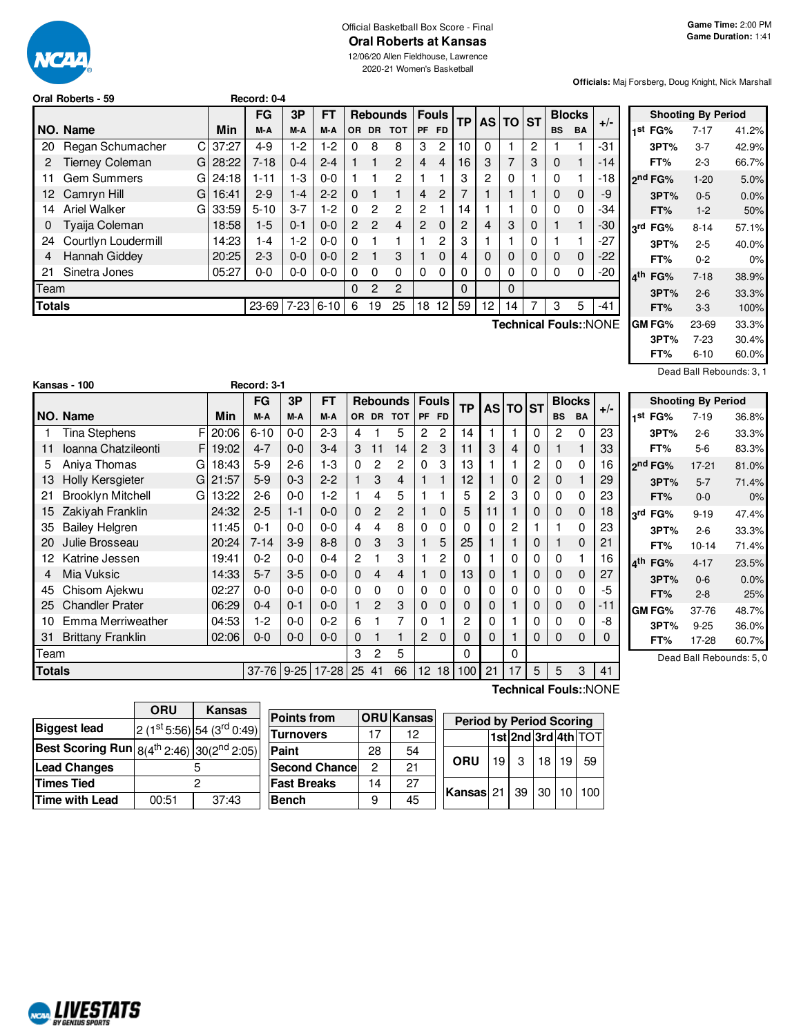

#### Official Basketball Box Score - Final **Oral Roberts at Kansas**

2020-21 Women's Basketball

**Officials:** Maj Forsberg, Doug Knight, Nick Marshall

|        | Oral Roberts - 59            |       | Record: 0-4 |         |             |                |               |                 |                |                |           |    |          |             |           |               |                       |  |
|--------|------------------------------|-------|-------------|---------|-------------|----------------|---------------|-----------------|----------------|----------------|-----------|----|----------|-------------|-----------|---------------|-----------------------|--|
|        |                              |       | FG          | 3P      | FT          |                |               | <b>Rebounds</b> |                | <b>Fouls</b>   | <b>TP</b> |    | AS TO ST |             |           | <b>Blocks</b> | $+/-$                 |  |
|        | NO. Name                     | Min   | M-A         | M-A     | M-A         | OR.            | <b>DR</b>     | <b>TOT</b>      | <b>PF</b>      | <b>FD</b>      |           |    |          |             | <b>BS</b> | <b>BA</b>     |                       |  |
| 20     | Regan Schumacher<br>C.       | 37:27 | $4 - 9$     | $1-2$   | $1-2$       | 0              | 8             | 8               | 3              | 2              | 10        | 0  |          | 2           |           |               | -31                   |  |
|        | <b>Tierney Coleman</b><br>GI | 28:22 | $7 - 18$    | $0 - 4$ | $2 - 4$     |                |               | $\overline{c}$  | 4              | $\overline{4}$ | 16        | 3  | 7        | 3           | $\Omega$  | 1             | $-14$                 |  |
| 11     | <b>Gem Summers</b><br>GI     | 24:18 | $1 - 11$    | $1-3$   | $0 - 0$     |                |               | 2               |                |                | 3         | 2  | 0        |             | 0         | 1             | -18                   |  |
|        | 12 Camryn Hill<br>G          | 16:41 | $2-9$       | $1 - 4$ | $2 - 2$     | $\Omega$       |               |                 | 4              | 2              |           |    |          |             | $\Omega$  | $\mathbf 0$   | -9                    |  |
| 14     | <b>Ariel Walker</b><br>GI    | 33:59 | $5 - 10$    | $3 - 7$ | $1-2$       | 0              | 2             | 2               | $\overline{c}$ |                | 14        |    |          | 0           | 0         | 0             | -34                   |  |
| 0      | Tyaija Coleman               | 18:58 | $1-5$       | $0 - 1$ | $0 - 0$     | $\overline{2}$ | $\mathcal{P}$ | $\overline{4}$  | $\overline{2}$ | $\Omega$       | 2         | 4  | 3        | 0           |           | 1             | -30                   |  |
| 24     | Courtlyn Loudermill          | 14:23 | $1 - 4$     | $1-2$   | $0 - 0$     | 0              |               |                 |                | 2              | 3         |    |          | 0           |           | 1             | $-27$                 |  |
| 4      | Hannah Giddey                | 20:25 | $2 - 3$     | $0 - 0$ | $0 - 0$     | $\mathbf{2}$   |               | 3               |                | $\Omega$       | 4         | 0  | 0        | $\mathbf 0$ | $\Omega$  | $\mathbf 0$   | -22                   |  |
| 21     | Sinetra Jones                | 05:27 | $0-0$       | $0-0$   | $0-0$       | 0              | $\Omega$      | $\Omega$        | $\Omega$       | $\Omega$       | 0         | 0  | 0        | 0           | 0         | 0             | $-20$                 |  |
| Team   |                              |       |             |         |             | $\Omega$       | 2             | $\overline{2}$  |                |                | 0         |    | $\Omega$ |             |           |               |                       |  |
| Totals |                              |       | 23-69       |         | $7-23$ 6-10 | 6              | 19            | 25              | 18             | 12             | 59        | 12 | 14       | 7           | 3         | 5             | -41                   |  |
|        |                              |       |             |         |             |                |               |                 |                |                |           |    |          |             |           |               | Toobnical Fouler-NONE |  |

**Technical Fouls:**:NONE

|                          | <b>Shooting By Period</b> |       |
|--------------------------|---------------------------|-------|
| 1 <sup>st</sup> FG% 7-17 |                           | 41.2% |
| 3PT%                     | 3-7                       | 42.9% |
| FT%                      | 2-3                       | 66.7% |
| ን <sup>nd</sup> FG%      | $1 - 20$                  | 5.0%  |
| 3PT%                     | $0 - 5$                   | 0.0%  |
| FT%                      | $1-2$                     | 50%   |
| 3rd FG%                  | 8-14                      | 57.1% |
| 3PT%                     | $2 - 5$                   | 40.0% |
| FT%                      | $0 - 2$                   | 0%    |
| 4 <sup>th</sup> FG%      | $7 - 18$                  | 38.9% |
| 3PT%                     | $2 - 6$                   | 33.3% |
| FT%                      | $3-3$                     | 100%  |
| GM FG%                   | 23-69                     | 33.3% |
| 3PT%                     | $7-23$                    | 30.4% |
| FT%                      | 6-10                      | 60.0% |

Dead Ball Rebounds: 3, 1

**st FG%** 7-19 36.8% **3PT%** 2-6 33.3% **FT%** 5-6 83.3%

**81.0% 3PT%** 5-7 71.4% **FT%** 0-0 0%

**rd FG%** 9-19 47.4% **3PT%** 2-6 33.3% **FT%** 10-14 71.4%

**th FG%** 4-17 23.5% 0.0% **FT%** 2-8 25%

|               | Kansas - 100                  |       | Record: 3-1 |          |           |    |                |                |                 |                |           |    |          |   |              |               |       |                     |                           |                |
|---------------|-------------------------------|-------|-------------|----------|-----------|----|----------------|----------------|-----------------|----------------|-----------|----|----------|---|--------------|---------------|-------|---------------------|---------------------------|----------------|
|               |                               |       | <b>FG</b>   | 3P       | <b>FT</b> |    |                | Rebounds       |                 | <b>Fouls</b>   | <b>TP</b> |    | AS TO ST |   |              | <b>Blocks</b> |       |                     | <b>Shooting By Period</b> |                |
|               | NO. Name                      | Min   | M-A         | M-A      | M-A       |    | OR DR          | TOT            |                 | PF FD          |           |    |          |   | <b>BS</b>    | <b>BA</b>     | $+/-$ | 1 <sup>st</sup> FG% | $7 - 19$                  | 36.            |
|               | Tina Stephens                 | 20:06 | $6 - 10$    | $0-0$    | $2 - 3$   | 4  |                | 5              | 2               | $\overline{c}$ | 14        |    | 1        | 0 | $\mathbf{2}$ | $\Omega$      | 23    | 3PT%                | $2 - 6$                   | 33.            |
|               | Ioanna Chatzileonti<br>F.     | 19:02 | $4 - 7$     | $0 - 0$  | $3 - 4$   | 3  | 11             | 14             | $\overline{2}$  | 3              | 11        | 3  | 4        | 0 |              |               | 33    | FT%                 | $5-6$                     | 83.            |
| 5             | Aniya Thomas<br>G             | 18:43 | $5-9$       | $2 - 6$  | 1-3       | 0  | 2              | 2              | 0               | 3              | 13        |    |          | 2 | 0            | $\Omega$      | 16    | 2 <sup>nd</sup> FG% | $17 - 21$                 | 81.            |
| 13            | <b>Holly Kersgieter</b><br>G  | 21:57 | $5-9$       | $0 - 3$  | $2 - 2$   |    | 3              | $\overline{4}$ |                 |                | 12        |    | 0        | 2 | 0            |               | 29    | 3PT%                | $5 - 7$                   | 71.            |
| 21            | <b>Brooklyn Mitchell</b><br>G | 13:22 | $2 - 6$     | $0 - 0$  | 1-2       |    | 4              | 5              |                 |                | 5         | 2  | 3        | 0 | 0            | $\Omega$      | 23    | FT%                 | $0-0$                     |                |
| 15            | Zakiyah Franklin              | 24:32 | $2 - 5$     | $1 - 1$  | $0 - 0$   | 0  | $\overline{2}$ | $\overline{c}$ |                 | 0              | 5         | 11 |          | 0 | 0            | $\mathbf{0}$  | 18    | 3rd<br>FG%          | $9 - 19$                  | 47.            |
| 35            | <b>Bailey Helgren</b>         | 11:45 | $0 - 1$     | $0 - 0$  | $0 - 0$   | 4  | 4              | 8              | 0               |                | 0         | 0  | 2        |   |              | $\Omega$      | 23    | 3PT%                | $2 - 6$                   | 33.            |
| 20            | Julie Brosseau                | 20:24 | $7 - 14$    | $3-9$    | $8 - 8$   | 0  | 3              | 3              |                 | 5              | 25        |    |          | 0 |              | $\Omega$      | 21    | FT%                 | $10 - 14$                 | 71.            |
|               | Katrine Jessen                | 19:41 | $0 - 2$     | $0 - 0$  | $0 - 4$   | 2  |                | 3              |                 | 2              | 0         |    | $\Omega$ | 0 | $\Omega$     |               | 16    | 4 <sup>th</sup> FG% | $4 - 17$                  | 23.            |
| 4             | Mia Vuksic                    | 14:33 | $5 - 7$     | $3-5$    | $0 - 0$   | 0  | 4              | 4              |                 | 0              | 13        | 0  |          | 0 | 0            | $\mathbf 0$   | 27    | 3PT%                | $0 - 6$                   | 0.             |
| 45            | Chisom Ajekwu                 | 02:27 | $0 - 0$     | $0-0$    | $0 - 0$   | 0  | 0              | 0              | 0               | 0              | 0         | 0  | 0        | 0 | 0            | $\Omega$      | -5    | FT%                 | $2 - 8$                   | $\overline{c}$ |
| 25            | <b>Chandler Prater</b>        | 06:29 | $0 - 4$     | $0 - 1$  | $0 - 0$   | 1  | 2              | 3              | 0               | 0              | 0         | 0  |          | 0 | 0            | $\mathbf 0$   | -11   | <b>GM FG%</b>       | 37-76                     | 48.            |
| 10            | Emma Merriweather             | 04:53 | $1 - 2$     | $0-0$    | $0 - 2$   | 6  |                |                | 0               |                | 2         | 0  |          | 0 | 0            | $\Omega$      | -8    | 3PT%                | $9 - 25$                  | 36.            |
| 31            | <b>Brittany Franklin</b>      | 02:06 | $0 - 0$     | $0-0$    | $0 - 0$   | 0  |                |                | $\mathbf{2}$    | 0              | $\Omega$  | 0  |          | 0 | 0            | $\Omega$      | 0     | FT%                 | 17-28                     | 60.            |
| Team          |                               |       |             |          |           | 3  | $\mathbf{2}$   | 5              |                 |                | 0         |    | $\Omega$ |   |              |               |       |                     | Dead Ball Rebounds:       |                |
| <b>Totals</b> |                               |       | $37 - 76$   | $9 - 25$ | $17 - 28$ | 25 | 41             | 66             | 12 <sup>2</sup> | 18             | 100       | 21 | 17       | 5 | 5            | 3             | 41    |                     |                           |                |

**GM FG%** 37-76 48.7% **3PT%** 9-25 36.0%  $60.7%$ 

 $bounds: 5, 0$ 

|                                                                   | ORU   | <b>Kansas</b>              |  |
|-------------------------------------------------------------------|-------|----------------------------|--|
| <b>Biggest lead</b>                                               |       | $2(1st 5:56) 54(3rd 0:49)$ |  |
| <b>Best Scoring Run</b> $8(4^{th} 2:46)$ 30(2 <sup>nd</sup> 2:05) |       |                            |  |
| <b>Lead Changes</b>                                               |       |                            |  |
| <b>Times Tied</b>                                                 |       |                            |  |
| Time with Lead                                                    | 00:51 | 37:43                      |  |

|                           |    | Peri              |
|---------------------------|----|-------------------|
| 17                        | 12 |                   |
| 28                        | 54 |                   |
| <b>Second Chance</b><br>2 | 21 | ORL               |
| 14                        | 27 |                   |
| 9                         | 45 | Kansa             |
|                           |    | <b>ORU</b> Kansas |

**Technical Fouls:**:NONE

| S | <b>Period by Period Scoring</b> |  |  |                     |
|---|---------------------------------|--|--|---------------------|
|   |                                 |  |  | 1st 2nd 3rd 4th TOT |
|   | ORU $19$ 3 $18$ 19 59           |  |  |                     |
|   | <b>Kansas</b> 21 39 30 10 100   |  |  |                     |

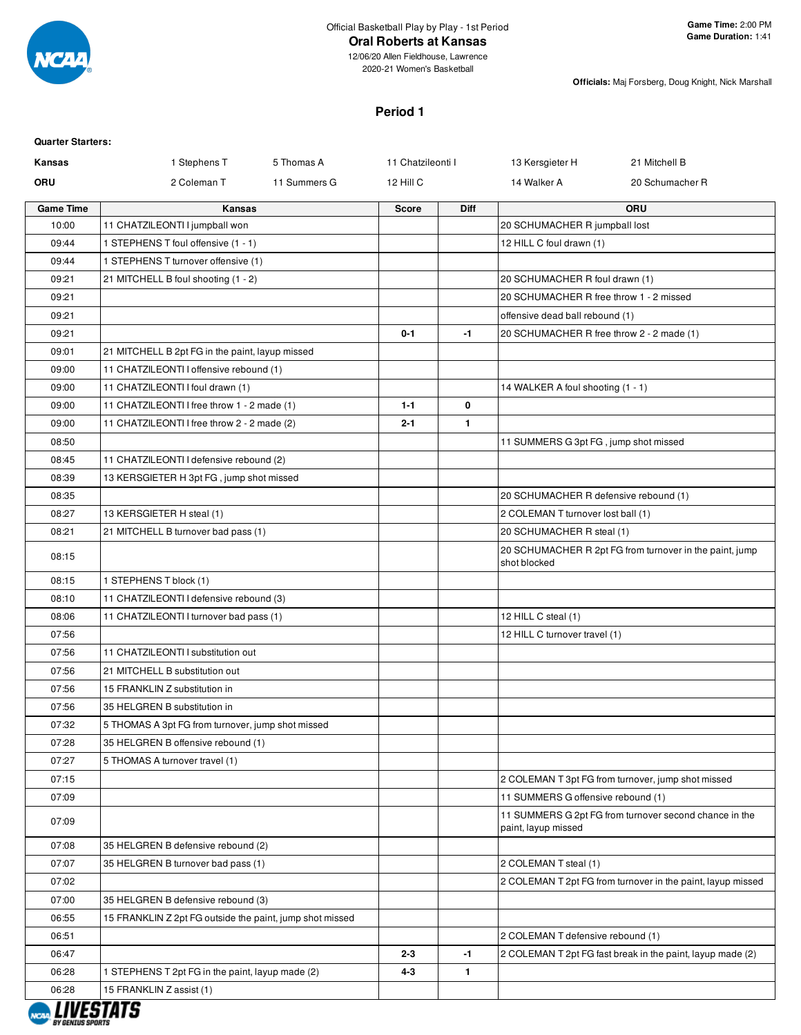

#### **Oral Roberts at Kansas**

12/06/20 Allen Fieldhouse, Lawrence 2020-21 Women's Basketball

**Officials:** Maj Forsberg, Doug Knight, Nick Marshall

# **Period 1**

| <b>Quarter Starters:</b> |                                                          |                   |              |                                           |                                                             |
|--------------------------|----------------------------------------------------------|-------------------|--------------|-------------------------------------------|-------------------------------------------------------------|
| Kansas                   | 1 Stephens T<br>5 Thomas A                               | 11 Chatzileonti I |              | 13 Kersgieter H                           | 21 Mitchell B                                               |
| ORU                      | 2 Coleman T<br>11 Summers G                              | 12 Hill C         |              | 14 Walker A                               | 20 Schumacher R                                             |
| <b>Game Time</b>         | <b>Kansas</b>                                            | <b>Score</b>      | Diff         |                                           | ORU                                                         |
| 10:00                    | 11 CHATZILEONTI I jumpball won                           |                   |              | 20 SCHUMACHER R jumpball lost             |                                                             |
| 09:44                    | 1 STEPHENS T foul offensive (1 - 1)                      |                   |              | 12 HILL C foul drawn (1)                  |                                                             |
| 09:44                    | 1 STEPHENS T turnover offensive (1)                      |                   |              |                                           |                                                             |
| 09:21                    | 21 MITCHELL B foul shooting (1 - 2)                      |                   |              | 20 SCHUMACHER R foul drawn (1)            |                                                             |
| 09:21                    |                                                          |                   |              | 20 SCHUMACHER R free throw 1 - 2 missed   |                                                             |
| 09:21                    |                                                          |                   |              | offensive dead ball rebound (1)           |                                                             |
| 09:21                    |                                                          | $0 - 1$           | $-1$         | 20 SCHUMACHER R free throw 2 - 2 made (1) |                                                             |
| 09:01                    | 21 MITCHELL B 2pt FG in the paint, layup missed          |                   |              |                                           |                                                             |
| 09:00                    | 11 CHATZILEONTI I offensive rebound (1)                  |                   |              |                                           |                                                             |
| 09:00                    | 11 CHATZILEONTI I foul drawn (1)                         |                   |              | 14 WALKER A foul shooting (1 - 1)         |                                                             |
| 09:00                    | 11 CHATZILEONTI I free throw 1 - 2 made (1)              | $1 - 1$           | 0            |                                           |                                                             |
| 09:00                    | 11 CHATZILEONTI I free throw 2 - 2 made (2)              | $2 - 1$           | $\mathbf{1}$ |                                           |                                                             |
| 08:50                    |                                                          |                   |              | 11 SUMMERS G 3pt FG, jump shot missed     |                                                             |
| 08:45                    | 11 CHATZILEONTI I defensive rebound (2)                  |                   |              |                                           |                                                             |
| 08:39                    | 13 KERSGIETER H 3pt FG, jump shot missed                 |                   |              |                                           |                                                             |
| 08:35                    |                                                          |                   |              | 20 SCHUMACHER R defensive rebound (1)     |                                                             |
| 08:27                    | 13 KERSGIETER H steal (1)                                |                   |              | 2 COLEMAN T turnover lost ball (1)        |                                                             |
| 08:21                    | 21 MITCHELL B turnover bad pass (1)                      |                   |              | 20 SCHUMACHER R steal (1)                 |                                                             |
| 08:15                    |                                                          |                   |              | shot blocked                              | 20 SCHUMACHER R 2pt FG from turnover in the paint, jump     |
| 08:15                    | 1 STEPHENS T block (1)                                   |                   |              |                                           |                                                             |
| 08:10                    | 11 CHATZILEONTI I defensive rebound (3)                  |                   |              |                                           |                                                             |
| 08:06                    | 11 CHATZILEONTI I turnover bad pass (1)                  |                   |              | 12 HILL C steal (1)                       |                                                             |
| 07:56                    |                                                          |                   |              | 12 HILL C turnover travel (1)             |                                                             |
| 07:56                    | 11 CHATZILEONTI I substitution out                       |                   |              |                                           |                                                             |
| 07:56                    | 21 MITCHELL B substitution out                           |                   |              |                                           |                                                             |
| 07:56                    | 15 FRANKLIN Z substitution in                            |                   |              |                                           |                                                             |
| 07:56                    | 35 HELGREN B substitution in                             |                   |              |                                           |                                                             |
| 07:32                    | 5 THOMAS A 3pt FG from turnover, jump shot missed        |                   |              |                                           |                                                             |
| 07:28                    | 35 HELGREN B offensive rebound (1)                       |                   |              |                                           |                                                             |
| 07:27                    | 5 THOMAS A turnover travel (1)                           |                   |              |                                           |                                                             |
| 07:15                    |                                                          |                   |              |                                           | 2 COLEMAN T 3pt FG from turnover, jump shot missed          |
| 07:09                    |                                                          |                   |              | 11 SUMMERS G offensive rebound (1)        |                                                             |
| 07:09                    |                                                          |                   |              | paint, layup missed                       | 11 SUMMERS G 2pt FG from turnover second chance in the      |
| 07:08                    | 35 HELGREN B defensive rebound (2)                       |                   |              |                                           |                                                             |
| 07:07                    | 35 HELGREN B turnover bad pass (1)                       |                   |              | 2 COLEMAN T steal (1)                     |                                                             |
| 07:02                    |                                                          |                   |              |                                           | 2 COLEMAN T 2pt FG from turnover in the paint, layup missed |
| 07:00                    | 35 HELGREN B defensive rebound (3)                       |                   |              |                                           |                                                             |
| 06:55                    | 15 FRANKLIN Z 2pt FG outside the paint, jump shot missed |                   |              |                                           |                                                             |
| 06:51                    |                                                          |                   |              | 2 COLEMAN T defensive rebound (1)         |                                                             |
| 06:47                    |                                                          | $2 - 3$           | $-1$         |                                           | 2 COLEMAN T 2pt FG fast break in the paint, layup made (2)  |
| 06:28                    | 1 STEPHENS T 2pt FG in the paint, layup made (2)         | 4-3               | $\mathbf{1}$ |                                           |                                                             |
| 06:28                    | 15 FRANKLIN Z assist (1)                                 |                   |              |                                           |                                                             |

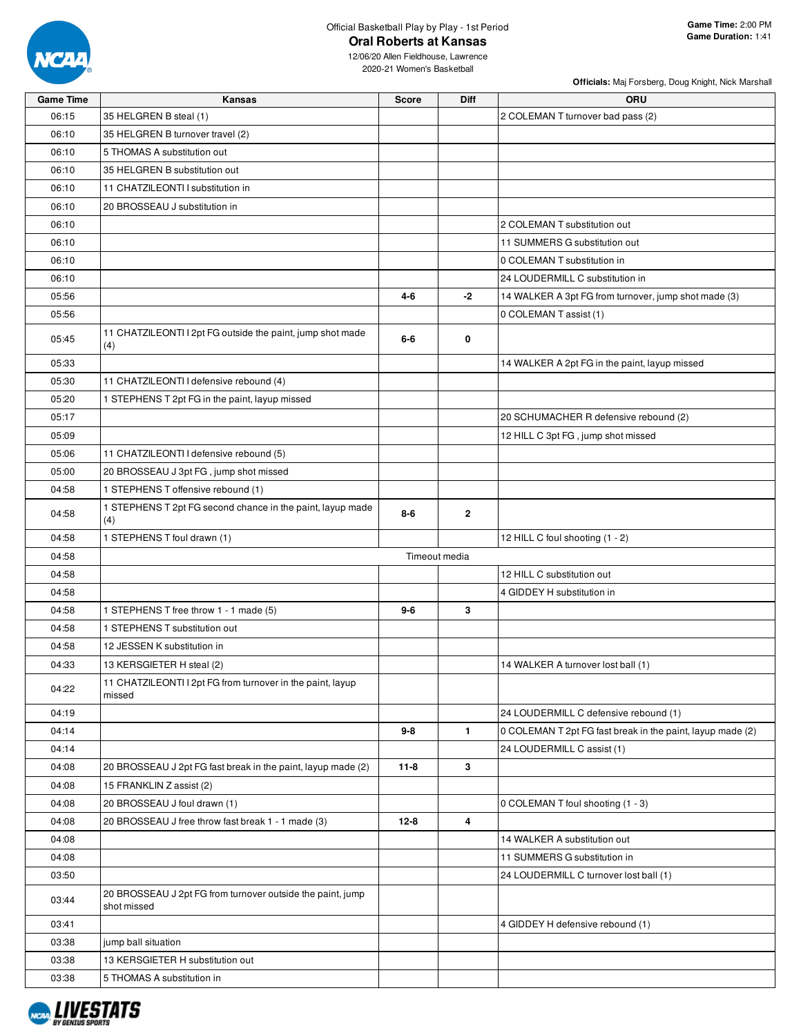

## Official Basketball Play by Play - 1st Period **Oral Roberts at Kansas**

**Officials:** Maj Forsberg, Doug Knight, Nick Marshall

| <b>Game Time</b> | Kansas                                                            | <b>Score</b> | Diff          | <b>ORU</b>                                                 |
|------------------|-------------------------------------------------------------------|--------------|---------------|------------------------------------------------------------|
| 06:15            | 35 HELGREN B steal (1)                                            |              |               | 2 COLEMAN T turnover bad pass (2)                          |
| 06:10            | 35 HELGREN B turnover travel (2)                                  |              |               |                                                            |
| 06:10            | 5 THOMAS A substitution out                                       |              |               |                                                            |
| 06:10            | 35 HELGREN B substitution out                                     |              |               |                                                            |
| 06:10            | 11 CHATZILEONTI I substitution in                                 |              |               |                                                            |
| 06:10            | 20 BROSSEAU J substitution in                                     |              |               |                                                            |
| 06:10            |                                                                   |              |               | 2 COLEMAN T substitution out                               |
| 06:10            |                                                                   |              |               | 11 SUMMERS G substitution out                              |
| 06:10            |                                                                   |              |               | 0 COLEMAN T substitution in                                |
| 06:10            |                                                                   |              |               | 24 LOUDERMILL C substitution in                            |
| 05:56            |                                                                   | $4 - 6$      | -2            | 14 WALKER A 3pt FG from turnover, jump shot made (3)       |
| 05:56            |                                                                   |              |               | 0 COLEMAN T assist (1)                                     |
|                  | 11 CHATZILEONTI I 2pt FG outside the paint, jump shot made        |              |               |                                                            |
| 05:45            | (4)                                                               | 6-6          | 0             |                                                            |
| 05:33            |                                                                   |              |               | 14 WALKER A 2pt FG in the paint, layup missed              |
| 05:30            | 11 CHATZILEONTI I defensive rebound (4)                           |              |               |                                                            |
| 05:20            | 1 STEPHENS T 2pt FG in the paint, layup missed                    |              |               |                                                            |
| 05:17            |                                                                   |              |               | 20 SCHUMACHER R defensive rebound (2)                      |
| 05:09            |                                                                   |              |               | 12 HILL C 3pt FG, jump shot missed                         |
| 05:06            | 11 CHATZILEONTI I defensive rebound (5)                           |              |               |                                                            |
| 05:00            | 20 BROSSEAU J 3pt FG, jump shot missed                            |              |               |                                                            |
| 04:58            | 1 STEPHENS T offensive rebound (1)                                |              |               |                                                            |
| 04:58            | 1 STEPHENS T 2pt FG second chance in the paint, layup made<br>(4) | $8 - 6$      | $\mathbf{2}$  |                                                            |
| 04:58            | 1 STEPHENS T foul drawn (1)                                       |              |               | 12 HILL C foul shooting (1 - 2)                            |
| 04:58            |                                                                   |              | Timeout media |                                                            |
| 04:58            |                                                                   |              |               | 12 HILL C substitution out                                 |
| 04:58            |                                                                   |              |               | 4 GIDDEY H substitution in                                 |
| 04:58            | 1 STEPHENS T free throw 1 - 1 made (5)                            | 9-6          | 3             |                                                            |
| 04:58            | 1 STEPHENS T substitution out                                     |              |               |                                                            |
| 04:58            | 12 JESSEN K substitution in                                       |              |               |                                                            |
| 04:33            | 13 KERSGIETER H steal (2)                                         |              |               | 14 WALKER A turnover lost ball (1)                         |
|                  | 11 CHATZILEONTI I 2pt FG from turnover in the paint, layup        |              |               |                                                            |
| 04:22            | missed                                                            |              |               |                                                            |
| 04:19            |                                                                   |              |               | 24 LOUDERMILL C defensive rebound (1)                      |
| 04:14            |                                                                   | $9 - 8$      | $\mathbf{1}$  | 0 COLEMAN T 2pt FG fast break in the paint, layup made (2) |
| 04:14            |                                                                   |              |               | 24 LOUDERMILL C assist (1)                                 |
| 04:08            | 20 BROSSEAU J 2pt FG fast break in the paint, layup made (2)      | $11 - 8$     | 3             |                                                            |
| 04:08            | 15 FRANKLIN Z assist (2)                                          |              |               |                                                            |
| 04:08            | 20 BROSSEAU J foul drawn (1)                                      |              |               | 0 COLEMAN T foul shooting (1 - 3)                          |
| 04:08            | 20 BROSSEAU J free throw fast break 1 - 1 made (3)                | $12 - 8$     | 4             |                                                            |
| 04:08            |                                                                   |              |               | 14 WALKER A substitution out                               |
| 04:08            |                                                                   |              |               | 11 SUMMERS G substitution in                               |
| 03:50            |                                                                   |              |               | 24 LOUDERMILL C turnover lost ball (1)                     |
| 03:44            | 20 BROSSEAU J 2pt FG from turnover outside the paint, jump        |              |               |                                                            |
| 03:41            | shot missed                                                       |              |               | 4 GIDDEY H defensive rebound (1)                           |
| 03:38            | jump ball situation                                               |              |               |                                                            |
| 03:38            | 13 KERSGIETER H substitution out                                  |              |               |                                                            |
| 03:38            | 5 THOMAS A substitution in                                        |              |               |                                                            |
|                  |                                                                   |              |               |                                                            |

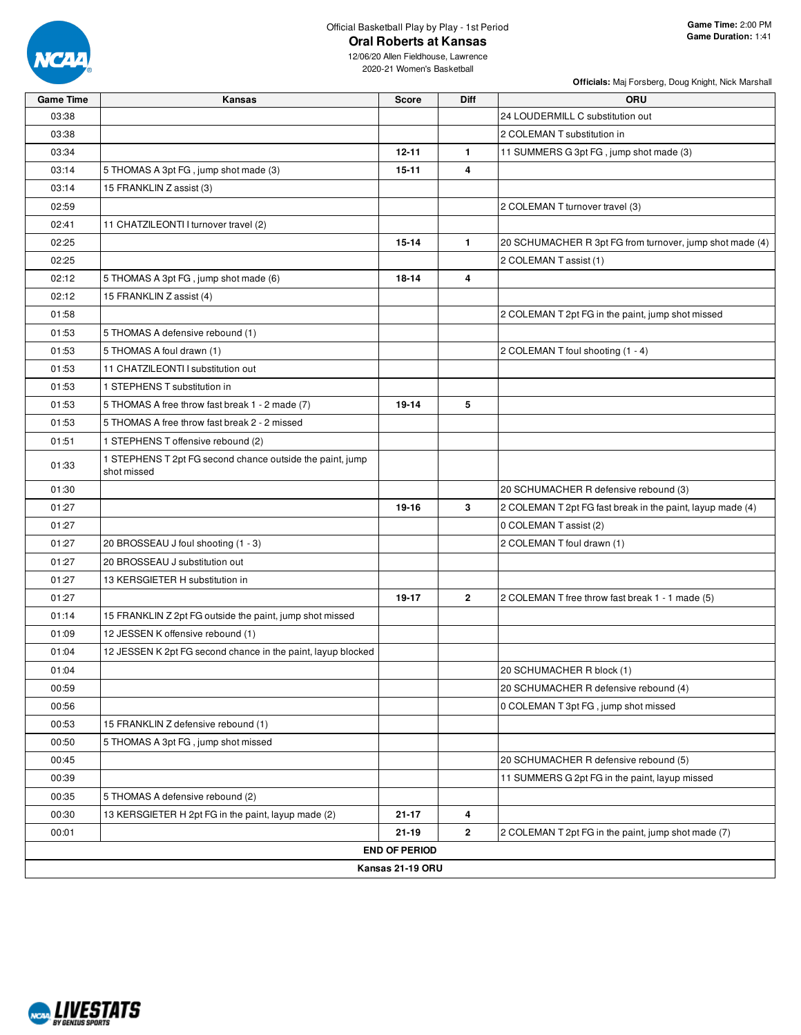

**Officials:** Maj Forsberg, Doug Knight, Nick Marshall

| Game Time | Kansas                                                                   | Score                | Diff         | <b>ORU</b>                                                 |
|-----------|--------------------------------------------------------------------------|----------------------|--------------|------------------------------------------------------------|
| 03:38     |                                                                          |                      |              | 24 LOUDERMILL C substitution out                           |
| 03:38     |                                                                          |                      |              | 2 COLEMAN T substitution in                                |
| 03:34     |                                                                          | $12 - 11$            | $\mathbf{1}$ | 11 SUMMERS G 3pt FG, jump shot made (3)                    |
| 03:14     | 5 THOMAS A 3pt FG, jump shot made (3)                                    | $15 - 11$            | 4            |                                                            |
| 03:14     | 15 FRANKLIN Z assist (3)                                                 |                      |              |                                                            |
| 02:59     |                                                                          |                      |              | 2 COLEMAN T turnover travel (3)                            |
| 02:41     | 11 CHATZILEONTI I turnover travel (2)                                    |                      |              |                                                            |
| 02:25     |                                                                          | $15 - 14$            | $\mathbf{1}$ | 20 SCHUMACHER R 3pt FG from turnover, jump shot made (4)   |
| 02:25     |                                                                          |                      |              | 2 COLEMAN T assist (1)                                     |
| 02:12     | 5 THOMAS A 3pt FG, jump shot made (6)                                    | $18 - 14$            | 4            |                                                            |
| 02:12     | 15 FRANKLIN Z assist (4)                                                 |                      |              |                                                            |
| 01:58     |                                                                          |                      |              | 2 COLEMAN T 2pt FG in the paint, jump shot missed          |
| 01:53     | 5 THOMAS A defensive rebound (1)                                         |                      |              |                                                            |
| 01:53     | 5 THOMAS A foul drawn (1)                                                |                      |              | 2 COLEMAN T foul shooting (1 - 4)                          |
| 01:53     | 11 CHATZILEONTI I substitution out                                       |                      |              |                                                            |
| 01:53     | 1 STEPHENS T substitution in                                             |                      |              |                                                            |
| 01:53     | 5 THOMAS A free throw fast break 1 - 2 made (7)                          | 19-14                | 5            |                                                            |
| 01:53     | 5 THOMAS A free throw fast break 2 - 2 missed                            |                      |              |                                                            |
| 01:51     | 1 STEPHENS T offensive rebound (2)                                       |                      |              |                                                            |
| 01:33     | 1 STEPHENS T 2pt FG second chance outside the paint, jump<br>shot missed |                      |              |                                                            |
| 01:30     |                                                                          |                      |              | 20 SCHUMACHER R defensive rebound (3)                      |
| 01:27     |                                                                          | 19-16                | 3            | 2 COLEMAN T 2pt FG fast break in the paint, layup made (4) |
| 01:27     |                                                                          |                      |              | 0 COLEMAN T assist (2)                                     |
| 01:27     | 20 BROSSEAU J foul shooting (1 - 3)                                      |                      |              | 2 COLEMAN T foul drawn (1)                                 |
| 01:27     | 20 BROSSEAU J substitution out                                           |                      |              |                                                            |
| 01:27     | 13 KERSGIETER H substitution in                                          |                      |              |                                                            |
| 01:27     |                                                                          | 19-17                | $\mathbf{2}$ | 2 COLEMAN T free throw fast break 1 - 1 made (5)           |
| 01:14     | 15 FRANKLIN Z 2pt FG outside the paint, jump shot missed                 |                      |              |                                                            |
| 01:09     | 12 JESSEN K offensive rebound (1)                                        |                      |              |                                                            |
| 01:04     | 12 JESSEN K 2pt FG second chance in the paint, layup blocked             |                      |              |                                                            |
| 01:04     |                                                                          |                      |              | 20 SCHUMACHER R block (1)                                  |
| 00:59     |                                                                          |                      |              | 20 SCHUMACHER R defensive rebound (4)                      |
| 00:56     |                                                                          |                      |              | 0 COLEMAN T 3pt FG, jump shot missed                       |
| 00:53     | 15 FRANKLIN Z defensive rebound (1)                                      |                      |              |                                                            |
| 00:50     | 5 THOMAS A 3pt FG, jump shot missed                                      |                      |              |                                                            |
| 00:45     |                                                                          |                      |              | 20 SCHUMACHER R defensive rebound (5)                      |
| 00:39     |                                                                          |                      |              | 11 SUMMERS G 2pt FG in the paint, layup missed             |
| 00:35     | 5 THOMAS A defensive rebound (2)                                         |                      |              |                                                            |
| 00:30     | 13 KERSGIETER H 2pt FG in the paint, layup made (2)                      | $21 - 17$            | 4            |                                                            |
| 00:01     |                                                                          | $21 - 19$            | $\mathbf{2}$ | 2 COLEMAN T 2pt FG in the paint, jump shot made (7)        |
|           |                                                                          | <b>END OF PERIOD</b> |              |                                                            |
|           |                                                                          | Kansas 21-19 ORU     |              |                                                            |

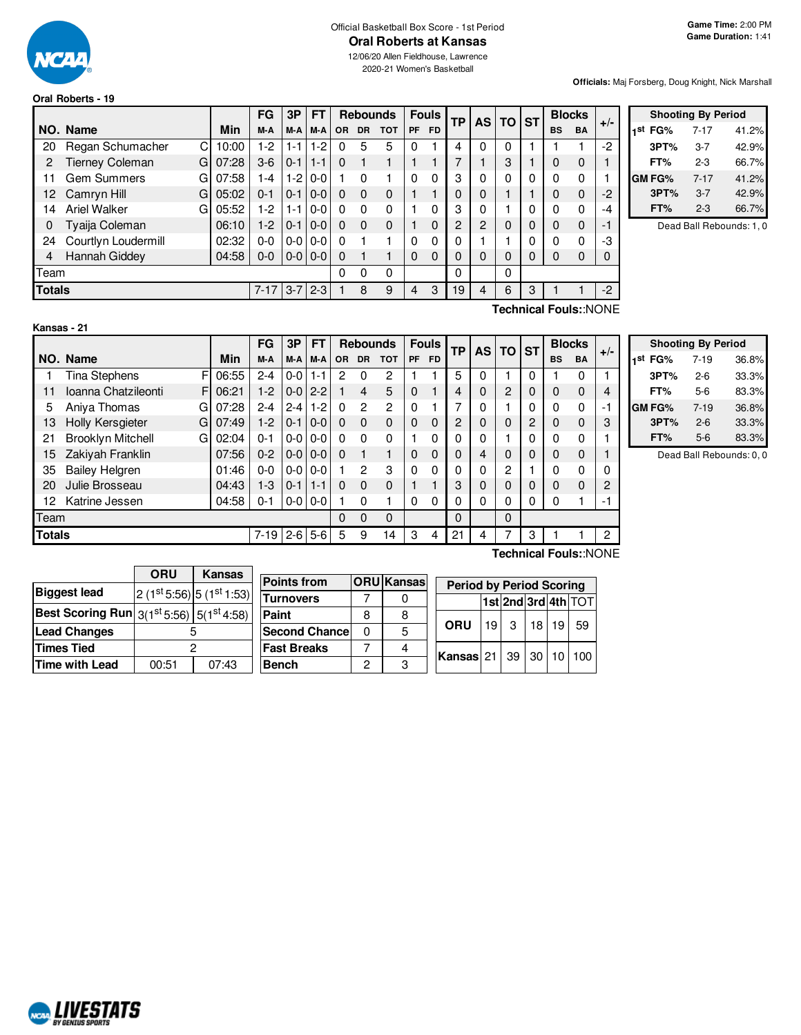

#### Official Basketball Box Score - 1st Period **Oral Roberts at Kansas** 12/06/20 Allen Fieldhouse, Lawrence

2020-21 Women's Basketball

#### **Oral Roberts - 19**

**Officials:** Maj Forsberg, Doug Knight, Nick Marshall

|               |                             |            | FG       | 3P          | <b>FT</b>         |           | <b>Rebounds</b> |            |    | <b>Fouls</b> | <b>TP</b> | <b>AS</b> | <b>TO</b> | <b>ST</b> |           | <b>Blocks</b>         |       |
|---------------|-----------------------------|------------|----------|-------------|-------------------|-----------|-----------------|------------|----|--------------|-----------|-----------|-----------|-----------|-----------|-----------------------|-------|
|               | NO. Name                    | <b>Min</b> | M-A      | M-A         | M-A               | <b>OR</b> | <b>DR</b>       | <b>TOT</b> | PF | <b>FD</b>    |           |           |           |           | <b>BS</b> | <b>BA</b>             | $+/-$ |
| 20            | Regan Schumacher<br>C       | 10:00      | 1-2      | $1 - 1$     | $1-2$             | 0         | 5               | 5          | 0  |              | 4         | 0         | 0         |           |           |                       | $-2$  |
| 2             | <b>Tierney Coleman</b><br>G | 07:28      | $3-6$    | $0 - 1$     | l 1-1             | 0         |                 |            |    |              |           |           | 3         |           | 0         | 0                     |       |
| 11            | <b>Gem Summers</b><br>G     | 07:58      | l -4     | $1 - 2$     | $0 - 0$           |           | $\Omega$        |            | 0  | 0            | 3         |           | 0         | 0         | 0         | $\Omega$              |       |
| 12            | G<br>Camryn Hill            | 05:02      | $0 - 1$  | $0 - 1$     | $0-0$             | $\Omega$  | $\Omega$        | 0          | 1  |              | 0         |           | 4         |           | 0         | $\Omega$              | $-2$  |
| 14            | Ariel Walker<br>G           | 05:52      | 1-2      | $1 - 1$     | $0 - 0$           | 0         | $\Omega$        | 0          |    | 0            | 3         | 0         |           | 0         | 0         | $\Omega$              | -4    |
| 0             | Tyaija Coleman              | 06:10      | $1-2$    | $0 - 1$     | $0-0$             | 0         | $\Omega$        | 0          | 1  | $\Omega$     | 2         | 2         | 0         | 0         | 0         | $\Omega$              | $-1$  |
| 24            | Courtlyn Loudermill         | 02:32      | 0-0      | $0-0$       | $0 - 0$           | 0         |                 |            | 0  | 0            | 0         |           |           | 0         | $\Omega$  | $\Omega$              | -3    |
| 4             | Hannah Giddey               | 04:58      | $0 - 0$  |             | $0 - 0$   $0 - 0$ | 0         |                 |            | 0  | $\Omega$     | 0         | 0         | 0         | 0         | 0         | $\Omega$              | 0     |
| Team          |                             |            |          |             |                   | 0         | 0               | 0          |    |              | 0         |           | 0         |           |           |                       |       |
| <b>Totals</b> |                             |            | $7 - 17$ | $3 - 7$ 2-3 |                   |           | 8               | 9          | 4  | 3            | 19        | 4         | 6         | 3         |           |                       | $-2$  |
|               |                             |            |          |             |                   |           |                 |            |    |              |           |           |           |           |           | Technical Fouls::NONE |       |

|     |        | <b>Shooting By Period</b> |       |
|-----|--------|---------------------------|-------|
| 1st | FG%    | 7-17                      | 41.2% |
|     | 3PT%   | 3-7                       | 42.9% |
|     | FT%    | 2-3                       | 66.7% |
|     | GM FG% | $7 - 17$                  | 41.2% |
|     | 3PT%   | $3 - 7$                   | 42.9% |
|     | FT%    | 2-3                       | 66.7% |

Dead Ball Rebounds: 1, 0

#### **Kansas - 21**

F F G 07:28 G 07:49 G 02:04 **NO.** Name Min  $FG$  **3P**  $FT$  **Rebounds**  $F$  **Fouls**  $TF$  **AS**  $TG$  **ST**  $\begin{bmatrix} \mathsf{FG} \end{bmatrix}$   $\begin{bmatrix} \mathsf{3P} \end{bmatrix}$   $\begin{bmatrix} \mathsf{FT} \end{bmatrix}$   $\begin{bmatrix} \mathsf{Re}} \mathsf{bounds} \end{bmatrix}$   $\begin{bmatrix} \mathsf{FP} \end{bmatrix}$   $\begin{bmatrix} \mathsf{AS} \end{bmatrix}$   $\begin{bmatrix} \mathsf{ST} \end{bmatrix}$   $\begin{bmatrix} \mathsf{BlockS} \ \mathsf{BS} \end{bmatrix}$   $\begin{bmatrix} \mathsf{H}\mathsf{S} \end{bmatrix}$   $\begin{bmatrix} \mathsf{AL$ 1 Tina Stephens F 06:55 2-4 0-0 1-1 2 0 2 1 1 5 0 1 0 1 0 1 11 Ioanna Chatzileonti F | 06:21 | 1-2 | 0-0 | 2-2 | 1 | 4 | 5 | 0 | 1 | 4 | 0 | 2 | 0 | 0 0 | 4 5 Aniya Thomas G | 07:28 | 2-4 | 2-4 | 1-2 | 0 2 2 | 0 1 | 7 | 0 | 1 | 0 | 0 0 | -1 13 Holly Kersgieter G | 07:49 | 1-2 | 0-1 | 0-0 | 0 0 0 0 0 0 0 | 2 | 0 0 0 | 3 21 Brooklyn Mitchell 02:04 0-1 0-0 0-0 0 0 0 1 0 0 0 1 0 0 0 1 15 Zakiyah Franklin | 07:56 | 0-2 | 0-0 | 0-0 | 0 | 0 | 1 | 0 0 | 0 | 4 | 0 | 0 | 0 | 0 | 1 35 Bailey Helgren | 01:46 | 0-0 | 0-0 | 0-0 | 1 2 3 | 0 0 | 0 | 0 | 2 | 1 | 0 0 | 0 20 Julie Brosseau 20 14:43 | 1-3 | 0-1 | 1-1 | 0 0 0 | 1 1 | 1 | 3 | 0 | 0 | 0 | 0 | 2 12 Katrine Jessen 04:58 0-1 0-0 0-0 1 0 1 0 0 0 0 0 0 0 1 -1 Team 0 0 0 | | 0 | | 0 **Totals** 7-19 2-6 5-6 5 9 14 3 4 21 4 7 3 1 1 2

|      |        | <b>Shooting By Period</b> |       |
|------|--------|---------------------------|-------|
| 1 St | FG%    | 7-19                      | 36.8% |
|      | 3PT%   | $2 - 6$                   | 33.3% |
|      | FT%    | $5-6$                     | 83.3% |
|      | GM FG% | $7 - 19$                  | 36.8% |
|      | 3PT%   | $2 - 6$                   | 33.3% |
|      | FT%    | $5-6$                     | 83.3% |

Dead Ball Rebounds: 0, 0

|                                                                                 | <b>ORU</b> | Kansas                           |                       |              |                   |            |                 |                                 |                 |    |                     |
|---------------------------------------------------------------------------------|------------|----------------------------------|-----------------------|--------------|-------------------|------------|-----------------|---------------------------------|-----------------|----|---------------------|
|                                                                                 |            |                                  | <b>Points from</b>    |              | <b>ORU</b> Kansas |            |                 | <b>Period by Period Scoring</b> |                 |    |                     |
| <b>Biggest lead</b>                                                             |            | $2(1^{st}5:56)$ 5 $(1^{st}1:53)$ | <b>Turnovers</b>      |              |                   |            |                 |                                 |                 |    | 1st 2nd 3rd 4th TOT |
| Best Scoring Run $\left  \frac{3(1^\text{st}5.56)}{5(1^\text{st}4.58)} \right $ |            |                                  | <b>Paint</b>          | 8            | 8                 |            |                 |                                 |                 |    |                     |
| <b>Lead Changes</b>                                                             |            |                                  | <b>Second Chancel</b> | $\mathbf{0}$ | 5                 | <b>ORU</b> | 19 <sup>1</sup> | ູ                               | 18 <sup>1</sup> | 19 | 59                  |
| Times Tied                                                                      |            |                                  | <b>Fast Breaks</b>    |              |                   | Kansas 21  |                 | 39 30                           |                 | 10 | 100                 |
| Time with Lead                                                                  | 00:51      | 07:43                            | <b>Bench</b>          | 0            | ົ                 |            |                 |                                 |                 |    |                     |

**Technical Fouls:**:NONE

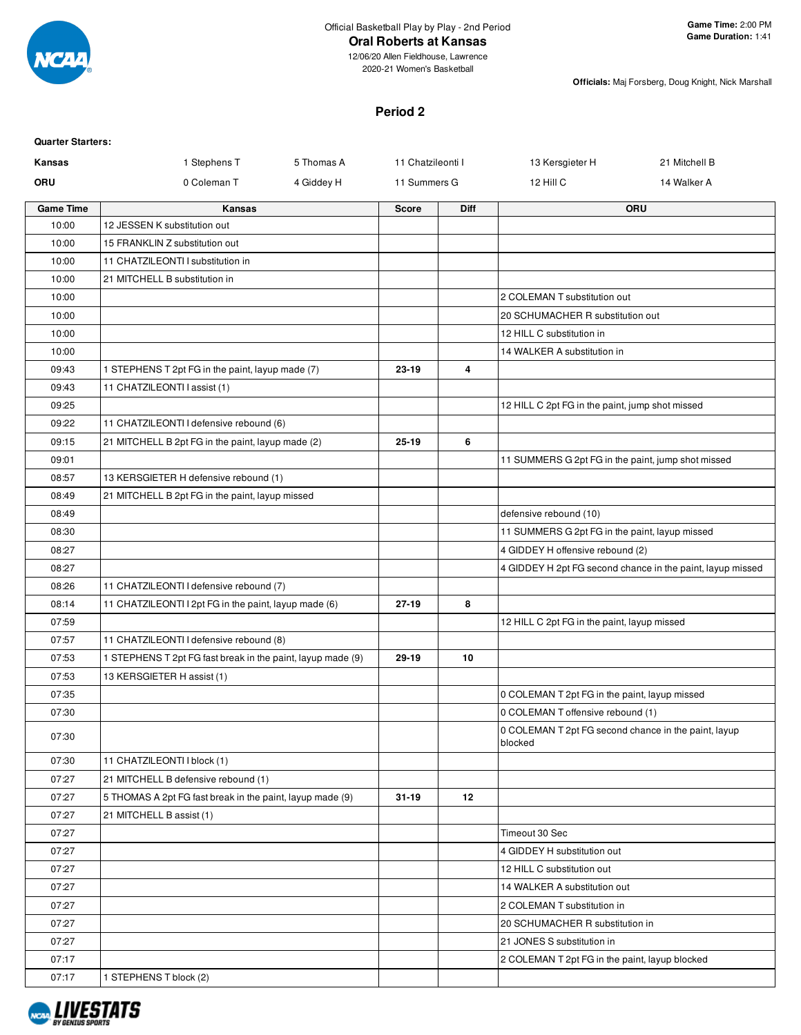

12/06/20 Allen Fieldhouse, Lawrence 2020-21 Women's Basketball

**Officials:** Maj Forsberg, Doug Knight, Nick Marshall

# **Period 2**

| <b>Quarter Starters:</b> |                                                             |            |                   |             |                                                                 |                                                            |
|--------------------------|-------------------------------------------------------------|------------|-------------------|-------------|-----------------------------------------------------------------|------------------------------------------------------------|
| Kansas                   | 1 Stephens T                                                | 5 Thomas A | 11 Chatzileonti I |             | 13 Kersgieter H                                                 | 21 Mitchell B                                              |
| <b>ORU</b>               | 0 Coleman T                                                 | 4 Giddey H | 11 Summers G      |             | 12 Hill C                                                       | 14 Walker A                                                |
| <b>Game Time</b>         | Kansas                                                      |            | <b>Score</b>      | <b>Diff</b> |                                                                 | <b>ORU</b>                                                 |
| 10:00                    | 12 JESSEN K substitution out                                |            |                   |             |                                                                 |                                                            |
| 10:00                    | 15 FRANKLIN Z substitution out                              |            |                   |             |                                                                 |                                                            |
| 10:00                    | 11 CHATZILEONTI I substitution in                           |            |                   |             |                                                                 |                                                            |
| 10:00                    | 21 MITCHELL B substitution in                               |            |                   |             |                                                                 |                                                            |
| 10:00                    |                                                             |            |                   |             | 2 COLEMAN T substitution out                                    |                                                            |
| 10:00                    |                                                             |            |                   |             | 20 SCHUMACHER R substitution out                                |                                                            |
| 10:00                    |                                                             |            |                   |             | 12 HILL C substitution in                                       |                                                            |
| 10:00                    |                                                             |            |                   |             | 14 WALKER A substitution in                                     |                                                            |
| 09:43                    | 1 STEPHENS T 2pt FG in the paint, layup made (7)            |            | 23-19             | 4           |                                                                 |                                                            |
| 09:43                    | 11 CHATZILEONTI I assist (1)                                |            |                   |             |                                                                 |                                                            |
| 09:25                    |                                                             |            |                   |             | 12 HILL C 2pt FG in the paint, jump shot missed                 |                                                            |
| 09:22                    | 11 CHATZILEONTI I defensive rebound (6)                     |            |                   |             |                                                                 |                                                            |
| 09:15                    | 21 MITCHELL B 2pt FG in the paint, layup made (2)           |            | 25-19             | 6           |                                                                 |                                                            |
| 09:01                    |                                                             |            |                   |             | 11 SUMMERS G 2pt FG in the paint, jump shot missed              |                                                            |
| 08:57                    | 13 KERSGIETER H defensive rebound (1)                       |            |                   |             |                                                                 |                                                            |
| 08:49                    | 21 MITCHELL B 2pt FG in the paint, layup missed             |            |                   |             |                                                                 |                                                            |
| 08:49                    |                                                             |            |                   |             | defensive rebound (10)                                          |                                                            |
| 08:30                    |                                                             |            |                   |             | 11 SUMMERS G 2pt FG in the paint, layup missed                  |                                                            |
| 08:27                    |                                                             |            |                   |             | 4 GIDDEY H offensive rebound (2)                                |                                                            |
| 08:27                    |                                                             |            |                   |             |                                                                 | 4 GIDDEY H 2pt FG second chance in the paint, layup missed |
| 08:26                    | 11 CHATZILEONTI I defensive rebound (7)                     |            |                   |             |                                                                 |                                                            |
| 08:14                    | 11 CHATZILEONTI I 2pt FG in the paint, layup made (6)       |            | 27-19             | 8           |                                                                 |                                                            |
| 07:59                    |                                                             |            |                   |             | 12 HILL C 2pt FG in the paint, layup missed                     |                                                            |
| 07:57                    | 11 CHATZILEONTI I defensive rebound (8)                     |            |                   |             |                                                                 |                                                            |
| 07:53                    | 1 STEPHENS T 2pt FG fast break in the paint, layup made (9) |            | $29 - 19$         | 10          |                                                                 |                                                            |
| 07:53                    | 13 KERSGIETER H assist (1)                                  |            |                   |             |                                                                 |                                                            |
| 07:35                    |                                                             |            |                   |             | 0 COLEMAN T 2pt FG in the paint, layup missed                   |                                                            |
| 07:30                    |                                                             |            |                   |             | 0 COLEMAN T offensive rebound (1)                               |                                                            |
| 07:30                    |                                                             |            |                   |             | 0 COLEMAN T 2pt FG second chance in the paint, layup<br>blocked |                                                            |
| 07:30                    | 11 CHATZILEONTI I block (1)                                 |            |                   |             |                                                                 |                                                            |
| 07:27                    | 21 MITCHELL B defensive rebound (1)                         |            |                   |             |                                                                 |                                                            |
| 07:27                    | 5 THOMAS A 2pt FG fast break in the paint, layup made (9)   |            | $31 - 19$         | 12          |                                                                 |                                                            |
| 07:27                    | 21 MITCHELL B assist (1)                                    |            |                   |             |                                                                 |                                                            |
| 07:27                    |                                                             |            |                   |             | Timeout 30 Sec                                                  |                                                            |
| 07:27                    |                                                             |            |                   |             | 4 GIDDEY H substitution out                                     |                                                            |
| 07:27                    |                                                             |            |                   |             | 12 HILL C substitution out                                      |                                                            |
| 07:27                    |                                                             |            |                   |             | 14 WALKER A substitution out                                    |                                                            |
| 07:27                    |                                                             |            |                   |             | 2 COLEMAN T substitution in                                     |                                                            |
| 07:27                    |                                                             |            |                   |             | 20 SCHUMACHER R substitution in                                 |                                                            |
| 07:27                    |                                                             |            |                   |             | 21 JONES S substitution in                                      |                                                            |
| 07:17                    |                                                             |            |                   |             | 2 COLEMAN T 2pt FG in the paint, layup blocked                  |                                                            |
| 07:17                    | 1 STEPHENS T block (2)                                      |            |                   |             |                                                                 |                                                            |

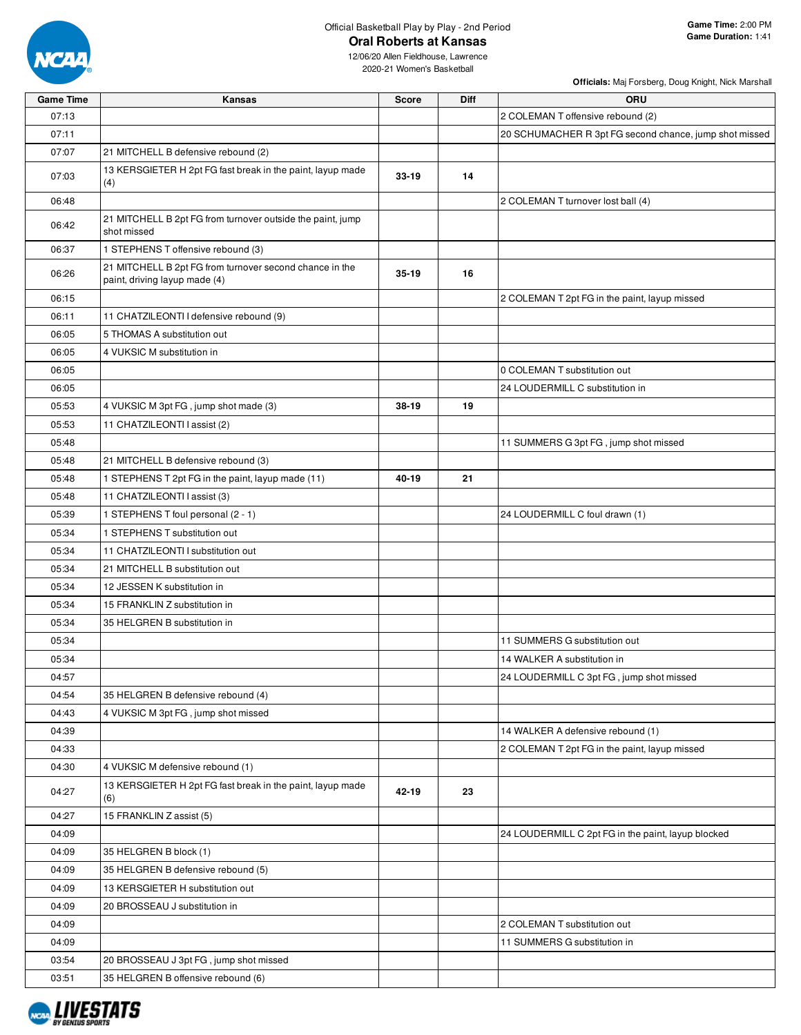

## Official Basketball Play by Play - 2nd Period **Oral Roberts at Kansas**

**Officials:** Maj Forsberg, Doug Knight, Nick Marshall

| <b>Game Time</b> | Kansas                                                                                   | <b>Score</b> | Diff | ORU                                                    |
|------------------|------------------------------------------------------------------------------------------|--------------|------|--------------------------------------------------------|
| 07:13            |                                                                                          |              |      | 2 COLEMAN T offensive rebound (2)                      |
| 07:11            |                                                                                          |              |      | 20 SCHUMACHER R 3pt FG second chance, jump shot missed |
| 07:07            | 21 MITCHELL B defensive rebound (2)                                                      |              |      |                                                        |
| 07:03            | 13 KERSGIETER H 2pt FG fast break in the paint, layup made                               | $33 - 19$    | 14   |                                                        |
|                  | (4)                                                                                      |              |      |                                                        |
| 06:48            |                                                                                          |              |      | 2 COLEMAN T turnover lost ball (4)                     |
| 06:42            | 21 MITCHELL B 2pt FG from turnover outside the paint, jump<br>shot missed                |              |      |                                                        |
| 06:37            | 1 STEPHENS T offensive rebound (3)                                                       |              |      |                                                        |
| 06:26            | 21 MITCHELL B 2pt FG from turnover second chance in the<br>paint, driving layup made (4) | 35-19        | 16   |                                                        |
| 06:15            |                                                                                          |              |      | 2 COLEMAN T 2pt FG in the paint, layup missed          |
| 06:11            | 11 CHATZILEONTI I defensive rebound (9)                                                  |              |      |                                                        |
| 06:05            | 5 THOMAS A substitution out                                                              |              |      |                                                        |
| 06:05            | 4 VUKSIC M substitution in                                                               |              |      |                                                        |
| 06:05            |                                                                                          |              |      | 0 COLEMAN T substitution out                           |
| 06:05            |                                                                                          |              |      | 24 LOUDERMILL C substitution in                        |
| 05:53            | 4 VUKSIC M 3pt FG, jump shot made (3)                                                    | 38-19        | 19   |                                                        |
| 05:53            | 11 CHATZILEONTI I assist (2)                                                             |              |      |                                                        |
| 05:48            |                                                                                          |              |      | 11 SUMMERS G 3pt FG, jump shot missed                  |
| 05:48            | 21 MITCHELL B defensive rebound (3)                                                      |              |      |                                                        |
| 05:48            | 1 STEPHENS T 2pt FG in the paint, layup made (11)                                        | 40-19        | 21   |                                                        |
| 05:48            | 11 CHATZILEONTI I assist (3)                                                             |              |      |                                                        |
| 05:39            | 1 STEPHENS T foul personal (2 - 1)                                                       |              |      | 24 LOUDERMILL C foul drawn (1)                         |
| 05:34            | 1 STEPHENS T substitution out                                                            |              |      |                                                        |
| 05:34            | 11 CHATZILEONTI I substitution out                                                       |              |      |                                                        |
| 05:34            | 21 MITCHELL B substitution out                                                           |              |      |                                                        |
| 05:34            | 12 JESSEN K substitution in                                                              |              |      |                                                        |
| 05:34            | 15 FRANKLIN Z substitution in                                                            |              |      |                                                        |
| 05:34            | 35 HELGREN B substitution in                                                             |              |      |                                                        |
| 05:34            |                                                                                          |              |      | 11 SUMMERS G substitution out                          |
| 05:34            |                                                                                          |              |      | 14 WALKER A substitution in                            |
| 04:57            |                                                                                          |              |      | 24 LOUDERMILL C 3pt FG, jump shot missed               |
| 04:54            | 35 HELGREN B defensive rebound (4)                                                       |              |      |                                                        |
| 04:43            | 4 VUKSIC M 3pt FG, jump shot missed                                                      |              |      |                                                        |
| 04:39            |                                                                                          |              |      | 14 WALKER A defensive rebound (1)                      |
| 04:33            |                                                                                          |              |      | 2 COLEMAN T 2pt FG in the paint, layup missed          |
| 04:30            | 4 VUKSIC M defensive rebound (1)                                                         |              |      |                                                        |
| 04:27            | 13 KERSGIETER H 2pt FG fast break in the paint, layup made<br>(6)                        | 42-19        | 23   |                                                        |
| 04:27            | 15 FRANKLIN Z assist (5)                                                                 |              |      |                                                        |
| 04:09            |                                                                                          |              |      | 24 LOUDERMILL C 2pt FG in the paint, layup blocked     |
| 04:09            | 35 HELGREN B block (1)                                                                   |              |      |                                                        |
| 04:09            | 35 HELGREN B defensive rebound (5)                                                       |              |      |                                                        |
| 04:09            | 13 KERSGIETER H substitution out                                                         |              |      |                                                        |
| 04:09            | 20 BROSSEAU J substitution in                                                            |              |      |                                                        |
| 04:09            |                                                                                          |              |      | 2 COLEMAN T substitution out                           |
| 04:09            |                                                                                          |              |      | 11 SUMMERS G substitution in                           |
| 03:54            | 20 BROSSEAU J 3pt FG, jump shot missed                                                   |              |      |                                                        |
| 03:51            | 35 HELGREN B offensive rebound (6)                                                       |              |      |                                                        |

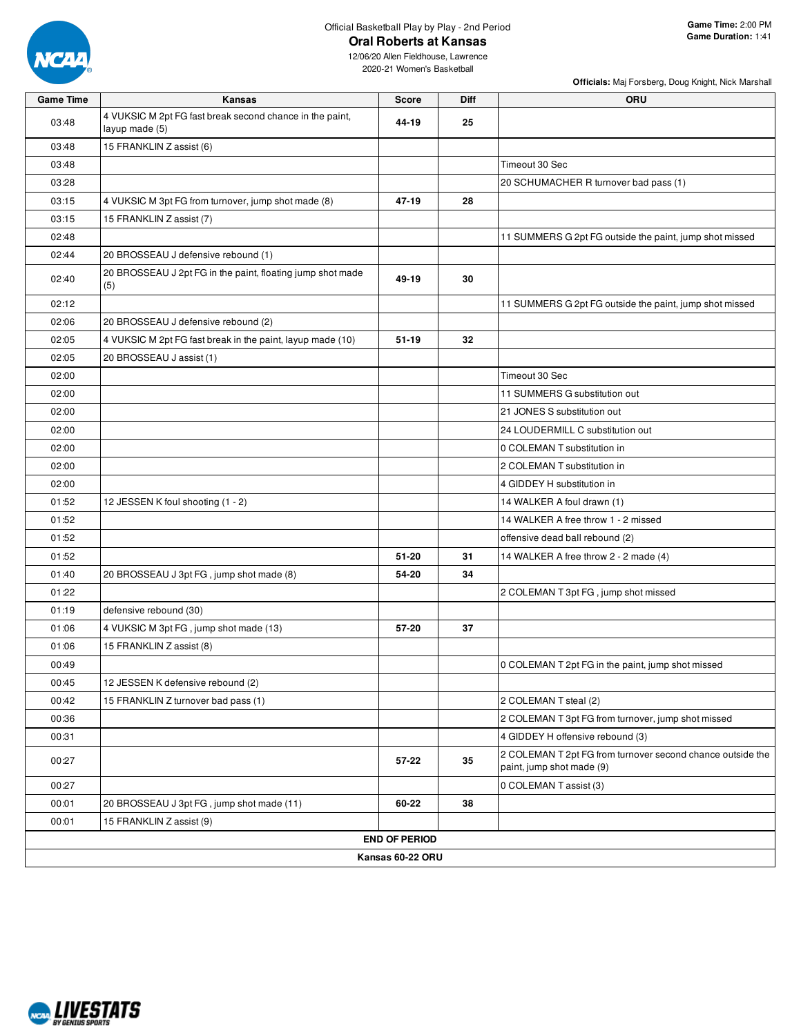

2020-21 Women's Basketball

| <b>Game Time</b> | Kansas                                                                     | <b>Score</b>         | Diff | <b>ORU</b>                                                                              |
|------------------|----------------------------------------------------------------------------|----------------------|------|-----------------------------------------------------------------------------------------|
| 03:48            | 4 VUKSIC M 2pt FG fast break second chance in the paint,<br>layup made (5) | 44-19                | 25   |                                                                                         |
| 03:48            | 15 FRANKLIN Z assist (6)                                                   |                      |      |                                                                                         |
| 03:48            |                                                                            |                      |      | Timeout 30 Sec                                                                          |
| 03:28            |                                                                            |                      |      | 20 SCHUMACHER R turnover bad pass (1)                                                   |
| 03:15            | 4 VUKSIC M 3pt FG from turnover, jump shot made (8)                        | 47-19                | 28   |                                                                                         |
| 03:15            | 15 FRANKLIN Z assist (7)                                                   |                      |      |                                                                                         |
| 02:48            |                                                                            |                      |      | 11 SUMMERS G 2pt FG outside the paint, jump shot missed                                 |
| 02:44            | 20 BROSSEAU J defensive rebound (1)                                        |                      |      |                                                                                         |
| 02:40            | 20 BROSSEAU J 2pt FG in the paint, floating jump shot made<br>(5)          | 49-19                | 30   |                                                                                         |
| 02:12            |                                                                            |                      |      | 11 SUMMERS G 2pt FG outside the paint, jump shot missed                                 |
| 02:06            | 20 BROSSEAU J defensive rebound (2)                                        |                      |      |                                                                                         |
| 02:05            | 4 VUKSIC M 2pt FG fast break in the paint, layup made (10)                 | $51 - 19$            | 32   |                                                                                         |
| 02:05            | 20 BROSSEAU J assist (1)                                                   |                      |      |                                                                                         |
| 02:00            |                                                                            |                      |      | Timeout 30 Sec                                                                          |
| 02:00            |                                                                            |                      |      | 11 SUMMERS G substitution out                                                           |
| 02:00            |                                                                            |                      |      | 21 JONES S substitution out                                                             |
| 02:00            |                                                                            |                      |      | 24 LOUDERMILL C substitution out                                                        |
| 02:00            |                                                                            |                      |      | 0 COLEMAN T substitution in                                                             |
| 02:00            |                                                                            |                      |      | 2 COLEMAN T substitution in                                                             |
| 02:00            |                                                                            |                      |      | 4 GIDDEY H substitution in                                                              |
| 01:52            | 12 JESSEN K foul shooting (1 - 2)                                          |                      |      | 14 WALKER A foul drawn (1)                                                              |
| 01:52            |                                                                            |                      |      | 14 WALKER A free throw 1 - 2 missed                                                     |
| 01:52            |                                                                            |                      |      | offensive dead ball rebound (2)                                                         |
| 01:52            |                                                                            | $51 - 20$            | 31   | 14 WALKER A free throw 2 - 2 made (4)                                                   |
| 01:40            | 20 BROSSEAU J 3pt FG, jump shot made (8)                                   | 54-20                | 34   |                                                                                         |
| 01:22            |                                                                            |                      |      | 2 COLEMAN T 3pt FG, jump shot missed                                                    |
| 01:19            | defensive rebound (30)                                                     |                      |      |                                                                                         |
| 01:06            | 4 VUKSIC M 3pt FG, jump shot made (13)                                     | 57-20                | 37   |                                                                                         |
| 01:06            | 15 FRANKLIN Z assist (8)                                                   |                      |      |                                                                                         |
| 00:49            |                                                                            |                      |      | 0 COLEMAN T 2pt FG in the paint, jump shot missed                                       |
| 00:45            | 12 JESSEN K defensive rebound (2)                                          |                      |      |                                                                                         |
| 00:42            | 15 FRANKLIN Z turnover bad pass (1)                                        |                      |      | 2 COLEMAN T steal (2)                                                                   |
| 00:36            |                                                                            |                      |      | 2 COLEMAN T 3pt FG from turnover, jump shot missed                                      |
| 00:31            |                                                                            |                      |      | 4 GIDDEY H offensive rebound (3)                                                        |
| 00:27            |                                                                            | 57-22                | 35   | 2 COLEMAN T 2pt FG from turnover second chance outside the<br>paint, jump shot made (9) |
| 00:27            |                                                                            |                      |      | 0 COLEMAN T assist (3)                                                                  |
| 00:01            | 20 BROSSEAU J 3pt FG, jump shot made (11)                                  | 60-22                | 38   |                                                                                         |
| 00:01            | 15 FRANKLIN Z assist (9)                                                   |                      |      |                                                                                         |
|                  |                                                                            | <b>END OF PERIOD</b> |      |                                                                                         |
|                  |                                                                            | Kansas 60-22 ORU     |      |                                                                                         |

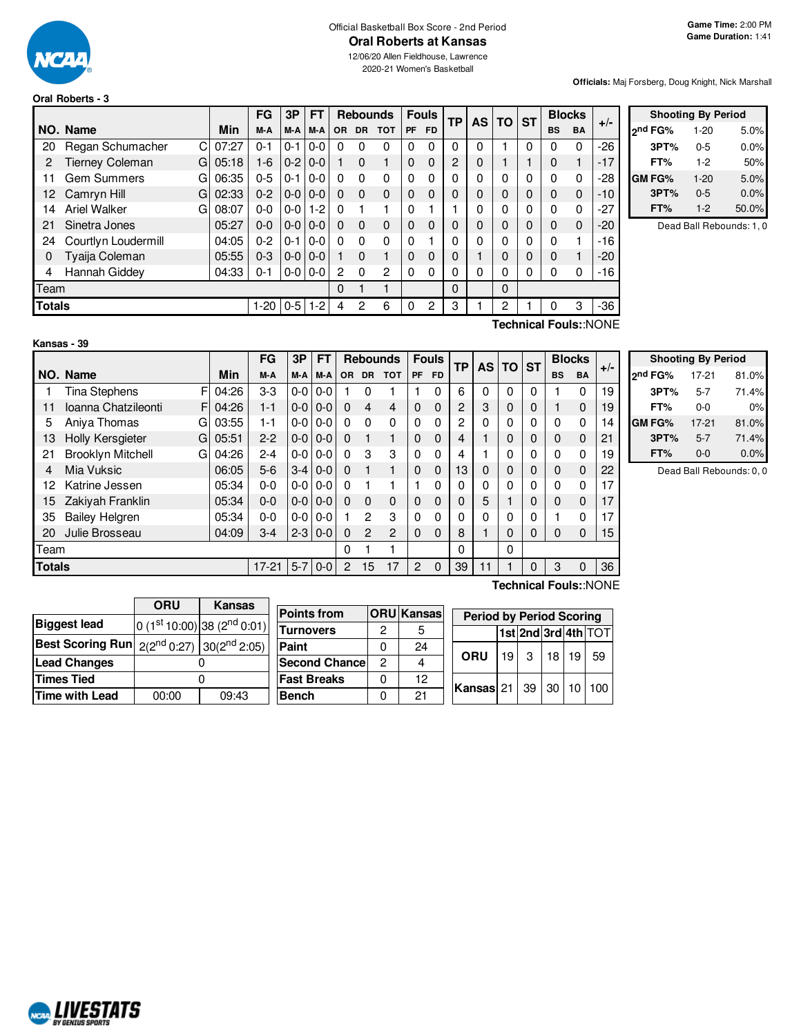

**Oral Roberts - 3**

# Official Basketball Box Score - 2nd Period

12/06/20 Allen Fieldhouse, Lawrence 2020-21 Women's Basketball

#### **Officials:** Maj Forsberg, Doug Knight, Nick Marshall

|     |                                             |       | FG      | 3P      | FT      |          |           | <b>Rebounds</b> | <b>Fouls</b> |              | <b>TP</b>      | <b>AS</b> | <b>TO</b> | <b>ST</b>   |           | <b>Blocks</b> | $+/-$ |
|-----|---------------------------------------------|-------|---------|---------|---------|----------|-----------|-----------------|--------------|--------------|----------------|-----------|-----------|-------------|-----------|---------------|-------|
|     | NO. Name                                    | Min   | M-A     | M-A     | M-A     | OR.      | <b>DR</b> | <b>TOT</b>      | <b>PF</b>    | <b>FD</b>    |                |           |           |             | <b>BS</b> | <b>BA</b>     |       |
| 20  | Regan Schumacher<br>C                       | 07:27 | $0 - 1$ | $0 - 1$ | $0 - 0$ | 0        | $\Omega$  | $\Omega$        | 0            | $\mathbf{0}$ | 0              | 0         |           | $\mathbf 0$ | 0         | 0             | $-26$ |
| 2   | <b>Tierney Coleman</b><br>G                 | 05:18 | $1 - 6$ | $0 - 2$ | $0 - 0$ |          | 0         |                 | $\Omega$     | $\Omega$     | $\overline{c}$ | 0         |           |             | 0         |               | $-17$ |
| 11  | <b>Gem Summers</b><br>G                     | 06:35 | $0 - 5$ | $0 - 1$ | $0 - 0$ | $\Omega$ | $\Omega$  | $\Omega$        | $\Omega$     | 0            |                | 0         | 0         | 0           | $\Omega$  | 0             | $-28$ |
| 12. | Camryn Hill<br>G                            | 02:33 | $0 - 2$ | $0 - 0$ | $0 - 0$ | $\Omega$ | $\Omega$  | $\Omega$        | $\Omega$     | 0            | 0              | 0         | 0         | 0           | $\Omega$  | $\mathbf 0$   | $-10$ |
| 14  | <b>Ariel Walker</b><br>G                    | 08:07 | $0 - 0$ | $0 - 0$ | $1 - 2$ | $\Omega$ |           |                 | $\Omega$     |              |                | 0         | 0         | 0           | 0         | 0             | $-27$ |
| 21  | Sinetra Jones                               | 05:27 | $0 - 0$ | $0-0$   | $0 - 0$ | $\Omega$ | $\Omega$  | $\mathbf 0$     | $\Omega$     | $\Omega$     | 0              | 0         | 0         | 0           | $\Omega$  | $\mathbf 0$   | $-20$ |
| 24  | Courtlyn Loudermill                         | 04:05 | $0 - 2$ | $0 - 1$ | $0 - 0$ | 0        | $\Omega$  | $\Omega$        | $\Omega$     |              |                | 0         | 0         | 0           | 0         |               | $-16$ |
| 0   | Tyaija Coleman                              | 05:55 | $0 - 3$ | $0 - 0$ | $0 - 0$ |          | $\Omega$  |                 | $\Omega$     | 0            | 0              |           | 0         | $\mathbf 0$ | $\Omega$  |               | $-20$ |
| 4   | Hannah Giddey                               | 04:33 | $0 - 1$ | $0 - 0$ | $0 - 0$ | 2        | $\Omega$  | $\overline{c}$  | $\Omega$     | $\Omega$     |                | 0         | 0         | 0           | 0         | 0             | $-16$ |
|     | Team                                        |       |         |         |         |          |           |                 |              |              | 0              |           | $\Omega$  |             |           |               |       |
|     | <b>Totals</b><br>$0 - 5$<br>$1-2$<br>$1-20$ |       |         |         |         |          |           | 6               | 0            | 2            | 3              |           | 2         |             |           | 3             | $-36$ |

|               | <b>Shooting By Period</b> |       |
|---------------|---------------------------|-------|
| 2nd FG%       | $1 - 20$                  | 5.0%  |
| 3PT%          | $0 - 5$                   | 0.0%  |
| FT%           | $1-2$                     | 50%   |
| <b>GM FG%</b> | $1 - 20$                  | 5.0%  |
| 3PT%          | $0 - 5$                   | 0.0%  |
| FT%           | $1 - 2$                   | 50.0% |

Dead Ball Rebounds: 1, 0

| Kansas - 39 |  |  |  |
|-------------|--|--|--|
|-------------|--|--|--|

**Technical Fouls:**:NONE

|        |                               |       | FG      | 3P    | <b>FT</b> | <b>Rebounds</b> |                |                | <b>Fouls</b>   | <b>TP</b> |          | AS TO | <b>ST</b>   | <b>Blocks</b> |                       |             |       |
|--------|-------------------------------|-------|---------|-------|-----------|-----------------|----------------|----------------|----------------|-----------|----------|-------|-------------|---------------|-----------------------|-------------|-------|
|        | NO. Name                      | Min   | M-A     | M-A   | M-A       | <b>OR</b>       | <b>DR</b>      | <b>TOT</b>     | <b>PF</b>      | <b>FD</b> |          |       |             |               | <b>BS</b>             | <b>BA</b>   | $+/-$ |
|        | F<br><b>Tina Stephens</b>     | 04:26 | $3-3$   | $0-0$ | $0-0$     |                 | $\Omega$       |                |                | $\Omega$  | 6        | 0     | 0           | 0             |                       | 0           | 19    |
| 11     | Ioanna Chatzileonti<br>F.     | 04:26 | $1 - 1$ | $0-0$ | $0-0$     | $\Omega$        | 4              | 4              | $\Omega$       | $\Omega$  | 2        | 3     | 0           | $\Omega$      |                       | $\mathbf 0$ | 19    |
| 5      | Aniva Thomas<br>G             | 03:55 | $1 - 1$ | $0-0$ | $0-0$     | $\Omega$        | $\Omega$       | $\Omega$       | $\Omega$       | $\Omega$  | 2        | 0     | $\Omega$    | 0             | $\Omega$              | 0           | 14    |
| 13     | <b>Holly Kersgieter</b><br>G  | 05:51 | $2 - 2$ | $0-0$ | $0 - 0$   | $\Omega$        |                | 1              | $\Omega$       | $\Omega$  | 4        |       | 0           | 0             | 0                     | $\mathbf 0$ | 21    |
| 21     | <b>Brooklyn Mitchell</b><br>G | 04:26 | $2 - 4$ | $0-0$ | $0-0$     | $\Omega$        | 3              | 3              | $\Omega$       | $\Omega$  | 4        |       | 0           | 0             | $\Omega$              | 0           | 19    |
| 4      | Mia Vuksic                    | 06:05 | $5 - 6$ | $3-4$ | $0 - 0$   | $\Omega$        |                | 1              | $\Omega$       | $\Omega$  | 13       | 0     | $\mathbf 0$ | 0             | 0                     | $\mathbf 0$ | 22    |
| 12     | Katrine Jessen                | 05:34 | $0 - 0$ | $0-0$ | $0-0$     | $\Omega$        |                |                |                | $\Omega$  | 0        | 0     | 0           | 0             | 0                     | 0           | 17    |
| 15     | Zakiyah Franklin              | 05:34 | $0 - 0$ | $0-0$ | $0-0$     | $\Omega$        | $\Omega$       | $\mathbf 0$    | $\Omega$       | $\Omega$  | 0        | 5     |             | 0             | 0                     | $\mathbf 0$ | 17    |
| 35     | <b>Bailey Helgren</b>         | 05:34 | $0 - 0$ | $0-0$ | $0-0$     |                 | 2              | 3              | $\Omega$       | $\Omega$  | $\Omega$ | 0     | $\Omega$    | 0             |                       | 0           | 17    |
| 20     | Julie Brosseau                | 04:09 | $3-4$   | $2-3$ | $0-0$     | $\Omega$        | $\overline{2}$ | $\overline{2}$ | $\Omega$       | $\Omega$  | 8        |       | 0           | 0             | 0                     | $\mathbf 0$ | 15    |
| Team   |                               |       |         |       |           | 0               |                | 1              |                |           | $\Omega$ |       | 0           |               |                       |             |       |
| Totals |                               |       | $17-21$ | $5-7$ | $0-0$     | 2               | 15             | 17             | $\overline{2}$ | $\Omega$  | 39       | 11    |             | 0             | 3                     | $\mathbf 0$ | 36    |
|        |                               |       |         |       |           |                 |                |                |                |           |          |       |             |               | Technical Fouls::NONE |             |       |

 $\overline{\phantom{a}}$ 

|                     | <b>Shooting By Period</b> |       |
|---------------------|---------------------------|-------|
| 2 <sup>nd</sup> FG% | $17-21$                   | 81.0% |
| 3PT%                | $5 - 7$                   | 71.4% |
| FT%                 | $0 - 0$                   | 0%    |
| <b>GM FG%</b>       | $17-21$                   | 81.0% |
| 3PT%                | $5 - 7$                   | 71.4% |
| FT%                 | $0 - 0$                   | 0.0%  |

Dead Ball Rebounds: 0, 0

|                                                            | <b>ORU</b> | Kansas                                  |                |
|------------------------------------------------------------|------------|-----------------------------------------|----------------|
|                                                            |            |                                         | <b>Points1</b> |
| <b>Biggest lead</b>                                        |            | 0 (1st 10:00) 38 (2 <sup>nd</sup> 0:01) | Turnov         |
| <b>Best Scoring Run</b> $2(2^{nd} 0.27)$ $30(2^{nd} 2.05)$ |            |                                         | Paint          |
| <b>Lead Changes</b>                                        |            |                                         | Second         |
| <b>Times Tied</b>                                          |            |                                         | <b>Fast Br</b> |
| <b>Time with Lead</b>                                      | 00:00      | 09:43                                   | <b>Bench</b>   |

 $\mathbf{r}$ 

| <b>Points from</b>    |   | <b>ORU</b> Kansas | <b>Period by Period Scoring</b> |                 |           |    |    |                     |  |  |
|-----------------------|---|-------------------|---------------------------------|-----------------|-----------|----|----|---------------------|--|--|
| <b>Turnovers</b>      | 2 | 5                 |                                 |                 |           |    |    | 1st 2nd 3rd 4th TOT |  |  |
| Paint                 |   | 24                |                                 |                 |           |    |    |                     |  |  |
| <b>Second Chancel</b> | 2 |                   | <b>ORU</b>                      | 19 <sup>1</sup> | $\cdot$ 3 | 18 | 19 | 59                  |  |  |
| <b>Fast Breaks</b>    |   | 12                | <b>Kansas 21 39 30 10</b>       |                 |           |    |    | 100                 |  |  |
| <b>Bench</b>          |   | 21                |                                 |                 |           |    |    |                     |  |  |

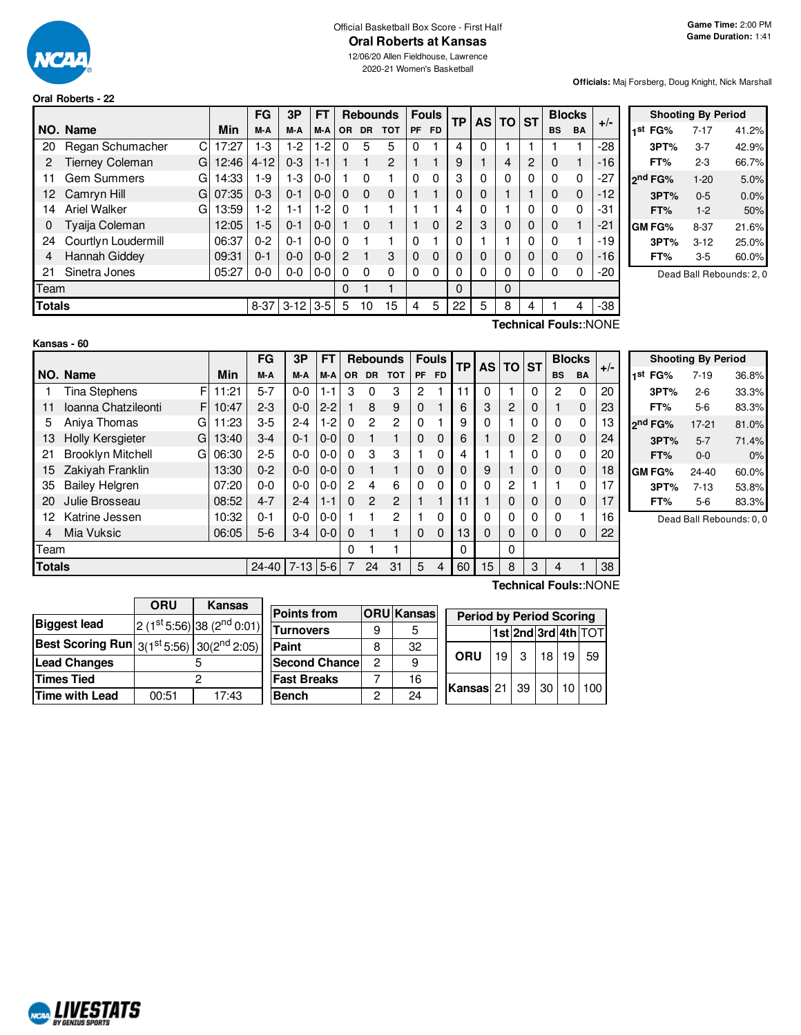

#### Official Basketball Box Score - First Half **Oral Roberts at Kansas** 12/06/20 Allen Fieldhouse, Lawrence

2020-21 Women's Basketball

## **Oral Roberts - 22**

**Officials:** Maj Forsberg, Doug Knight, Nick Marshall

|               |                             |       | <b>FG</b> | 3P         | <b>FT</b> |           |           | <b>Rebounds</b> |           | <b>Fouls</b> | ТP             |   | <b>AS TO</b> | <b>ST</b> |           | <b>Blocks</b> | $+/-$ |
|---------------|-----------------------------|-------|-----------|------------|-----------|-----------|-----------|-----------------|-----------|--------------|----------------|---|--------------|-----------|-----------|---------------|-------|
|               | NO. Name                    | Min   | M-A       | M-A        | M-A       | <b>OR</b> | <b>DR</b> | <b>TOT</b>      | <b>PF</b> | FD.          |                |   |              |           | <b>BS</b> | <b>BA</b>     |       |
| 20            | Regan Schumacher<br>С       | 17:27 | $1-3$     | $1-2$      | $1-2$     | 0         | 5         | 5               | 0         |              | 4              | 0 |              |           |           |               | -28   |
| 2             | <b>Tierney Coleman</b><br>G | 12:46 | $4 - 12$  | $0 - 3$    | $1 - 1$   |           |           | $\overline{2}$  |           |              | 9              |   | 4            | 2         | 0         |               | $-16$ |
| 11            | <b>Gem Summers</b><br>G     | 14:33 | 1-9       | 1-3        | $0 - 0$   |           | 0         |                 | $\Omega$  | $\Omega$     | 3              | 0 | 0            | 0         | $\Omega$  | 0             | -27   |
| 12            | G<br>Camryn Hill            | 07:35 | $0 - 3$   | $0 - 1$    | $0 - 0$   | $\Omega$  | $\Omega$  | $\Omega$        |           |              | 0              | 0 |              |           | 0         | $\mathbf 0$   | $-12$ |
| 14            | Ariel Walker<br>G           | 13:59 | $1-2$     | $1 - 1$    | $1-2$     | $\Omega$  |           |                 |           |              | 4              | 0 |              | 0         | 0         | $\Omega$      | -31   |
| 0             | Tyaija Coleman              | 12:05 | $1-5$     | $0 - 1$    | $0 - 0$   |           | $\Omega$  |                 |           | $\Omega$     | $\overline{c}$ | 3 | 0            | 0         | $\Omega$  | 1             | -21   |
| 24            | Courtlyn Loudermill         | 06:37 | $0 - 2$   | $0 - 1$    | $0 - 0$   | $\Omega$  |           |                 |           |              | 0              |   |              | 0         | 0         | 1             | $-19$ |
| 4             | Hannah Giddey               | 09:31 | $0 - 1$   | $0 - 0$    | $0 - 0$   | 2         | 1         | 3               | 0         | $\Omega$     | $\Omega$       | 0 | 0            | 0         | $\Omega$  | $\Omega$      | $-16$ |
| 21            | Sinetra Jones               | 05:27 | $0-0$     | $0 - 0$    | $0-0$     | $\Omega$  | $\Omega$  | $\Omega$        | $\Omega$  | $\Omega$     | $\Omega$       | 0 | 0            | 0         | $\Omega$  | 0             | $-20$ |
| Team          |                             |       |           |            |           | 0         |           | 1               |           |              | 0              |   | $\Omega$     |           |           |               |       |
| <b>Totals</b> |                             |       | $8 - 37$  | $3-12$ 3-5 |           | 5         | 10        | 15              | 4         | 5            | 22             | 5 | 8            | 4         |           | 4             | $-38$ |
|               |                             |       |           |            |           |           |           |                 |           |              |                |   |              |           |           |               |       |

| <b>Shooting By Period</b> |          |       |  |  |  |  |  |  |  |  |  |
|---------------------------|----------|-------|--|--|--|--|--|--|--|--|--|
| 1 <sup>st</sup> FG%       | 7-17     | 41.2% |  |  |  |  |  |  |  |  |  |
| 3PT%                      | $3 - 7$  | 42.9% |  |  |  |  |  |  |  |  |  |
| FT%                       | 2-3      | 66.7% |  |  |  |  |  |  |  |  |  |
| 2 <sup>nd</sup> FG%       | $1 - 20$ | 5.0%  |  |  |  |  |  |  |  |  |  |
| 3PT%                      | $0 - 5$  | 0.0%  |  |  |  |  |  |  |  |  |  |
| FT%                       | $1 - 2$  | 50%   |  |  |  |  |  |  |  |  |  |
| <b>GM FG%</b>             | $8 - 37$ | 21.6% |  |  |  |  |  |  |  |  |  |
| 3PT%                      | $3 - 12$ | 25.0% |  |  |  |  |  |  |  |  |  |
| FT%                       | 3-5      | 60.0% |  |  |  |  |  |  |  |  |  |
|                           |          |       |  |  |  |  |  |  |  |  |  |

Dead Ball Rebounds: 2, 0

**Kansas - 60**

**Technical Fouls:**:NONE

|               |                               |       | FG        | 3P       | FT      | <b>Rebounds</b> |               | <b>Fouls</b>   |           | <b>TP</b>    | AS I | <b>TO</b> | <b>ST</b> | <b>Blocks</b> |              | $+/-$     |    |
|---------------|-------------------------------|-------|-----------|----------|---------|-----------------|---------------|----------------|-----------|--------------|------|-----------|-----------|---------------|--------------|-----------|----|
|               | NO. Name                      | Min   | M-A       | M-A      | M-A     | <b>OR</b>       | <b>DR</b>     | <b>TOT</b>     | <b>PF</b> | FD.          |      |           |           |               | <b>BS</b>    | <b>BA</b> |    |
|               | <b>Tina Stephens</b><br>F     | 11:21 | $5 - 7$   | $0-0$    | $1 - 1$ | 3               | 0             | 3              | 2         |              | 11   | 0         |           | 0             | 2            | 0         | 20 |
| 11            | Ioanna Chatzileonti<br>F      | 10:47 | $2 - 3$   | $0-0$    | $2 - 2$ |                 | 8             | 9              | 0         |              | 6    | 3         | 2         | $\Omega$      |              | 0         | 23 |
| 5             | Aniva Thomas<br>G             | 11:23 | $3-5$     | $2 - 4$  | $1-2$   | $\Omega$        | $\mathcal{P}$ | $\overline{2}$ | 0         |              | 9    | 0         |           | 0             | 0            | $\Omega$  | 13 |
| 13            | <b>Holly Kersgieter</b><br>G  | 13:40 | $3-4$     | $0 - 1$  | $0-0$   | $\Omega$        |               | 1              | 0         | $\Omega$     | 6    |           | 0         | 2             | $\mathbf{0}$ | 0         | 24 |
| 21            | <b>Brooklyn Mitchell</b><br>G | 06:30 | $2 - 5$   | $0-0$    | $0 - 0$ | $\Omega$        | 3             | 3              |           | 0            | 4    |           |           | 0             | 0            | $\Omega$  | 20 |
| 15            | Zakiyah Franklin              | 13:30 | $0 - 2$   | $0 - 0$  | $0 - 0$ | $\Omega$        |               | 1              | 0         | $\mathbf{0}$ | 0    | 9         |           | $\Omega$      | 0            | $\Omega$  | 18 |
| 35            | <b>Bailey Helgren</b>         | 07:20 | $0 - 0$   | $0-0$    | $0-0$   | 2               | 4             | 6              | 0         | 0            | 0    | 0         | 2         |               |              | 0         | 17 |
| 20            | Julie Brosseau                | 08:52 | $4 - 7$   | $2 - 4$  | 1-1     | $\Omega$        | $\mathcal{P}$ | 2              |           |              | 11   |           | $\Omega$  | $\Omega$      | $\mathbf 0$  | $\Omega$  | 17 |
| 12            | Katrine Jessen                | 10:32 | $0 - 1$   | $0-0$    | $0-0$   |                 |               | $\mathbf{2}$   |           | 0            | 0    | 0         | 0         | 0             | 0            |           | 16 |
| 4             | Mia Vuksic                    | 06:05 | $5-6$     | $3-4$    | $0 - 0$ | $\Omega$        |               |                | 0         | $\Omega$     | 13   | 0         | $\Omega$  | $\Omega$      | $\mathbf{0}$ | 0         | 22 |
|               | Team                          |       |           |          |         | 0               |               |                |           |              | 0    |           | 0         |               |              |           |    |
| <b>Totals</b> |                               |       | $24 - 40$ | $7 - 13$ | $5-6$   | 7               | 24            | 31             | 5         | 4            | 60   | 15        | 8         | 3             | 4            |           | 38 |

|                     | <b>Shooting By Period</b> |       |
|---------------------|---------------------------|-------|
| 1 <sup>st</sup> FG% | $7 - 19$                  | 36.8% |
| 3PT%                | $2-6$                     | 33.3% |
| FT%                 | $5-6$                     | 83.3% |
| 2 <sup>nd</sup> FG% | $17-21$                   | 81.0% |
| 3PT%                | $5 - 7$                   | 71.4% |
| FT%                 | $0 - 0$                   | 0%    |
| GM FG%              | $24 - 40$                 | 60.0% |
| 3PT%                | $7 - 13$                  | 53.8% |
| FT%                 | 5-6                       | 83.3% |

Dead Ball Rebounds: 0, 0

|                                                          | <b>ORU</b> | <b>Kansas</b>              |                    |
|----------------------------------------------------------|------------|----------------------------|--------------------|
| <b>Biggest lead</b>                                      |            | $2(1st 5:56) 38(2nd 0:01)$ | <b>Points from</b> |
|                                                          |            |                            | <b>Turnovers</b>   |
| <b>Best Scoring Run</b> $3(1^{st}5:56)$ $30(2^{nd}2:05)$ |            |                            | Paint              |
| <b>Lead Changes</b>                                      |            |                            | Second Ch          |
| <b>Times Tied</b>                                        |            | 2                          | <b>Fast Breaks</b> |
| Time with Lead                                           | 00:51      | 17:43                      | <b>Bench</b>       |
|                                                          |            |                            |                    |

| Points from           |   | <b>ORU</b> Kansas | <b>Period by Period Scoring</b>       |    |   |    |    |                     |  |  |  |
|-----------------------|---|-------------------|---------------------------------------|----|---|----|----|---------------------|--|--|--|
| <b>Turnovers</b>      |   | 5                 |                                       |    |   |    |    | 1st 2nd 3rd 4th TOT |  |  |  |
| Paint                 | 8 | 32                |                                       |    |   | 18 |    |                     |  |  |  |
| <b>Second Chancel</b> | 2 | 9                 | ORU                                   | 19 | 3 |    | 19 | 59                  |  |  |  |
| <b>Fast Breaks</b>    |   | 16                | <b>Kansas</b> 21   39   30   10   100 |    |   |    |    |                     |  |  |  |
| <b>Bench</b>          | 2 | 24                |                                       |    |   |    |    |                     |  |  |  |
|                       |   |                   |                                       |    |   |    |    |                     |  |  |  |

**Technical Fouls:**:NONE

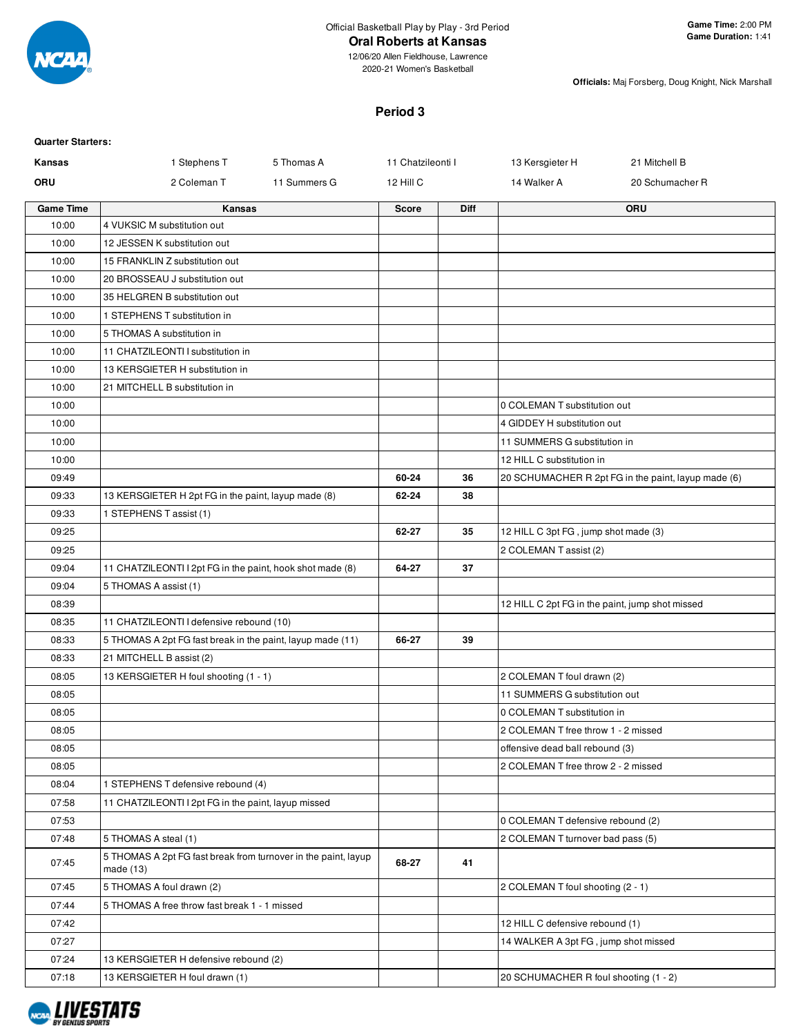

# **Oral Roberts at Kansas**

12/06/20 Allen Fieldhouse, Lawrence 2020-21 Women's Basketball

**Officials:** Maj Forsberg, Doug Knight, Nick Marshall

# **Period 3**

| <b>Quarter Starters:</b> |                                                                               |              |                   |             |                                                 |                                                     |
|--------------------------|-------------------------------------------------------------------------------|--------------|-------------------|-------------|-------------------------------------------------|-----------------------------------------------------|
| Kansas                   | 1 Stephens T                                                                  | 5 Thomas A   | 11 Chatzileonti I |             | 13 Kersgieter H                                 | 21 Mitchell B                                       |
| ORU                      | 2 Coleman T                                                                   | 11 Summers G | 12 Hill C         |             | 14 Walker A                                     | 20 Schumacher R                                     |
| <b>Game Time</b>         | Kansas                                                                        |              | <b>Score</b>      | <b>Diff</b> |                                                 | ORU                                                 |
| 10:00                    | 4 VUKSIC M substitution out                                                   |              |                   |             |                                                 |                                                     |
| 10:00                    | 12 JESSEN K substitution out                                                  |              |                   |             |                                                 |                                                     |
| 10:00                    | 15 FRANKLIN Z substitution out                                                |              |                   |             |                                                 |                                                     |
| 10:00                    | 20 BROSSEAU J substitution out                                                |              |                   |             |                                                 |                                                     |
| 10:00                    | 35 HELGREN B substitution out                                                 |              |                   |             |                                                 |                                                     |
| 10:00                    | 1 STEPHENS T substitution in                                                  |              |                   |             |                                                 |                                                     |
| 10:00                    | 5 THOMAS A substitution in                                                    |              |                   |             |                                                 |                                                     |
| 10:00                    | 11 CHATZILEONTI I substitution in                                             |              |                   |             |                                                 |                                                     |
| 10:00                    | 13 KERSGIETER H substitution in                                               |              |                   |             |                                                 |                                                     |
| 10:00                    | 21 MITCHELL B substitution in                                                 |              |                   |             |                                                 |                                                     |
| 10:00                    |                                                                               |              |                   |             | 0 COLEMAN T substitution out                    |                                                     |
| 10:00                    |                                                                               |              |                   |             | 4 GIDDEY H substitution out                     |                                                     |
| 10:00                    |                                                                               |              |                   |             | 11 SUMMERS G substitution in                    |                                                     |
| 10:00                    |                                                                               |              |                   |             | 12 HILL C substitution in                       |                                                     |
| 09:49                    |                                                                               |              | 60-24             | 36          |                                                 | 20 SCHUMACHER R 2pt FG in the paint, layup made (6) |
| 09:33                    | 13 KERSGIETER H 2pt FG in the paint, layup made (8)                           |              | 62-24             | 38          |                                                 |                                                     |
| 09:33                    | 1 STEPHENS T assist (1)                                                       |              |                   |             |                                                 |                                                     |
| 09:25                    |                                                                               |              | 62-27             | 35          | 12 HILL C 3pt FG, jump shot made (3)            |                                                     |
| 09:25                    |                                                                               |              |                   |             | 2 COLEMAN T assist (2)                          |                                                     |
| 09:04                    | 11 CHATZILEONTI I 2pt FG in the paint, hook shot made (8)                     |              | 64-27             | 37          |                                                 |                                                     |
| 09:04                    | 5 THOMAS A assist (1)                                                         |              |                   |             |                                                 |                                                     |
| 08:39                    |                                                                               |              |                   |             | 12 HILL C 2pt FG in the paint, jump shot missed |                                                     |
| 08:35                    | 11 CHATZILEONTI I defensive rebound (10)                                      |              |                   |             |                                                 |                                                     |
| 08:33                    | 5 THOMAS A 2pt FG fast break in the paint, layup made (11)                    |              | 66-27             | 39          |                                                 |                                                     |
| 08:33                    | 21 MITCHELL B assist (2)                                                      |              |                   |             |                                                 |                                                     |
| 08:05                    | 13 KERSGIETER H foul shooting (1 - 1)                                         |              |                   |             | 2 COLEMAN T foul drawn (2)                      |                                                     |
| 08:05                    |                                                                               |              |                   |             | 11 SUMMERS G substitution out                   |                                                     |
| 08:05                    |                                                                               |              |                   |             | 0 COLEMAN T substitution in                     |                                                     |
| 08:05                    |                                                                               |              |                   |             | 2 COLEMAN T free throw 1 - 2 missed             |                                                     |
| 08:05                    |                                                                               |              |                   |             | offensive dead ball rebound (3)                 |                                                     |
| 08:05                    |                                                                               |              |                   |             | 2 COLEMAN T free throw 2 - 2 missed             |                                                     |
| 08:04                    | 1 STEPHENS T defensive rebound (4)                                            |              |                   |             |                                                 |                                                     |
| 07:58                    | 11 CHATZILEONTI I 2pt FG in the paint, layup missed                           |              |                   |             |                                                 |                                                     |
| 07:53                    |                                                                               |              |                   |             | 0 COLEMAN T defensive rebound (2)               |                                                     |
| 07:48                    | 5 THOMAS A steal (1)                                                          |              |                   |             | 2 COLEMAN T turnover bad pass (5)               |                                                     |
| 07:45                    | 5 THOMAS A 2pt FG fast break from turnover in the paint, layup<br>made $(13)$ |              | 68-27             | 41          |                                                 |                                                     |
| 07:45                    | 5 THOMAS A foul drawn (2)                                                     |              |                   |             | 2 COLEMAN T foul shooting (2 - 1)               |                                                     |
| 07:44                    | 5 THOMAS A free throw fast break 1 - 1 missed                                 |              |                   |             |                                                 |                                                     |
| 07:42                    |                                                                               |              |                   |             | 12 HILL C defensive rebound (1)                 |                                                     |
| 07:27                    |                                                                               |              |                   |             | 14 WALKER A 3pt FG, jump shot missed            |                                                     |
| 07:24                    | 13 KERSGIETER H defensive rebound (2)                                         |              |                   |             |                                                 |                                                     |
| 07:18                    | 13 KERSGIETER H foul drawn (1)                                                |              |                   |             | 20 SCHUMACHER R foul shooting (1 - 2)           |                                                     |

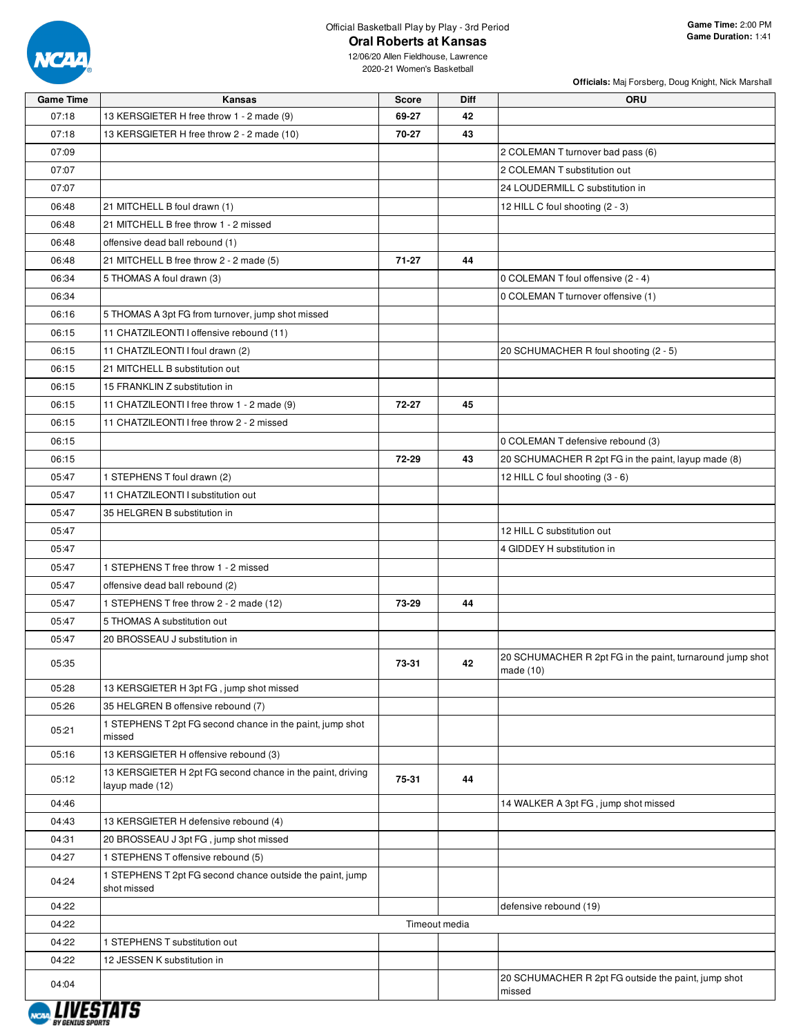

# Official Basketball Play by Play - 3rd Period **Oral Roberts at Kansas**

|                  |                                                                               |              |               | Officials: Maj Forsberg, Doug Knight, Nick Marshall           |
|------------------|-------------------------------------------------------------------------------|--------------|---------------|---------------------------------------------------------------|
| <b>Game Time</b> | Kansas                                                                        | <b>Score</b> | <b>Diff</b>   | ORU                                                           |
| 07:18            | 13 KERSGIETER H free throw 1 - 2 made (9)                                     | 69-27        | 42            |                                                               |
| 07:18            | 13 KERSGIETER H free throw 2 - 2 made (10)                                    | 70-27        | 43            |                                                               |
| 07:09            |                                                                               |              |               | 2 COLEMAN T turnover bad pass (6)                             |
| 07:07            |                                                                               |              |               | 2 COLEMAN T substitution out                                  |
| 07:07            |                                                                               |              |               | 24 LOUDERMILL C substitution in                               |
| 06:48            | 21 MITCHELL B foul drawn (1)                                                  |              |               | 12 HILL C foul shooting (2 - 3)                               |
| 06:48            | 21 MITCHELL B free throw 1 - 2 missed                                         |              |               |                                                               |
| 06:48            | offensive dead ball rebound (1)                                               |              |               |                                                               |
| 06:48            | 21 MITCHELL B free throw 2 - 2 made (5)                                       | $71 - 27$    | 44            |                                                               |
| 06:34            | 5 THOMAS A foul drawn (3)                                                     |              |               | 0 COLEMAN T foul offensive (2 - 4)                            |
| 06:34            |                                                                               |              |               | 0 COLEMAN T turnover offensive (1)                            |
| 06:16            | 5 THOMAS A 3pt FG from turnover, jump shot missed                             |              |               |                                                               |
| 06:15            | 11 CHATZILEONTI I offensive rebound (11)                                      |              |               |                                                               |
| 06:15            | 11 CHATZILEONTI I foul drawn (2)                                              |              |               | 20 SCHUMACHER R foul shooting (2 - 5)                         |
| 06:15            | 21 MITCHELL B substitution out                                                |              |               |                                                               |
| 06:15            | 15 FRANKLIN Z substitution in                                                 |              |               |                                                               |
| 06:15            | 11 CHATZILEONTI I free throw 1 - 2 made (9)                                   | 72-27        | 45            |                                                               |
| 06:15            | 11 CHATZILEONTI I free throw 2 - 2 missed                                     |              |               |                                                               |
| 06:15            |                                                                               |              |               | 0 COLEMAN T defensive rebound (3)                             |
| 06:15            |                                                                               | 72-29        | 43            | 20 SCHUMACHER R 2pt FG in the paint, layup made (8)           |
| 05:47            | 1 STEPHENS T foul drawn (2)                                                   |              |               | 12 HILL C foul shooting (3 - 6)                               |
| 05:47            | 11 CHATZILEONTI I substitution out                                            |              |               |                                                               |
| 05:47            | 35 HELGREN B substitution in                                                  |              |               |                                                               |
| 05:47            |                                                                               |              |               | 12 HILL C substitution out                                    |
| 05:47            |                                                                               |              |               | 4 GIDDEY H substitution in                                    |
| 05:47            | 1 STEPHENS T free throw 1 - 2 missed                                          |              |               |                                                               |
| 05:47            | offensive dead ball rebound (2)                                               |              |               |                                                               |
| 05:47            | 1 STEPHENS T free throw 2 - 2 made (12)                                       | 73-29        | 44            |                                                               |
| 05:47            | 5 THOMAS A substitution out                                                   |              |               |                                                               |
| 05:47            | 20 BROSSEAU J substitution in                                                 |              |               |                                                               |
|                  |                                                                               |              |               | 20 SCHUMACHER R 2pt FG in the paint, turnaround jump shot     |
| 05:35            |                                                                               | 73-31        | 42            | made $(10)$                                                   |
| 05:28            | 13 KERSGIETER H 3pt FG, jump shot missed                                      |              |               |                                                               |
| 05:26            | 35 HELGREN B offensive rebound (7)                                            |              |               |                                                               |
| 05:21            | 1 STEPHENS T 2pt FG second chance in the paint, jump shot<br>missed           |              |               |                                                               |
| 05:16            | 13 KERSGIETER H offensive rebound (3)                                         |              |               |                                                               |
| 05:12            | 13 KERSGIETER H 2pt FG second chance in the paint, driving<br>layup made (12) | 75-31        | 44            |                                                               |
| 04:46            |                                                                               |              |               | 14 WALKER A 3pt FG, jump shot missed                          |
| 04:43            | 13 KERSGIETER H defensive rebound (4)                                         |              |               |                                                               |
| 04:31            | 20 BROSSEAU J 3pt FG, jump shot missed                                        |              |               |                                                               |
| 04:27            | 1 STEPHENS T offensive rebound (5)                                            |              |               |                                                               |
| 04:24            | 1 STEPHENS T 2pt FG second chance outside the paint, jump<br>shot missed      |              |               |                                                               |
| 04:22            |                                                                               |              |               | defensive rebound (19)                                        |
| 04:22            |                                                                               |              | Timeout media |                                                               |
| 04:22            | 1 STEPHENS T substitution out                                                 |              |               |                                                               |
| 04:22            | 12 JESSEN K substitution in                                                   |              |               |                                                               |
| 04:04            |                                                                               |              |               | 20 SCHUMACHER R 2pt FG outside the paint, jump shot<br>missed |

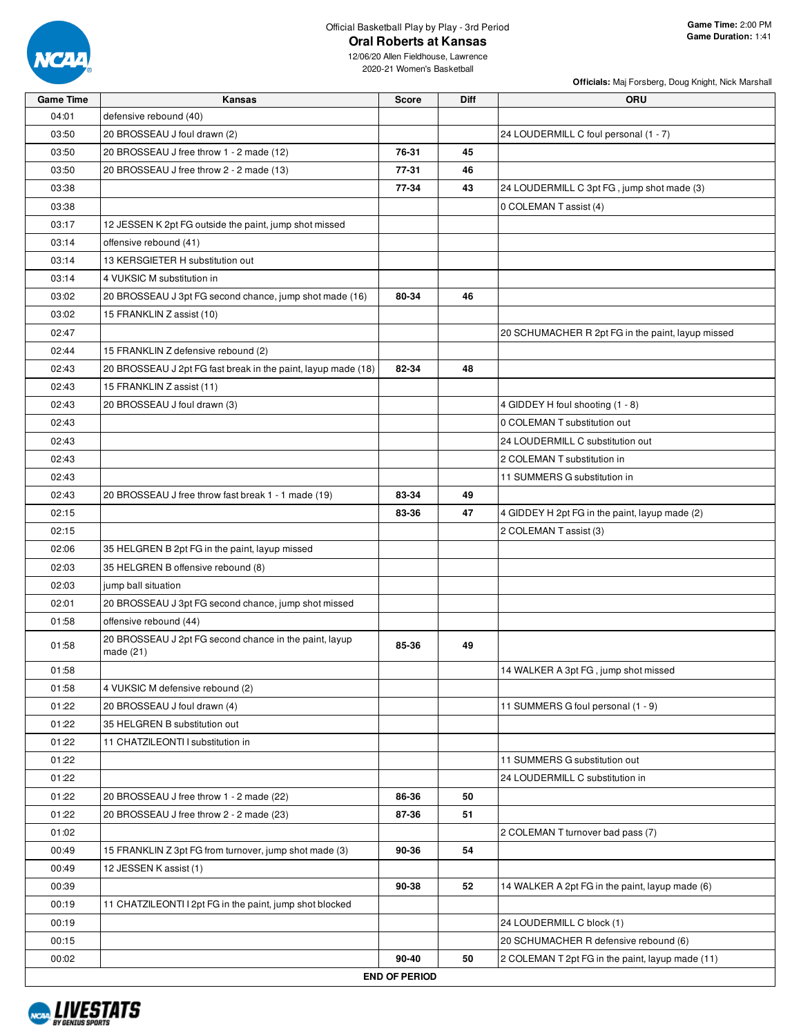

# Official Basketball Play by Play - 3rd Period **Oral Roberts at Kansas**

**Officials:** Maj Forsberg, Doug Knight, Nick Marshall

| <b>Game Time</b> | <b>Kansas</b>                                                         | <b>Score</b>         | <b>Diff</b> | ORU                                               |
|------------------|-----------------------------------------------------------------------|----------------------|-------------|---------------------------------------------------|
| 04:01            | defensive rebound (40)                                                |                      |             |                                                   |
| 03:50            | 20 BROSSEAU J foul drawn (2)                                          |                      |             | 24 LOUDERMILL C foul personal (1 - 7)             |
| 03:50            | 20 BROSSEAU J free throw 1 - 2 made (12)                              | 76-31                | 45          |                                                   |
| 03:50            | 20 BROSSEAU J free throw 2 - 2 made (13)                              | 77-31                | 46          |                                                   |
| 03:38            |                                                                       | 77-34                | 43          | 24 LOUDERMILL C 3pt FG, jump shot made (3)        |
| 03:38            |                                                                       |                      |             | 0 COLEMAN T assist (4)                            |
| 03:17            | 12 JESSEN K 2pt FG outside the paint, jump shot missed                |                      |             |                                                   |
| 03:14            | offensive rebound (41)                                                |                      |             |                                                   |
| 03:14            | 13 KERSGIETER H substitution out                                      |                      |             |                                                   |
| 03:14            | 4 VUKSIC M substitution in                                            |                      |             |                                                   |
| 03:02            | 20 BROSSEAU J 3pt FG second chance, jump shot made (16)               | 80-34                | 46          |                                                   |
| 03:02            | 15 FRANKLIN Z assist (10)                                             |                      |             |                                                   |
| 02:47            |                                                                       |                      |             | 20 SCHUMACHER R 2pt FG in the paint, layup missed |
| 02:44            | 15 FRANKLIN Z defensive rebound (2)                                   |                      |             |                                                   |
| 02:43            | 20 BROSSEAU J 2pt FG fast break in the paint, layup made (18)         | 82-34                | 48          |                                                   |
| 02:43            | 15 FRANKLIN Z assist (11)                                             |                      |             |                                                   |
| 02:43            | 20 BROSSEAU J foul drawn (3)                                          |                      |             | 4 GIDDEY H foul shooting (1 - 8)                  |
| 02:43            |                                                                       |                      |             | 0 COLEMAN T substitution out                      |
| 02:43            |                                                                       |                      |             | 24 LOUDERMILL C substitution out                  |
| 02:43            |                                                                       |                      |             | 2 COLEMAN T substitution in                       |
| 02:43            |                                                                       |                      |             | 11 SUMMERS G substitution in                      |
| 02:43            | 20 BROSSEAU J free throw fast break 1 - 1 made (19)                   | 83-34                | 49          |                                                   |
| 02:15            |                                                                       | 83-36                | 47          | 4 GIDDEY H 2pt FG in the paint, layup made (2)    |
| 02:15            |                                                                       |                      |             | 2 COLEMAN T assist (3)                            |
| 02:06            | 35 HELGREN B 2pt FG in the paint, layup missed                        |                      |             |                                                   |
| 02:03            | 35 HELGREN B offensive rebound (8)                                    |                      |             |                                                   |
| 02:03            | jump ball situation                                                   |                      |             |                                                   |
| 02:01            | 20 BROSSEAU J 3pt FG second chance, jump shot missed                  |                      |             |                                                   |
| 01:58            | offensive rebound (44)                                                |                      |             |                                                   |
| 01:58            | 20 BROSSEAU J 2pt FG second chance in the paint, layup<br>made $(21)$ | 85-36                | 49          |                                                   |
| 01:58            |                                                                       |                      |             | 14 WALKER A 3pt FG, jump shot missed              |
| 01:58            | 4 VUKSIC M defensive rebound (2)                                      |                      |             |                                                   |
| 01:22            | 20 BROSSEAU J foul drawn (4)                                          |                      |             | 11 SUMMERS G foul personal (1 - 9)                |
| 01:22            | 35 HELGREN B substitution out                                         |                      |             |                                                   |
| 01:22            | 11 CHATZILEONTI I substitution in                                     |                      |             |                                                   |
| 01:22            |                                                                       |                      |             | 11 SUMMERS G substitution out                     |
| 01:22            |                                                                       |                      |             | 24 LOUDERMILL C substitution in                   |
| 01:22            | 20 BROSSEAU J free throw 1 - 2 made (22)                              | 86-36                | 50          |                                                   |
| 01:22            | 20 BROSSEAU J free throw 2 - 2 made (23)                              | 87-36                | 51          |                                                   |
| 01:02            |                                                                       |                      |             | 2 COLEMAN T turnover bad pass (7)                 |
| 00:49            | 15 FRANKLIN Z 3pt FG from turnover, jump shot made (3)                | 90-36                | 54          |                                                   |
| 00:49            | 12 JESSEN K assist (1)                                                |                      |             |                                                   |
| 00:39            |                                                                       | 90-38                | 52          | 14 WALKER A 2pt FG in the paint, layup made (6)   |
| 00:19            | 11 CHATZILEONTI I 2pt FG in the paint, jump shot blocked              |                      |             |                                                   |
| 00:19            |                                                                       |                      |             | 24 LOUDERMILL C block (1)                         |
| 00:15            |                                                                       |                      |             | 20 SCHUMACHER R defensive rebound (6)             |
| 00:02            |                                                                       | 90-40                | 50          | 2 COLEMAN T 2pt FG in the paint, layup made (11)  |
|                  |                                                                       | <b>END OF PERIOD</b> |             |                                                   |

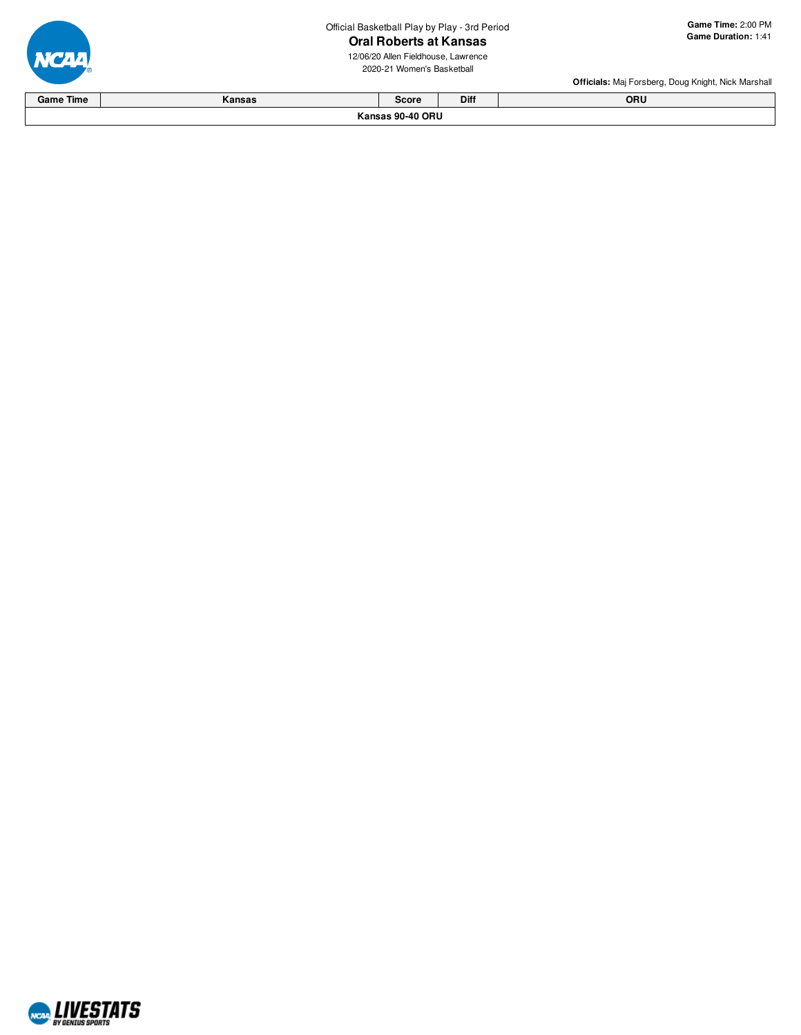Official Basketball Play by Play - 3rd Period 3rd Period Ga<br>**SaS** Ga<br>rence all

# Oral Roberts at Kansas

12/06/20 Allen Fieldhouse, Lawrence 2020-21 Women's Basketba

**a m e Tim e:** 2:0 0 P M **G a m e D u r a tio n:** 1:4 1

**Officials:** Maj Forsberg, Doug Knight, Nick Marshall



**K a n s a s 9 0 - 4 0 O R U G a m e Tim e K a n s a s S c o r e Dif f O R U**

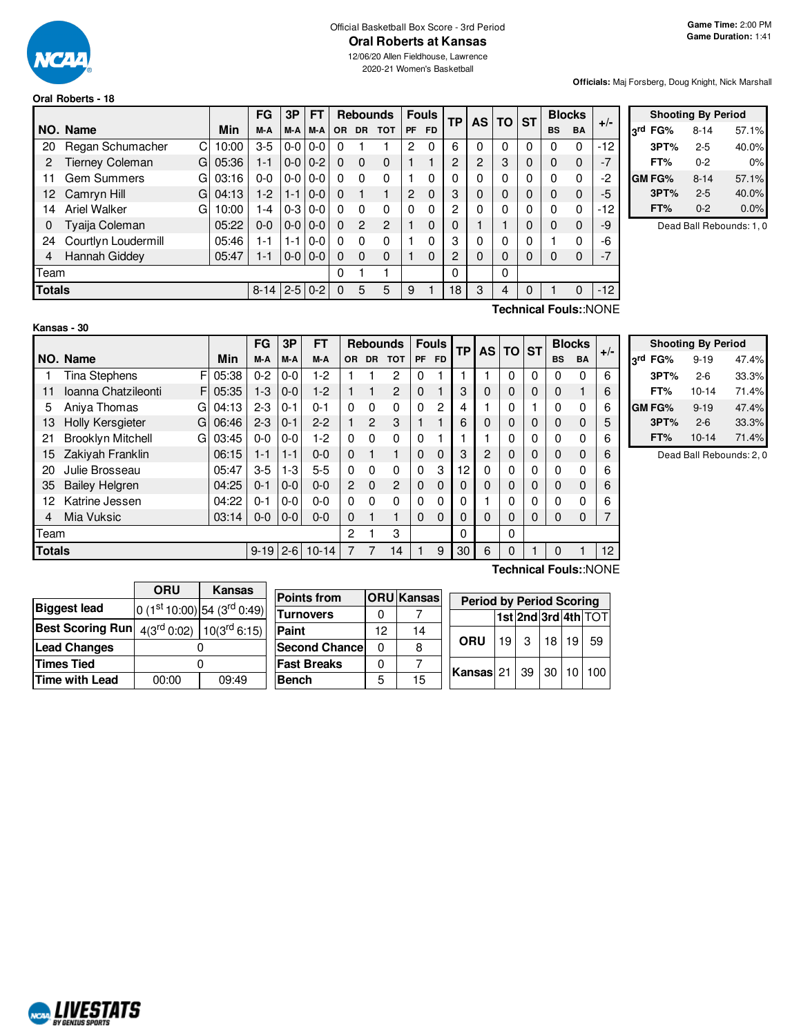

#### Official Basketball Box Score - 3rd Period **Oral Roberts at Kansas**

12/06/20 Allen Fieldhouse, Lawrence 2020-21 Women's Basketball

#### **Oral Roberts - 18**

**Officials:** Maj Forsberg, Doug Knight, Nick Marshall

|               |                          |       | <b>FG</b> | 3P            | <b>FT</b> | <b>Rebounds</b> |                | <b>Fouls</b> |          | <b>TP</b> | AS             | <b>TO</b> | <b>ST</b> | <b>Blocks</b> |           | $+/-$     |       |
|---------------|--------------------------|-------|-----------|---------------|-----------|-----------------|----------------|--------------|----------|-----------|----------------|-----------|-----------|---------------|-----------|-----------|-------|
|               | NO. Name                 | Min   | M-A       | M-A           | M-A       | <b>OR</b>       | <b>DR</b>      | <b>TOT</b>   | PF       | <b>FD</b> |                |           |           |               | <b>BS</b> | <b>BA</b> |       |
| 20            | Regan Schumacher<br>C    | 10:00 | $3-5$     | $0-0$   $0-0$ |           | $\Omega$        |                |              | 2        | 0         | 6              | 0         | 0         | 0             | 0         | 0         | $-12$ |
| 2             | Tierney Coleman<br>G     | 05:36 | 1-1       | $0 - 0 0 - 2$ |           | $\Omega$        | $\Omega$       | $\Omega$     |          |           | $\overline{2}$ | 2         | 3         | $\Omega$      | 0         | 0         | $-7$  |
| 11            | <b>Gem Summers</b><br>G  | 03:16 | $0 - 0$   | $0-0$   $0-0$ |           | $\Omega$        | 0              | $\Omega$     |          | 0         | 0              | 0         | 0         | $\Omega$      | 0         | 0         | $-2$  |
| 12.           | Camryn Hill<br>G         | 04:13 | $1-2$     | $1 - 1$       | $0-0$     | $\Omega$        |                |              | 2        | $\Omega$  | 3              | $\Omega$  | 0         | $\Omega$      | $\Omega$  | 0         | $-5$  |
| 14            | <b>Ariel Walker</b><br>G | 10:00 | -4        | $0 - 3$       | $0-0$     | $\Omega$        | 0              | $\Omega$     | $\Omega$ | 0         | 2              | 0         | 0         |               | $\Omega$  | 0         | $-12$ |
| 0             | Tyaija Coleman           | 05:22 | $0 - 0$   | $0-0$   $0-0$ |           | $\Omega$        | $\overline{2}$ | 2            |          | $\Omega$  | 0              |           |           | 0             | $\Omega$  | 0         | -9    |
| 24            | Courtlyn Loudermill      | 05:46 | 1-1       | $1 - 1$       | $0 - 0$   | $\Omega$        | $\Omega$       | 0            |          | 0         | 3              | 0         | 0         | 0             |           | 0         | -6    |
| 4             | Hannah Giddey            | 05:47 | 1-1       | $0 - 0 0 - 0$ |           | <sup>0</sup>    | $\Omega$       | $\mathbf{0}$ |          | $\Omega$  | 2              | $\Omega$  | 0         |               | 0         | 0         | $-7$  |
|               | Team                     |       |           |               |           | 0               |                |              |          |           | $\Omega$       |           | 0         |               |           |           |       |
| <b>Totals</b> |                          |       | $8 - 14$  | $2-5$ 0-2     |           | $\Omega$        | 5              | 5            | 9        |           | 18             | 3         | 4         |               |           | 0         | $-12$ |

|                 |        | <b>Shooting By Period</b> |       |
|-----------------|--------|---------------------------|-------|
| <sub>2</sub> rd | FG%    | $8 - 14$                  | 57.1% |
|                 | 3PT%   | 2-5                       | 40.0% |
|                 | FT%    | $0 - 2$                   | 0%    |
|                 | GM FG% | $8 - 14$                  | 57.1% |
|                 | 3PT%   | $2 - 5$                   | 40.0% |
|                 | FT%    | $0 - 2$                   | 0.0%  |

Dead Ball Rebounds: 1, 0

## **Kansas - 30**

**Technical Fouls:**:NONE

|               |                               |            | FG       | 3P      | FT        | <b>Rebounds</b> |           | <b>Fouls</b> |           |           | <b>TP</b> |          | <b>AS</b><br><b>TO</b> |           | <b>Blocks</b> |             |       |
|---------------|-------------------------------|------------|----------|---------|-----------|-----------------|-----------|--------------|-----------|-----------|-----------|----------|------------------------|-----------|---------------|-------------|-------|
|               | NO. Name                      | <b>Min</b> | M-A      | M-A     | M-A       | 0R              | <b>DR</b> | <b>TOT</b>   | <b>PF</b> | <b>FD</b> |           |          |                        | <b>ST</b> | <b>BS</b>     | <b>BA</b>   | $+/-$ |
|               | <b>Tina Stephens</b>          | 05:38      | $0 - 2$  | $0-0$   | $1-2$     |                 |           | 2            | 0         |           |           |          | 0                      | $\Omega$  | 0             | 0           | 6     |
| 11            | Ioanna Chatzileonti<br>F      | 05:35      | $1 - 3$  | $0-0$   | $1-2$     |                 |           | 2            | $\Omega$  |           | 3         | 0        | 0                      | 0         | 0             |             | 6     |
| 5             | Aniya Thomas<br>G             | 04:13      | $2 - 3$  | $0 - 1$ | $0 - 1$   | $\Omega$        | 0         | 0            | 0         | 2         | 4         |          | 0                      |           | 0             | 0           | 6     |
| 13            | Holly Kersgieter<br>G         | 06:46      | $2 - 3$  | $0 - 1$ | $2 - 2$   | 1               | 2         | 3            |           |           | 6         | $\Omega$ | 0                      | 0         | <sup>0</sup>  | $\mathbf 0$ | 5     |
| 21            | <b>Brooklyn Mitchell</b><br>G | 03:45      | $0-0$    | $0-0$   | $1-2$     | 0               | 0         | 0            | 0         |           |           |          | 0                      | 0         | 0             | 0           | 6     |
| 15            | Zakiyah Franklin              | 06:15      | 1-1      | $1 - 1$ | $0 - 0$   | $\Omega$        |           |              | $\Omega$  | $\Omega$  | 3         | 2        | 0                      | 0         | 0             | $\mathbf 0$ | 6     |
| 20            | Julie Brosseau                | 05:47      | $3-5$    | $1-3$   | 5-5       | 0               | 0         | 0            | $\Omega$  | 3         | 12        | 0        | 0                      | 0         | O             | 0           | 6     |
| 35            | <b>Bailey Helgren</b>         | 04:25      | $0 - 1$  | $0-0$   | $0 - 0$   | 2               | 0         | 2            | 0         | $\Omega$  |           | 0        | 0                      | 0         | 0             | $\mathbf 0$ | 6     |
| 12            | Katrine Jessen                | 04:22      | $0 - 1$  | $0-0$   | $0 - 0$   | $\Omega$        | 0         | 0            | 0         | 0         |           |          |                        | 0         |               | 0           | 6     |
| 4             | Mia Vuksic                    | 03:14      | $0-0$    | $0-0$   | $0 - 0$   | $\Omega$        |           |              | 0         | $\Omega$  |           | $\Omega$ | 0                      | 0         | $\Omega$      | 0           |       |
| Team          |                               |            |          |         |           | 2               |           | 3            |           |           | $\Omega$  |          | 0                      |           |               |             |       |
| <b>Totals</b> |                               |            | $9 - 19$ | $2 - 6$ | $10 - 14$ |                 |           | 14           |           | 9         | 30        | 6        | 0                      |           | $\Omega$      |             | 12    |
|               | Technical Fouls::NONE         |            |          |         |           |                 |           |              |           |           |           |          |                        |           |               |             |       |

**Shooting By Period 3 rd FG%** 9-19 47.4% **3PT%** 2-6 33.3% **FT%** 10-14 71.4%

> **FT%** 10-14 71.4% Dead Ball Rebounds: 2, 0

**GM FG%** 9-19 47.4% **3PT%** 2-6 33.3%

|                                                                   | <b>ORU</b> | Kansas                                  |                      |    |                   |                                 |    |   |       |                 |                     |  |  |
|-------------------------------------------------------------------|------------|-----------------------------------------|----------------------|----|-------------------|---------------------------------|----|---|-------|-----------------|---------------------|--|--|
| <b>Biggest lead</b>                                               |            |                                         | <b>Points from</b>   |    | <b>ORU</b> Kansas | <b>Period by Period Scoring</b> |    |   |       |                 |                     |  |  |
|                                                                   |            | $0(1st10:00)$ 54 (3 <sup>rd</sup> 0:49) | <b>Turnovers</b>     |    |                   |                                 |    |   |       |                 | 1st 2nd 3rd 4th TOT |  |  |
| <b>Best Scoring Run</b> $4(3^{rd} 0:02)$ 10(3 <sup>rd</sup> 6:15) |            |                                         | Paint                | 12 | 14                |                                 |    |   |       |                 |                     |  |  |
| <b>Lead Changes</b>                                               |            |                                         | <b>Second Chance</b> |    |                   | ORU                             | 19 | 3 | 18    | 19              | -59                 |  |  |
| Times Tied                                                        |            |                                         | <b>Fast Breaks</b>   |    |                   |                                 |    |   | $-30$ | 10 <sup>1</sup> | 100 <sub>1</sub>    |  |  |
| Time with Lead                                                    | 00:00      | 09:49                                   | <b>Bench</b>         |    | 15                | Kansas $21$ 39                  |    |   |       |                 |                     |  |  |

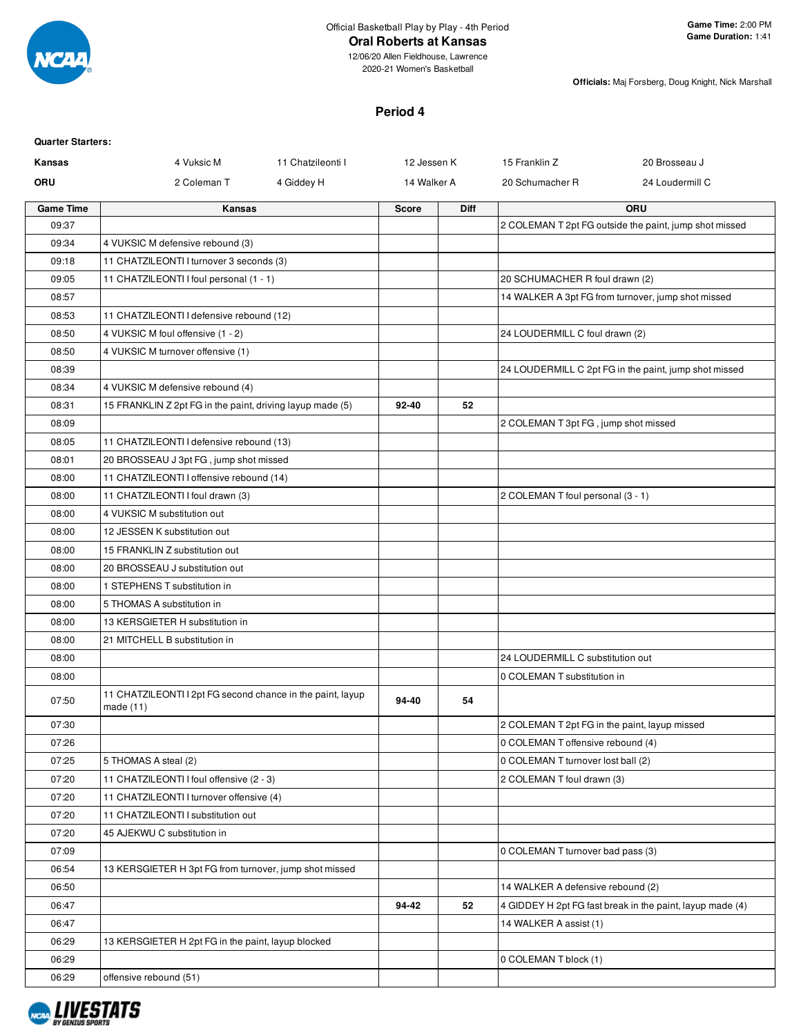

#### **Oral Roberts at Kansas**

12/06/20 Allen Fieldhouse, Lawrence 2020-21 Women's Basketball

**Officials:** Maj Forsberg, Doug Knight, Nick Marshall

# **Period 4**

#### **Quarter Starters:**

| Kansas           | 4 Vuksic M                                                              | 11 Chatzileonti I | 12 Jessen K  |      | 15 Franklin Z<br>20 Brosseau J                |                                                           |  |  |
|------------------|-------------------------------------------------------------------------|-------------------|--------------|------|-----------------------------------------------|-----------------------------------------------------------|--|--|
| <b>ORU</b>       | 2 Coleman T                                                             | 4 Giddey H        | 14 Walker A  |      | 20 Schumacher R                               | 24 Loudermill C                                           |  |  |
| <b>Game Time</b> | Kansas                                                                  |                   | <b>Score</b> | Diff |                                               | ORU                                                       |  |  |
| 09:37            |                                                                         |                   |              |      |                                               | 2 COLEMAN T 2pt FG outside the paint, jump shot missed    |  |  |
| 09:34            | 4 VUKSIC M defensive rebound (3)                                        |                   |              |      |                                               |                                                           |  |  |
| 09:18            | 11 CHATZILEONTI I turnover 3 seconds (3)                                |                   |              |      |                                               |                                                           |  |  |
| 09:05            | 11 CHATZILEONTI I foul personal (1 - 1)                                 |                   |              |      | 20 SCHUMACHER R foul drawn (2)                |                                                           |  |  |
| 08:57            |                                                                         |                   |              |      |                                               | 14 WALKER A 3pt FG from turnover, jump shot missed        |  |  |
| 08:53            | 11 CHATZILEONTI I defensive rebound (12)                                |                   |              |      |                                               |                                                           |  |  |
| 08:50            | 4 VUKSIC M foul offensive (1 - 2)                                       |                   |              |      | 24 LOUDERMILL C foul drawn (2)                |                                                           |  |  |
| 08:50            | 4 VUKSIC M turnover offensive (1)                                       |                   |              |      |                                               |                                                           |  |  |
| 08:39            |                                                                         |                   |              |      |                                               | 24 LOUDERMILL C 2pt FG in the paint, jump shot missed     |  |  |
| 08:34            | 4 VUKSIC M defensive rebound (4)                                        |                   |              |      |                                               |                                                           |  |  |
| 08:31            | 15 FRANKLIN Z 2pt FG in the paint, driving layup made (5)               |                   | 92-40        | 52   |                                               |                                                           |  |  |
| 08:09            |                                                                         |                   |              |      | 2 COLEMAN T 3pt FG, jump shot missed          |                                                           |  |  |
| 08:05            | 11 CHATZILEONTI I defensive rebound (13)                                |                   |              |      |                                               |                                                           |  |  |
| 08:01            | 20 BROSSEAU J 3pt FG, jump shot missed                                  |                   |              |      |                                               |                                                           |  |  |
| 08:00            | 11 CHATZILEONTI I offensive rebound (14)                                |                   |              |      |                                               |                                                           |  |  |
| 08:00            | 11 CHATZILEONTI I foul drawn (3)                                        |                   |              |      | 2 COLEMAN T foul personal (3 - 1)             |                                                           |  |  |
| 08:00            | 4 VUKSIC M substitution out                                             |                   |              |      |                                               |                                                           |  |  |
| 08:00            | 12 JESSEN K substitution out                                            |                   |              |      |                                               |                                                           |  |  |
| 08:00            | 15 FRANKLIN Z substitution out                                          |                   |              |      |                                               |                                                           |  |  |
| 08:00            | 20 BROSSEAU J substitution out                                          |                   |              |      |                                               |                                                           |  |  |
| 08:00            | 1 STEPHENS T substitution in                                            |                   |              |      |                                               |                                                           |  |  |
| 08:00            | 5 THOMAS A substitution in                                              |                   |              |      |                                               |                                                           |  |  |
| 08:00            | 13 KERSGIETER H substitution in                                         |                   |              |      |                                               |                                                           |  |  |
| 08:00            | 21 MITCHELL B substitution in                                           |                   |              |      |                                               |                                                           |  |  |
| 08:00            |                                                                         |                   |              |      | 24 LOUDERMILL C substitution out              |                                                           |  |  |
| 08:00            |                                                                         |                   |              |      | 0 COLEMAN T substitution in                   |                                                           |  |  |
| 07:50            | 11 CHATZILEONTI I 2pt FG second chance in the paint, layup<br>made (11) |                   | 94-40        | 54   |                                               |                                                           |  |  |
| 07:30            |                                                                         |                   |              |      | 2 COLEMAN T 2pt FG in the paint, layup missed |                                                           |  |  |
| 07:26            |                                                                         |                   |              |      | 0 COLEMAN T offensive rebound (4)             |                                                           |  |  |
| 07:25            | 5 THOMAS A steal (2)                                                    |                   |              |      | 0 COLEMAN T turnover lost ball (2)            |                                                           |  |  |
| 07:20            | 11 CHATZILEONTI I foul offensive (2 - 3)                                |                   |              |      | 2 COLEMAN T foul drawn (3)                    |                                                           |  |  |
| 07:20            | 11 CHATZILEONTI I turnover offensive (4)                                |                   |              |      |                                               |                                                           |  |  |
| 07:20            | 11 CHATZILEONTI I substitution out                                      |                   |              |      |                                               |                                                           |  |  |
| 07:20            | 45 AJEKWU C substitution in                                             |                   |              |      |                                               |                                                           |  |  |
| 07:09            |                                                                         |                   |              |      | 0 COLEMAN T turnover bad pass (3)             |                                                           |  |  |
| 06:54            | 13 KERSGIETER H 3pt FG from turnover, jump shot missed                  |                   |              |      |                                               |                                                           |  |  |
| 06:50            |                                                                         |                   |              |      | 14 WALKER A defensive rebound (2)             |                                                           |  |  |
| 06:47            |                                                                         |                   | 94-42        | 52   |                                               | 4 GIDDEY H 2pt FG fast break in the paint, layup made (4) |  |  |
| 06:47            |                                                                         |                   |              |      | 14 WALKER A assist (1)                        |                                                           |  |  |
| 06:29            | 13 KERSGIETER H 2pt FG in the paint, layup blocked                      |                   |              |      |                                               |                                                           |  |  |
| 06:29            |                                                                         |                   |              |      | 0 COLEMAN T block (1)                         |                                                           |  |  |
| 06:29            | offensive rebound (51)                                                  |                   |              |      |                                               |                                                           |  |  |

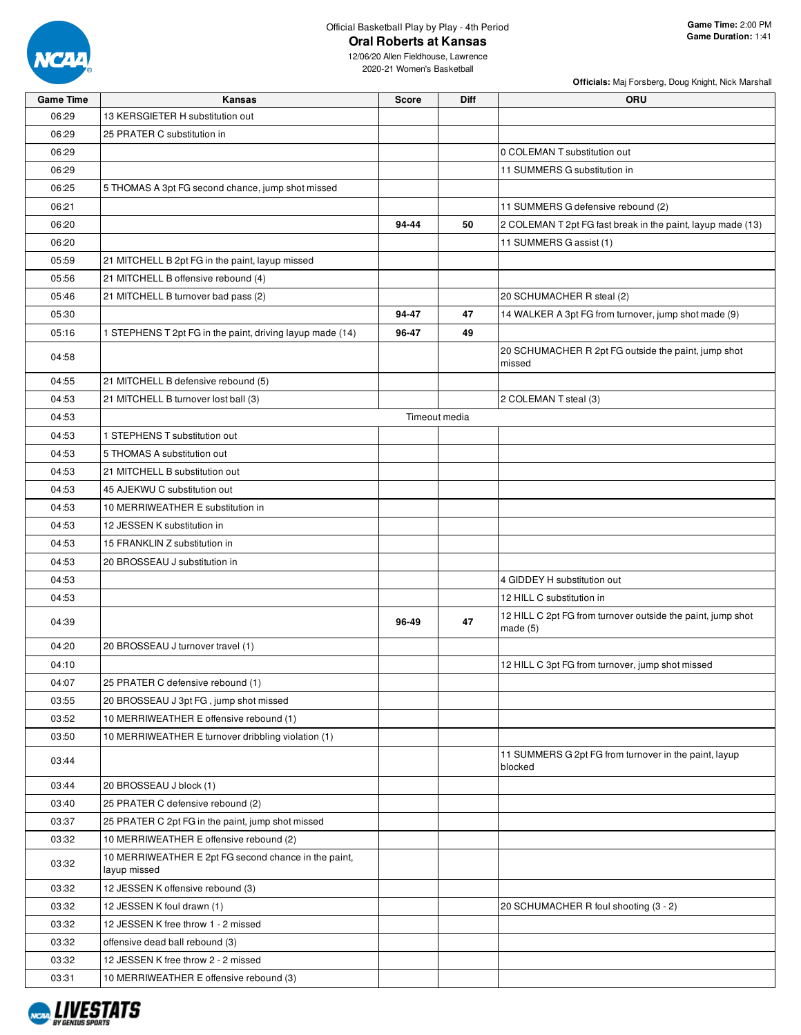

# Official Basketball Play by Play - 4th Period **Oral Roberts at Kansas**

**Officials:** Maj Forsberg, Doug Knight, Nick Marshall

| <b>Game Time</b> | Kansas                                                               | <b>Score</b> | Diff          | ORU                                                                       |
|------------------|----------------------------------------------------------------------|--------------|---------------|---------------------------------------------------------------------------|
| 06:29            | 13 KERSGIETER H substitution out                                     |              |               |                                                                           |
| 06:29            | 25 PRATER C substitution in                                          |              |               |                                                                           |
| 06:29            |                                                                      |              |               | 0 COLEMAN T substitution out                                              |
| 06:29            |                                                                      |              |               | 11 SUMMERS G substitution in                                              |
| 06:25            | 5 THOMAS A 3pt FG second chance, jump shot missed                    |              |               |                                                                           |
| 06:21            |                                                                      |              |               | 11 SUMMERS G defensive rebound (2)                                        |
| 06:20            |                                                                      | 94-44        | 50            | 2 COLEMAN T 2pt FG fast break in the paint, layup made (13)               |
| 06:20            |                                                                      |              |               | 11 SUMMERS G assist (1)                                                   |
| 05:59            | 21 MITCHELL B 2pt FG in the paint, layup missed                      |              |               |                                                                           |
| 05:56            | 21 MITCHELL B offensive rebound (4)                                  |              |               |                                                                           |
| 05:46            | 21 MITCHELL B turnover bad pass (2)                                  |              |               | 20 SCHUMACHER R steal (2)                                                 |
| 05:30            |                                                                      | 94-47        | 47            | 14 WALKER A 3pt FG from turnover, jump shot made (9)                      |
| 05:16            | 1 STEPHENS T 2pt FG in the paint, driving layup made (14)            | 96-47        | 49            |                                                                           |
| 04:58            |                                                                      |              |               | 20 SCHUMACHER R 2pt FG outside the paint, jump shot<br>missed             |
| 04:55            | 21 MITCHELL B defensive rebound (5)                                  |              |               |                                                                           |
| 04:53            | 21 MITCHELL B turnover lost ball (3)                                 |              |               | 2 COLEMAN T steal (3)                                                     |
| 04:53            |                                                                      |              | Timeout media |                                                                           |
| 04:53            | 1 STEPHENS T substitution out                                        |              |               |                                                                           |
| 04:53            | 5 THOMAS A substitution out                                          |              |               |                                                                           |
| 04:53            | 21 MITCHELL B substitution out                                       |              |               |                                                                           |
| 04:53            | 45 AJEKWU C substitution out                                         |              |               |                                                                           |
| 04:53            | 10 MERRIWEATHER E substitution in                                    |              |               |                                                                           |
| 04:53            | 12 JESSEN K substitution in                                          |              |               |                                                                           |
| 04:53            | 15 FRANKLIN Z substitution in                                        |              |               |                                                                           |
| 04:53            | 20 BROSSEAU J substitution in                                        |              |               |                                                                           |
| 04:53            |                                                                      |              |               | 4 GIDDEY H substitution out                                               |
| 04:53            |                                                                      |              |               | 12 HILL C substitution in                                                 |
| 04:39            |                                                                      | 96-49        | 47            | 12 HILL C 2pt FG from turnover outside the paint, jump shot<br>made $(5)$ |
| 04:20            | 20 BROSSEAU J turnover travel (1)                                    |              |               |                                                                           |
| 04:10            |                                                                      |              |               | 12 HILL C 3pt FG from turnover, jump shot missed                          |
| 04:07            | 25 PRATER C defensive rebound (1)                                    |              |               |                                                                           |
| 03:55            | 20 BROSSEAU J 3pt FG, jump shot missed                               |              |               |                                                                           |
| 03:52            | 10 MERRIWEATHER E offensive rebound (1)                              |              |               |                                                                           |
| 03:50            | 10 MERRIWEATHER E turnover dribbling violation (1)                   |              |               |                                                                           |
| 03:44            |                                                                      |              |               | 11 SUMMERS G 2pt FG from turnover in the paint, layup<br>blocked          |
| 03:44            | 20 BROSSEAU J block (1)                                              |              |               |                                                                           |
| 03:40            | 25 PRATER C defensive rebound (2)                                    |              |               |                                                                           |
| 03:37            | 25 PRATER C 2pt FG in the paint, jump shot missed                    |              |               |                                                                           |
| 03:32            | 10 MERRIWEATHER E offensive rebound (2)                              |              |               |                                                                           |
| 03:32            | 10 MERRIWEATHER E 2pt FG second chance in the paint,<br>layup missed |              |               |                                                                           |
| 03:32            | 12 JESSEN K offensive rebound (3)                                    |              |               |                                                                           |
| 03:32            | 12 JESSEN K foul drawn (1)                                           |              |               | 20 SCHUMACHER R foul shooting (3 - 2)                                     |
| 03:32            | 12 JESSEN K free throw 1 - 2 missed                                  |              |               |                                                                           |
| 03:32            | offensive dead ball rebound (3)                                      |              |               |                                                                           |
| 03:32            | 12 JESSEN K free throw 2 - 2 missed                                  |              |               |                                                                           |
| 03:31            | 10 MERRIWEATHER E offensive rebound (3)                              |              |               |                                                                           |

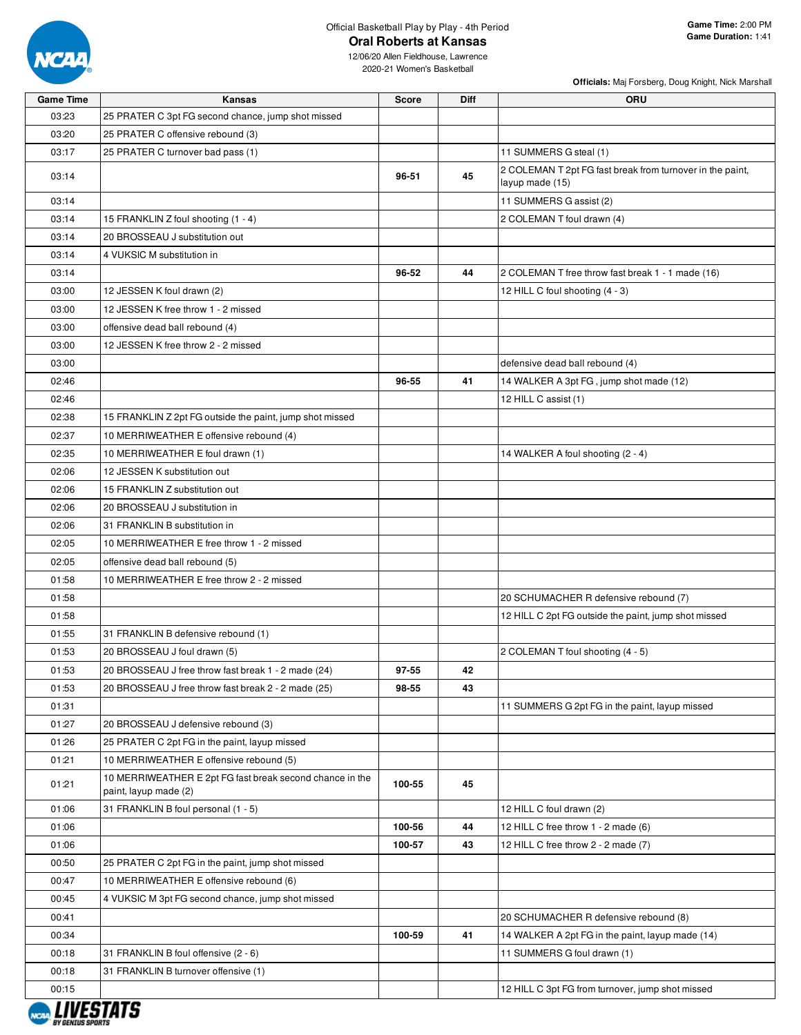

# Official Basketball Play by Play - 4th Period

**Officials:** Maj Forsberg, Doug Knight, Nick Marshall

| <b>Game Time</b> | <b>Kansas</b>                                                                     | <b>Score</b> | Diff | ORU                                                                          |
|------------------|-----------------------------------------------------------------------------------|--------------|------|------------------------------------------------------------------------------|
| 03:23            | 25 PRATER C 3pt FG second chance, jump shot missed                                |              |      |                                                                              |
| 03:20            | 25 PRATER C offensive rebound (3)                                                 |              |      |                                                                              |
| 03:17            | 25 PRATER C turnover bad pass (1)                                                 |              |      | 11 SUMMERS G steal (1)                                                       |
| 03:14            |                                                                                   | 96-51        | 45   | 2 COLEMAN T 2pt FG fast break from turnover in the paint,<br>layup made (15) |
| 03:14            |                                                                                   |              |      | 11 SUMMERS G assist (2)                                                      |
| 03:14            | 15 FRANKLIN Z foul shooting (1 - 4)                                               |              |      | 2 COLEMAN T foul drawn (4)                                                   |
| 03:14            | 20 BROSSEAU J substitution out                                                    |              |      |                                                                              |
| 03:14            | 4 VUKSIC M substitution in                                                        |              |      |                                                                              |
| 03:14            |                                                                                   | 96-52        | 44   | 2 COLEMAN T free throw fast break 1 - 1 made (16)                            |
| 03:00            | 12 JESSEN K foul drawn (2)                                                        |              |      | 12 HILL C foul shooting (4 - 3)                                              |
| 03:00            | 12 JESSEN K free throw 1 - 2 missed                                               |              |      |                                                                              |
| 03:00            | offensive dead ball rebound (4)                                                   |              |      |                                                                              |
| 03:00            | 12 JESSEN K free throw 2 - 2 missed                                               |              |      |                                                                              |
| 03:00            |                                                                                   |              |      | defensive dead ball rebound (4)                                              |
| 02:46            |                                                                                   | 96-55        | 41   | 14 WALKER A 3pt FG, jump shot made (12)                                      |
| 02:46            |                                                                                   |              |      | 12 HILL C assist (1)                                                         |
| 02:38            | 15 FRANKLIN Z 2pt FG outside the paint, jump shot missed                          |              |      |                                                                              |
| 02:37            | 10 MERRIWEATHER E offensive rebound (4)                                           |              |      |                                                                              |
| 02:35            | 10 MERRIWEATHER E foul drawn (1)                                                  |              |      | 14 WALKER A foul shooting (2 - 4)                                            |
| 02:06            | 12 JESSEN K substitution out                                                      |              |      |                                                                              |
| 02:06            | 15 FRANKLIN Z substitution out                                                    |              |      |                                                                              |
| 02:06            | 20 BROSSEAU J substitution in                                                     |              |      |                                                                              |
| 02:06            | 31 FRANKLIN B substitution in                                                     |              |      |                                                                              |
| 02:05            | 10 MERRIWEATHER E free throw 1 - 2 missed                                         |              |      |                                                                              |
| 02:05            | offensive dead ball rebound (5)                                                   |              |      |                                                                              |
| 01:58            | 10 MERRIWEATHER E free throw 2 - 2 missed                                         |              |      |                                                                              |
| 01:58            |                                                                                   |              |      | 20 SCHUMACHER R defensive rebound (7)                                        |
| 01:58            |                                                                                   |              |      | 12 HILL C 2pt FG outside the paint, jump shot missed                         |
| 01:55            | 31 FRANKLIN B defensive rebound (1)                                               |              |      |                                                                              |
| 01:53            | 20 BROSSEAU J foul drawn (5)                                                      |              |      | 2 COLEMAN T foul shooting (4 - 5)                                            |
| 01:53            | 20 BROSSEAU J free throw fast break 1 - 2 made (24)                               | 97-55        | 42   |                                                                              |
| 01:53            | 20 BROSSEAU J free throw fast break 2 - 2 made (25)                               | 98-55        | 43   |                                                                              |
| 01:31            |                                                                                   |              |      | 11 SUMMERS G 2pt FG in the paint, layup missed                               |
| 01:27            | 20 BROSSEAU J defensive rebound (3)                                               |              |      |                                                                              |
| 01:26            | 25 PRATER C 2pt FG in the paint, layup missed                                     |              |      |                                                                              |
| 01:21            | 10 MERRIWEATHER E offensive rebound (5)                                           |              |      |                                                                              |
| 01:21            | 10 MERRIWEATHER E 2pt FG fast break second chance in the<br>paint, layup made (2) | 100-55       | 45   |                                                                              |
| 01:06            | 31 FRANKLIN B foul personal (1 - 5)                                               |              |      | 12 HILL C foul drawn (2)                                                     |
| 01:06            |                                                                                   | 100-56       | 44   | 12 HILL C free throw 1 - 2 made (6)                                          |
| 01:06            |                                                                                   | 100-57       | 43   | 12 HILL C free throw 2 - 2 made (7)                                          |
| 00:50            | 25 PRATER C 2pt FG in the paint, jump shot missed                                 |              |      |                                                                              |
| 00:47            | 10 MERRIWEATHER E offensive rebound (6)                                           |              |      |                                                                              |
| 00:45            | 4 VUKSIC M 3pt FG second chance, jump shot missed                                 |              |      |                                                                              |
| 00:41            |                                                                                   |              |      | 20 SCHUMACHER R defensive rebound (8)                                        |
| 00:34            |                                                                                   | 100-59       | 41   | 14 WALKER A 2pt FG in the paint, layup made (14)                             |
| 00:18            | 31 FRANKLIN B foul offensive (2 - 6)                                              |              |      | 11 SUMMERS G foul drawn (1)                                                  |
| 00:18            | 31 FRANKLIN B turnover offensive (1)                                              |              |      |                                                                              |
| 00:15            |                                                                                   |              |      | 12 HILL C 3pt FG from turnover, jump shot missed                             |
|                  |                                                                                   |              |      |                                                                              |

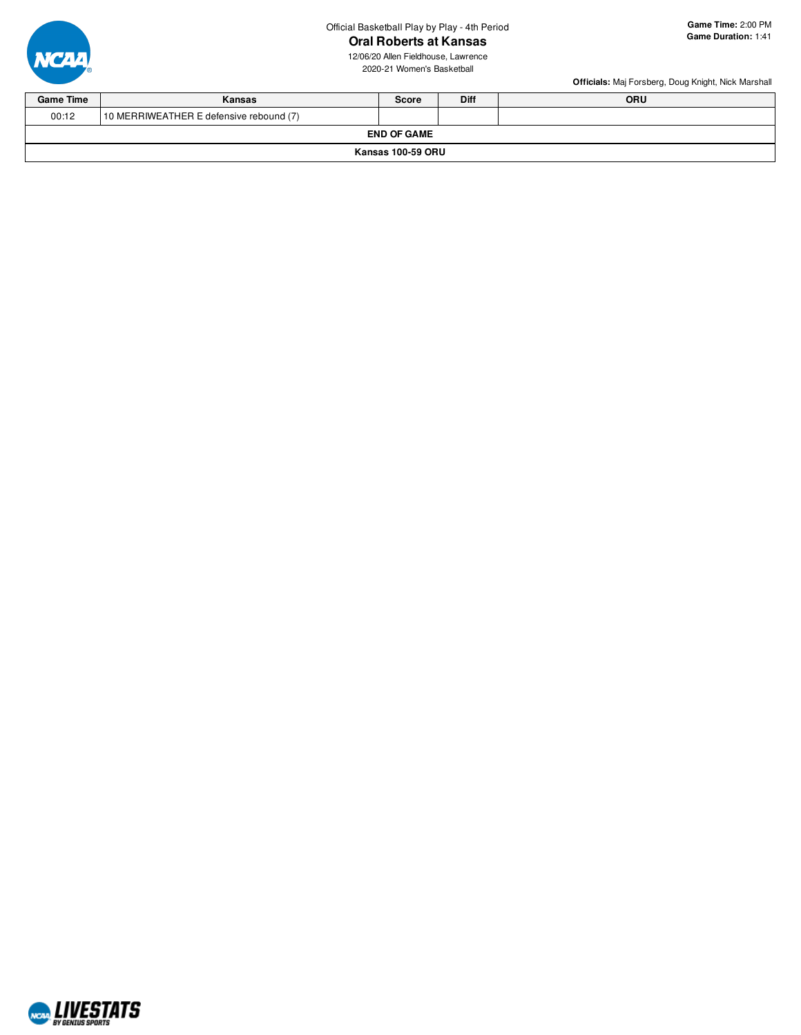

# **Oral Roberts at Kansas**



**Game Time:** 2:00 PM **Game Duration:** 1:41





| <b>Game Time</b>   | ORU<br><b>Diff</b><br>Kansas<br><b>Score</b> |  |  |  |  |  |  |  |  |  |  |
|--------------------|----------------------------------------------|--|--|--|--|--|--|--|--|--|--|
| 00:12              | 10 MERRIWEATHER E defensive rebound (7)      |  |  |  |  |  |  |  |  |  |  |
| <b>END OF GAME</b> |                                              |  |  |  |  |  |  |  |  |  |  |
| Kansas 100-59 ORU  |                                              |  |  |  |  |  |  |  |  |  |  |

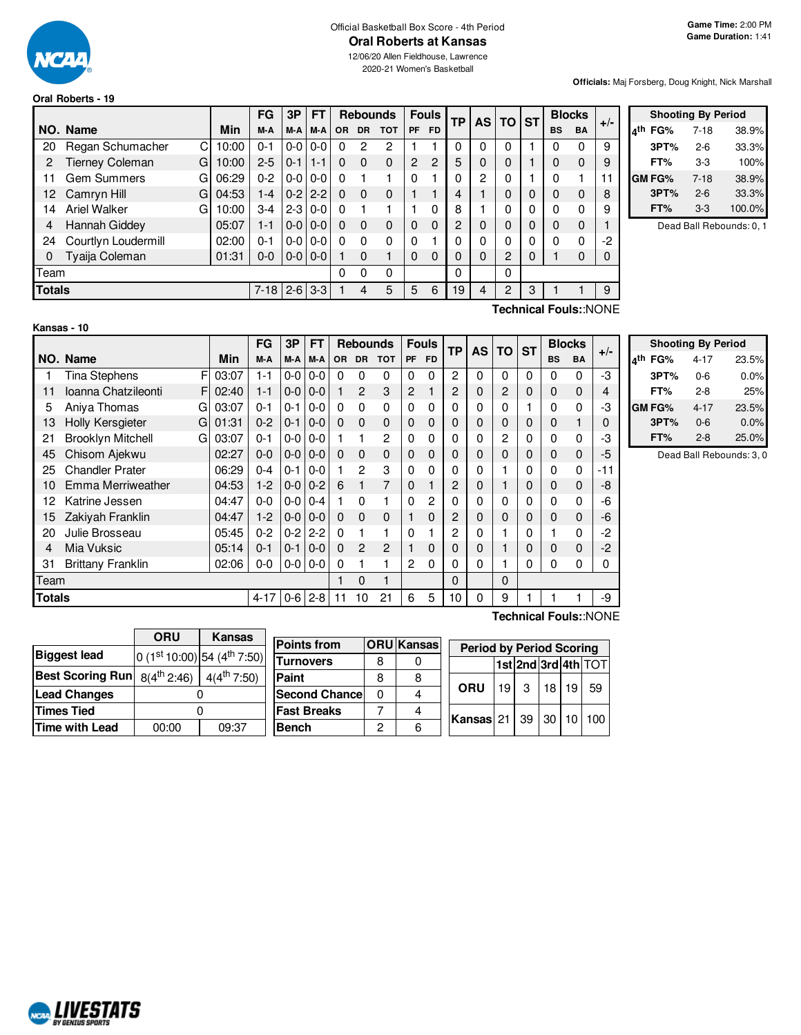

# Official Basketball Box Score - 4th Period

12/06/20 Allen Fieldhouse, Lawrence 2020-21 Women's Basketball

#### **Oral Roberts - 19**

**Officials:** Maj Forsberg, Doug Knight, Nick Marshall

|               |                             |       | FG       | 3P      | <b>FT</b> |           |           |            | <b>Rebounds</b> |                |               |          | <b>Fouls</b>   |   |           | ΤP       | <b>AS</b> | <b>TO</b> | <b>ST</b> |  | <b>Blocks</b> |  |
|---------------|-----------------------------|-------|----------|---------|-----------|-----------|-----------|------------|-----------------|----------------|---------------|----------|----------------|---|-----------|----------|-----------|-----------|-----------|--|---------------|--|
|               | NO. Name                    | Min   | M-A      | M-A     | M-A       | <b>OR</b> | <b>DR</b> | <b>TOT</b> | <b>PF</b>       | <b>FD</b>      |               |          |                |   | <b>BS</b> | BA       | $+/-$     |           |           |  |               |  |
| 20            | Regan Schumacher<br>С       | 10:00 | $0 - 1$  | $0 - 0$ | $0 - 0$   | 0         | 2         | 2          |                 |                | 0             |          | 0              |   | 0         | 0        | 9         |           |           |  |               |  |
| 2             | <b>Tierney Coleman</b><br>G | 10:00 | $2 - 5$  | $0 - 1$ | $1 - 1$   | $\Omega$  | $\Omega$  | $\Omega$   | $\overline{c}$  | $\overline{2}$ | 5             | $\Omega$ | 0              |   | 0         | $\Omega$ | 9         |           |           |  |               |  |
| 11            | <b>Gem Summers</b><br>G     | 06:29 | $0 - 2$  | $0-0$   | $0 - 0$   | 0         |           |            | $\Omega$        |                | 0             | 2        | 0              |   | 0         |          | 11        |           |           |  |               |  |
| 12.           | G<br>Camryn Hill            | 04:53 | $1 - 4$  | $0 - 2$ | $2 - 2$   | $\Omega$  | $\Omega$  | 0          |                 |                | 4             |          | 0              | 0 | $\Omega$  | $\Omega$ | 8         |           |           |  |               |  |
| 14            | <b>Ariel Walker</b><br>G    | 10:00 | $3-4$    | $2 - 3$ | $0 - 0$   | 0         |           |            |                 | 0              | 8             |          | 0              | 0 | 0         | 0        | 9         |           |           |  |               |  |
| 4             | Hannah Giddey               | 05:07 | 1-1      | $0-0$   | $0 - 0$   | 0         | $\Omega$  | 0          | $\Omega$        | $\Omega$       | $\mathcal{P}$ | $\Omega$ | 0              | 0 | 0         | $\Omega$ |           |           |           |  |               |  |
| 24            | Courtlyn Loudermill         | 02:00 | $0 - 1$  | $0 - 0$ | $0 - 0$   | 0         | $\Omega$  | 0          | $\Omega$        |                | 0             |          | 0              | 0 | 0         | 0        | -2        |           |           |  |               |  |
| 0             | Tyaija Coleman              | 01:31 | $0 - 0$  | $0 - 0$ | $0 - 0$   |           | $\Omega$  |            | $\Omega$        | $\Omega$       | 0             | 0        | $\overline{2}$ | 0 |           | $\Omega$ | 0         |           |           |  |               |  |
| Team          |                             |       |          |         |           | 0         | 0         | 0          |                 |                | 0             |          | 0              |   |           |          |           |           |           |  |               |  |
| <b>Totals</b> |                             |       | $7 - 18$ | $2 - 6$ | $3-3$     |           | 4         | 5          | 5               | 6              | 19            | 4        | 2              | 3 |           |          | 9         |           |           |  |               |  |

|     |        | <b>Shooting By Period</b> |        |
|-----|--------|---------------------------|--------|
| ⊿th | FG%    | 7-18                      | 38.9%  |
|     | 3PT%   | $2-6$                     | 33.3%  |
|     | FT%    | 3-3                       | 100%   |
|     | GM FG% | $7-18$                    | 38.9%  |
|     | 3PT%   | $2 - 6$                   | 33.3%  |
|     | FT%    | 3-3                       | 100.0% |

Dead Ball Rebounds: 0, 1

# **Kansas - 10**

**Technical Fouls:**:NONE

|               |                               |       | <b>FG</b> | 3P      | <b>FT</b> |          | <b>Rebounds</b> |                |                | <b>Fouls</b> | <b>TP</b> | <b>AS</b> | <b>TO</b>    | <b>ST</b> |           | <b>Blocks</b> | $+/-$                 |
|---------------|-------------------------------|-------|-----------|---------|-----------|----------|-----------------|----------------|----------------|--------------|-----------|-----------|--------------|-----------|-----------|---------------|-----------------------|
|               | NO. Name                      | Min   | M-A       | M-A     | M-A       | OR.      | <b>DR</b>       | <b>TOT</b>     | <b>PF</b>      | <b>FD</b>    |           |           |              |           | <b>BS</b> | BA            |                       |
|               | F<br>Tina Stephens            | 03:07 | $1 - 1$   | $0-0$   | $0 - 0$   | 0        | 0               | 0              | 0              | 0            | 2         | 0         | $\Omega$     | 0         | 0         | 0             | -3                    |
| 11            | Ioanna Chatzileonti<br>F      | 02:40 | $1 - 1$   | $0-0$   | $0 - 0$   |          | $\overline{2}$  | 3              | $\overline{c}$ |              | 2         | 0         | 2            | 0         | 0         | $\mathbf 0$   | 4                     |
| 5             | Aniya Thomas<br>G             | 03:07 | $0 - 1$   | $0 - 1$ | $0-0$     | 0        | 0               | 0              | 0              | 0            | 0         | 0         | 0            |           | 0         | $\Omega$      | -3                    |
| 13            | <b>Holly Kersgieter</b><br>G  | 01:31 | $0 - 2$   | $0 - 1$ | $0 - 0$   | $\Omega$ | $\mathbf 0$     | $\mathbf 0$    | $\mathbf 0$    | 0            | 0         | 0         | 0            | 0         | 0         |               | 0                     |
| 21            | <b>Brooklyn Mitchell</b><br>G | 03:07 | $0 - 1$   | $0-0$   | $0 - 0$   |          |                 | $\mathbf{2}$   | 0              | 0            | 0         | 0         | 2            | 0         | 0         | 0             | -3                    |
| 45            | Chisom Ajekwu                 | 02:27 | $0-0$     | $0-0$   | $0 - 0$   | $\Omega$ | $\mathbf 0$     | $\Omega$       | $\mathbf 0$    | 0            | 0         | 0         | 0            | 0         | 0         | $\mathbf 0$   | -5                    |
| 25            | <b>Chandler Prater</b>        | 06:29 | $0 - 4$   | $0 - 1$ | $0 - 0$   |          | $\mathcal{P}$   | 3              | 0              | 0            | 0         | 0         |              | 0         | 0         | 0             | -11                   |
| 10            | Emma Merriweather             | 04:53 | $1-2$     | $0-0$   | $0 - 2$   | 6        |                 | 7              | $\mathbf 0$    |              | 2         | 0         |              | 0         | 0         | $\mathbf 0$   | -8                    |
| 12            | Katrine Jessen                | 04:47 | $0 - 0$   | $0-0$   | $0 - 4$   |          | 0               |                | 0              | 2            | 0         | 0         | 0            | 0         | 0         | $\Omega$      | -6                    |
| 15            | Zakiyah Franklin              | 04:47 | $1-2$     | $0-0$   | $0 - 0$   | $\Omega$ | $\mathbf 0$     | $\mathbf{0}$   | 1              | 0            | 2         | 0         | 0            | 0         | 0         | $\mathbf 0$   | -6                    |
| 20            | Julie Brosseau                | 05:45 | $0 - 2$   | $0 - 2$ | $2 - 2$   | 0        |                 |                | 0              |              | 2         | 0         |              | 0         |           | $\Omega$      | $-2$                  |
| 4             | Mia Vuksic                    | 05:14 | $0 - 1$   | $0 - 1$ | $0 - 0$   | 0        | $\overline{c}$  | $\overline{2}$ | $\mathbf{1}$   | 0            | 0         | 0         |              | 0         | 0         | $\mathbf 0$   | $-2$                  |
| 31            | <b>Brittany Franklin</b>      | 02:06 | $0 - 0$   | $0-0$   | $0 - 0$   | 0        |                 |                | $\overline{2}$ | 0            | 0         | 0         |              | 0         | 0         | $\Omega$      | 0                     |
| Team          |                               |       |           |         |           |          | $\Omega$        |                |                |              | 0         |           | $\mathbf{0}$ |           |           |               |                       |
| <b>Totals</b> |                               |       | $4 - 17$  | $0 - 6$ | $2 - 8$   | 11       | 10              | 21             | 6              | 5            | 10        | $\Omega$  | 9            |           |           |               | -9                    |
|               |                               |       |           |         |           |          |                 |                |                |              |           |           |              |           |           |               | Technical Fouls::NONE |

|     |        | <b>Shooting By Period</b> |       |
|-----|--------|---------------------------|-------|
| лth | FG%    | $4 - 17$                  | 23.5% |
|     | 3PT%   | $0 - 6$                   | 0.0%  |
|     | FT%    | $2 - 8$                   | 25%   |
|     | GM FG% | $4 - 17$                  | 23.5% |
|     | 3PT%   | $0 - 6$                   | 0.0%  |
|     | FT%    | $2 - 8$                   | 25.0% |

Dead Ball Rebounds: 3, 0

|                                    | <b>ORU</b> | Kansas                          |                      |   |                   |                                 |      |    |      |    |                     |
|------------------------------------|------------|---------------------------------|----------------------|---|-------------------|---------------------------------|------|----|------|----|---------------------|
|                                    |            |                                 | <b>Points from</b>   |   | <b>ORU</b> Kansas | <b>Period by Period Scoring</b> |      |    |      |    |                     |
| <b>Biggest lead</b>                |            | 0 $(1st 10:00)$ 54 $(4th 7:50)$ | <b>Turnovers</b>     | 8 |                   |                                 |      |    |      |    | 1st 2nd 3rd 4th TOT |
| Best Scoring Run $ 8(4^{th}2:46) $ |            | $4(4^{\text{th}} 7:50)$         | Paint                | 8 |                   |                                 |      |    |      |    |                     |
| <b>Lead Changes</b>                |            |                                 | <b>Second Chance</b> |   | 4                 | ORU                             | 19 I | 3  | 18 I | 19 | 59                  |
| Times Tied                         |            |                                 | <b>Fast Breaks</b>   |   | 4                 |                                 |      | 39 |      |    | 30 10 100           |
| Time with Lead                     | 00:00      | 09:37                           | <b>Bench</b>         | റ | 6                 | Kansas 21                       |      |    |      |    |                     |
|                                    |            |                                 |                      |   |                   |                                 |      |    |      |    |                     |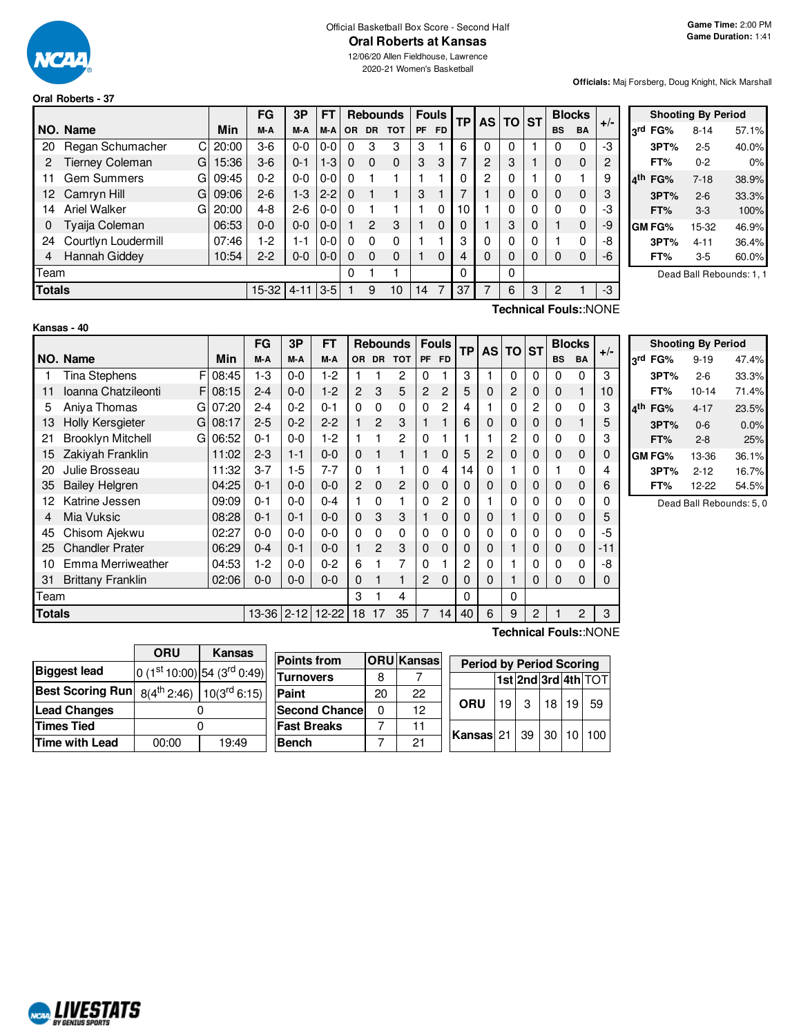

# Official Basketball Box Score - Second Half

12/06/20 Allen Fieldhouse, Lawrence 2020-21 Women's Basketball

#### **Officials:** Maj Forsberg, Doug Knight, Nick Marshall

|  |  | Oral Roberts - 37 |  |  |  |
|--|--|-------------------|--|--|--|
|--|--|-------------------|--|--|--|

|               |                              |       | FG      | 3P       | FT      |          |               | <b>Rebounds</b> |    | <b>Fouls</b> | <b>TP</b> |                | <b>AS TO</b> |          |           |                              | <b>ST</b> | <b>Blocks</b> |  |  |
|---------------|------------------------------|-------|---------|----------|---------|----------|---------------|-----------------|----|--------------|-----------|----------------|--------------|----------|-----------|------------------------------|-----------|---------------|--|--|
|               | NO. Name                     | Min   | M-A     | M-A      | M-A     | OR.      | DR.           | <b>TOT</b>      | PF | <b>FD</b>    |           |                |              |          | <b>BS</b> | <b>BA</b>                    | $+/-$     |               |  |  |
| 20            | Regan Schumacher<br>C.       | 20:00 | $3-6$   | $0 - 0$  | 0-0     | $\Omega$ | 3             | 3               | 3  |              | 6         | $\Omega$       | 0            |          |           | 0                            | -3        |               |  |  |
| 2             | <b>Tierney Coleman</b><br>GI | 15:36 | $3-6$   | $0 - 1$  | $1 - 3$ | $\Omega$ | $\Omega$      | $\Omega$        | 3  | 3            | 7         | $\overline{2}$ | 3            |          |           | $\mathbf 0$                  | 2         |               |  |  |
| 11            | <b>Gem Summers</b><br>GI     | 09:45 | $0 - 2$ | $0 - 0$  | $0 - 0$ | $\Omega$ |               |                 |    |              | 0         | $\mathcal{P}$  | 0            |          |           |                              | 9         |               |  |  |
| 12.           | Camryn Hill<br>GI            | 09:06 | $2-6$   | $1-3$    | $2 - 2$ | $\Omega$ |               |                 | 3  |              |           |                | 0            | 0        |           | $\mathbf 0$                  |           |               |  |  |
| 14            | <b>Ariel Walker</b><br>G     | 20:00 | 4-8     | $2-6$    | $0-0$   | $\Omega$ |               |                 |    | $\Omega$     | 10        |                | 0            | 0        |           | 0                            | -3        |               |  |  |
| 0             | Tyaija Coleman               | 06:53 | $0 - 0$ | $0 - 0$  | $0 - 0$ |          | $\mathcal{P}$ | 3               |    | $\Omega$     | 0         |                | 3            | $\Omega$ |           | $\mathbf 0$                  | -9        |               |  |  |
| 24            | Courtlyn Loudermill          | 07:46 | 1-2     | $1 - 1$  | $0 - 0$ | $\Omega$ | 0             | $\Omega$        |    |              | 3         | 0              | 0            |          |           | 0                            | -8        |               |  |  |
| 4             | Hannah Giddey                | 10:54 | $2 - 2$ | $0-0$    | $0-0$   | $\Omega$ | 0             | $\Omega$        |    | $\Omega$     | 4         | $\Omega$       | 0            | 0        |           | $\mathbf 0$                  | -6        |               |  |  |
| Team          |                              |       |         |          |         | 0        |               |                 |    |              | 0         |                | 0            |          |           |                              |           |               |  |  |
| <b>Totals</b> |                              |       | $15-32$ | $4 - 11$ | $3-5$   |          | 9             | 10              | 14 | 7            | 37        |                | 6            | 3        | 2         |                              | $-3$      |               |  |  |
|               |                              |       |         |          |         |          |               |                 |    |              |           |                |              |          |           | <b>Technical Fouls::NONE</b> |           |               |  |  |

|     |        | <b>Shooting By Period</b> |       |
|-----|--------|---------------------------|-------|
| 3rd | FG%    | $8 - 14$                  | 57.1% |
|     | 3PT%   | $2 - 5$                   | 40.0% |
|     | FT%    | 0-2                       | 0%    |
| ⊿th | FG%    | $7 - 18$                  | 38.9% |
|     | 3PT%   | $2-6$                     | 33.3% |
|     | FT%    | $3-3$                     | 100%  |
|     | GM FG% | 15-32                     | 46.9% |
|     | 3PT%   | 4-11                      | 36.4% |
|     | FT%    | 3-5                       | 60.0% |

Dead Ball Rebounds: 1, 1

#### **Kansas - 40**

|        |                               |         | <b>FG</b> | 3P       | <b>FT</b> |                | <b>Rebounds</b> |        | <b>Fouls</b> | ТP        | <b>AS</b><br><b>TO</b> |          | <b>ST</b> |              | <b>Blocks</b> |             |                       |  |
|--------|-------------------------------|---------|-----------|----------|-----------|----------------|-----------------|--------|--------------|-----------|------------------------|----------|-----------|--------------|---------------|-------------|-----------------------|--|
|        | NO. Name                      | Min     | M-A       | M-A      | M-A       | OR.            |                 | DR TOT | <b>PF</b>    | <b>FD</b> |                        |          |           |              | <b>BS</b>     | <b>BA</b>   | $+/-$                 |  |
|        | F<br><b>Tina Stephens</b>     | 08:45   | $1 - 3$   | $0 - 0$  | 1-2       |                |                 | 2      | $\Omega$     |           | 3                      |          | $\Omega$  | $\mathbf{0}$ | $\Omega$      | $\Omega$    | 3                     |  |
| 11     | Ioanna Chatzileonti           | F108:15 | $2 - 4$   | $0 - 0$  | $1 - 2$   | $\overline{2}$ | 3               | 5      | 2            | 2         | 5                      | 0        | 2         | 0            | $\mathbf 0$   | 1           | 10                    |  |
| 5      | Aniva Thomas<br>G             | 07:20   | $2 - 4$   | $0 - 2$  | $0 - 1$   | 0              | 0               | 0      | 0            | 2         | 4                      |          | 0         | 2            | 0             | 0           | 3                     |  |
| 13     | <b>Holly Kersgieter</b><br>G  | 08:17   | $2 - 5$   | $0 - 2$  | $2 - 2$   | 1              | $\mathfrak{p}$  | 3      | 1            | 1         | 6                      | 0        | 0         | 0            | $\Omega$      | 1           | 5                     |  |
| 21     | <b>Brooklyn Mitchell</b><br>G | 06:52   | $0 - 1$   | $0 - 0$  | $1-2$     | 1              |                 | 2      | $\Omega$     |           |                        |          | 2         | 0            | $\Omega$      | 0           | 3                     |  |
| 15     | Zakiyah Franklin              | 11:02   | $2 - 3$   | $1 - 1$  | $0 - 0$   | 0              |                 |        |              | 0         | 5                      | 2        | 0         | 0            | $\mathbf 0$   | 0           | 0                     |  |
| 20     | Julie Brosseau                | 11:32   | $3 - 7$   | $1-5$    | 7-7       | 0              |                 |        | 0            | 4         | 14                     | 0        |           | 0            |               | 0           | 4                     |  |
| 35     | <b>Bailey Helgren</b>         | 04:25   | $0 - 1$   | $0 - 0$  | $0 - 0$   | $\overline{2}$ | $\mathbf 0$     | 2      | $\mathbf{0}$ | 0         | 0                      | $\Omega$ | 0         | 0            | $\mathbf 0$   | 0           | 6                     |  |
| 12     | Katrine Jessen                | 09:09   | $0 - 1$   | $0 - 0$  | $0 - 4$   | 1              | 0               |        | 0            | 2         | 0                      |          | 0         | 0            | 0             | 0           | 0                     |  |
| 4      | Mia Vuksic                    | 08:28   | $0 - 1$   | $0 - 1$  | $0 - 0$   | 0              | 3               | 3      |              | 0         | 0                      | 0        |           | 0            | 0             | 0           | 5                     |  |
| 45     | Chisom Ajekwu                 | 02:27   | $0 - 0$   | $0 - 0$  | $0 - 0$   | 0              | 0               | 0      | 0            | 0         |                        | 0        | 0         | 0            | 0             | 0           | -5                    |  |
| 25     | <b>Chandler Prater</b>        | 06:29   | $0 - 4$   | $0 - 1$  | $0 - 0$   | 1              | $\mathfrak{p}$  | 3      | $\mathbf{0}$ | 0         | 0                      | 0        |           | 0            | $\mathbf 0$   | $\mathbf 0$ | $-11$                 |  |
| 10     | Emma Merriweather             | 04:53   | $1 - 2$   | $0 - 0$  | $0 - 2$   | 6              |                 | 7      | $\Omega$     |           | 2                      | 0        |           | 0            | $\Omega$      | 0           | -8                    |  |
| 31     | <b>Brittany Franklin</b>      | 02:06   | $0 - 0$   | $0 - 0$  | $0 - 0$   | 0              |                 | 1      | 2            | 0         | O                      | 0        |           | 0            | $\Omega$      | 0           | 0                     |  |
| Team   |                               |         |           |          |           |                |                 | 4      |              |           | 0                      |          | 0         |              |               |             |                       |  |
| Totals |                               |         | $13 - 36$ | $2 - 12$ | 12-22     | 18             | 17              | 35     | 7            | 14        | 40                     | 6        | 9         | 2            |               | 2           | 3                     |  |
|        |                               |         |           |          |           |                |                 |        |              |           |                        |          |           |              |               |             | Technical Fouls::NONE |  |

|     | <b>Shooting By Period</b> |           |       |  |  |  |  |  |  |  |  |  |  |  |
|-----|---------------------------|-----------|-------|--|--|--|--|--|--|--|--|--|--|--|
| لاء | FG%                       | $9 - 19$  | 47.4% |  |  |  |  |  |  |  |  |  |  |  |
|     | 3PT%                      | $2 - 6$   | 33.3% |  |  |  |  |  |  |  |  |  |  |  |
|     | FT%                       | $10 - 14$ | 71.4% |  |  |  |  |  |  |  |  |  |  |  |
| ⊿th | FG%                       | $4 - 17$  | 23.5% |  |  |  |  |  |  |  |  |  |  |  |
|     | 3PT%                      | $0 - 6$   | 0.0%  |  |  |  |  |  |  |  |  |  |  |  |
|     | FT%                       | $2 - 8$   | 25%   |  |  |  |  |  |  |  |  |  |  |  |
|     | GM FG%                    | 13-36     | 36.1% |  |  |  |  |  |  |  |  |  |  |  |
|     | 3PT%                      | $2 - 12$  | 16.7% |  |  |  |  |  |  |  |  |  |  |  |
|     | FT%                       | 12-22     | 54.5% |  |  |  |  |  |  |  |  |  |  |  |

Dead Ball Rebounds: 5, 0

|                         | ORU<br><b>Kansas</b>                      |                             |  |  |  |  |  |  |
|-------------------------|-------------------------------------------|-----------------------------|--|--|--|--|--|--|
| <b>Biggest lead</b>     |                                           | 0 (1st 10:00) 54 (3rd 0:49) |  |  |  |  |  |  |
| <b>Best Scoring Run</b> | $8(4^{th} 2:46)$ 10(3 <sup>rd</sup> 6:15) |                             |  |  |  |  |  |  |
| <b>Lead Changes</b>     |                                           |                             |  |  |  |  |  |  |
| <b>Times Tied</b>       |                                           |                             |  |  |  |  |  |  |
| <b>Time with Lead</b>   | 00:00<br>19:49                            |                             |  |  |  |  |  |  |

**NORD LIVESTATS** 

| <b>Points from</b> |    | <b>ORU</b> Kansas | <b>Period by Period Scoring</b> |      |              |    |    |                     |
|--------------------|----|-------------------|---------------------------------|------|--------------|----|----|---------------------|
| Turnovers          |    |                   |                                 |      |              |    |    | 1st 2nd 3rd 4th TOT |
| Paint              | 20 | 22                |                                 |      |              |    |    |                     |
| Second Chancel     |    | 12                | <b>ORU</b>                      | 19 I | $\mathbf{3}$ | 18 | 19 | 59                  |
| <b>Fast Breaks</b> |    | 11                |                                 |      |              |    |    |                     |
| Bench              |    | 21                | Kansas 21   39   30   10   100  |      |              |    |    |                     |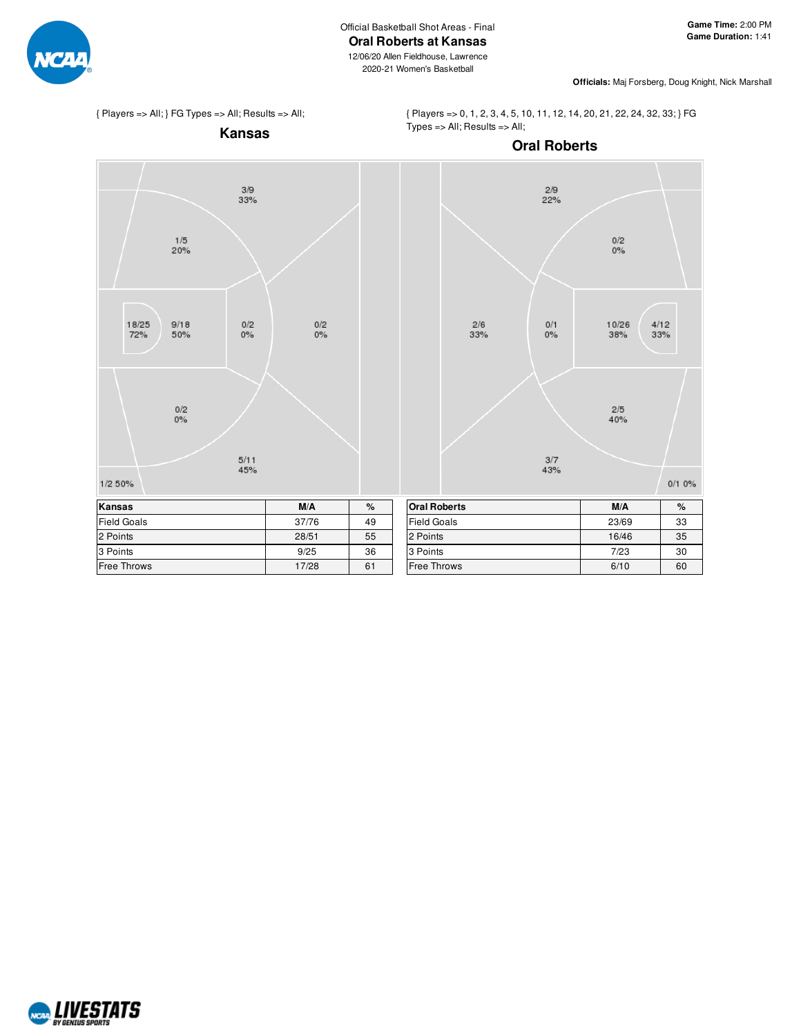

12/06/20 Allen Fieldhouse, Lawrence 2020-21 Women's Basketball



**Officials:** Maj Forsberg, Doug Knight, Nick Marshall

{ Players => All; } FG Types => All; Results => All;

{ Players => 0, 1, 2, 3, 4, 5, 10, 11, 12, 14, 20, 21, 22, 24, 32, 33; } FG Types => All; Results => All;



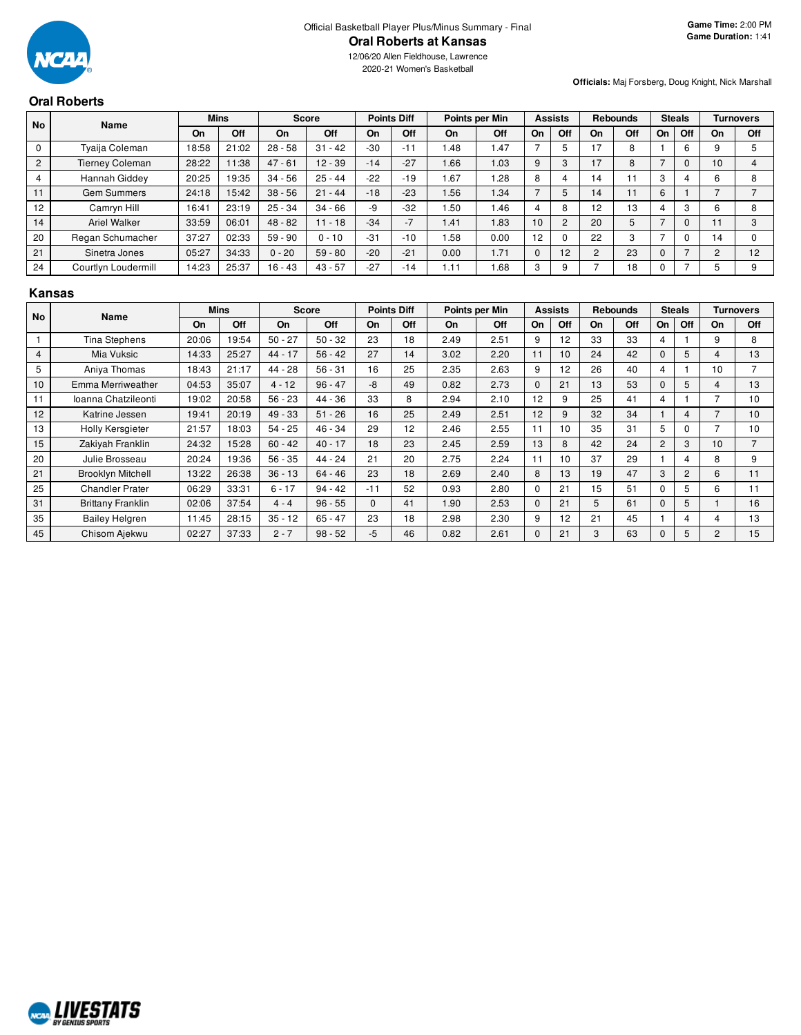

2020-21 Women's Basketball

# **Oral Roberts**

**Officials:** Maj Forsberg, Doug Knight, Nick Marshall

| <b>No</b>      | Name                   |       | <b>Mins</b> |           | <b>Score</b> |       | <b>Points Diff</b> |       | Points per Min |              | <b>Assists</b> |                | <b>Rebounds</b> |    | <b>Steals</b> |     | <b>Turnovers</b> |
|----------------|------------------------|-------|-------------|-----------|--------------|-------|--------------------|-------|----------------|--------------|----------------|----------------|-----------------|----|---------------|-----|------------------|
|                |                        | On    | Off         | <b>On</b> | Off          | On    | Off                | On    | Off            | On           | Off            | On             | Off             | On | Off           | On  | Off              |
| 0              | Tvaija Coleman         | 18:58 | 21:02       | $28 - 58$ | $-42$<br>31  | $-30$ | $-11$              | 1.48  | 1.47           |              |                | 17             | 8               |    | 6             | 9   |                  |
| $\overline{2}$ | <b>Tierney Coleman</b> | 28:22 | 11:38       | $47 - 61$ | $12 - 39$    | $-14$ | $-27$              | 1.66  | 0.03           | 9            | 3              | 17             | 8               |    | 0             | 10  |                  |
|                | Hannah Giddey          | 20:25 | 19:35       | $34 - 56$ | $25 - 44$    | $-22$ | $-19$              | 1.67  | .28            | 8            |                | 14             |                 | 3  |               | 6   |                  |
| 11             | <b>Gem Summers</b>     | 24:18 | 15:42       | $38 - 56$ | $21 - 44$    | $-18$ | $-23$              | 1.56  | 1.34           |              | 5              | 14             |                 | 6  |               |     |                  |
| 12             | Camrvn Hill            | 16:41 | 23:19       | $25 - 34$ | $34 - 66$    | -9    | $-32$              | i .50 | 1.46           |              | 8              | 12             | 13              |    | 3             | 6   | 8                |
| 14             | <b>Ariel Walker</b>    | 33:59 | 06:01       | $48 - 82$ | $11 - 18$    | $-34$ | $-7$               | 1.41  | 1.83           | 10           | $\overline{2}$ | 20             | 5               |    | 0             | . . | 3                |
| 20             | Regan Schumacher       | 37:27 | 02:33       | $59 - 90$ | $0 - 10$     | $-31$ | $-10$              | .58   | 0.00           | 12           |                | 22             | 3               |    | 0             | 14  |                  |
| 21             | Sinetra Jones          | 05:27 | 34:33       | $0 - 20$  | $-80$<br>59  | $-20$ | $-21$              | 0.00  | 1.71           | $\mathbf{0}$ | 12             | $\overline{2}$ | 23              | 0  | -             | 2   | 12               |
| 24             | Courtlyn Loudermill    | 14:23 | 25:37       | $16 - 43$ | $43 - 57$    | $-27$ | $-14$              | 1.11  | .68            | 3            | 9              |                | 18              |    |               | 5   | 9                |

#### **Kansas**

| <b>No</b>      | Name                     |       | Mins  |           | Score     |          | <b>Points Diff</b> |      | Points per Min |          | <b>Assists</b> |    | <b>Rebounds</b> |                | <b>Steals</b>  |           | <b>Turnovers</b> |
|----------------|--------------------------|-------|-------|-----------|-----------|----------|--------------------|------|----------------|----------|----------------|----|-----------------|----------------|----------------|-----------|------------------|
|                |                          | On    | Off   | On        | Off       | On       | Off                | On   | Off            | On       | Off            | On | Off             | On             | Off            | <b>On</b> | Off              |
|                | <b>Tina Stephens</b>     | 20:06 | 19:54 | $50 - 27$ | $50 - 32$ | 23       | 18                 | 2.49 | 2.51           | 9        | 12             | 33 | 33              | 4              |                | 9         | 8                |
| $\overline{4}$ | Mia Vuksic               | 14:33 | 25:27 | $44 - 17$ | $56 - 42$ | 27       | 14                 | 3.02 | 2.20           | 11       | 10             | 24 | 42              | $\Omega$       | 5              | 4         | 13               |
| 5              | Aniya Thomas             | 18:43 | 21:17 | 44 - 28   | $56 - 31$ | 16       | 25                 | 2.35 | 2.63           | 9        | 12             | 26 | 40              | 4              |                | 10        | 7                |
| 10             | Emma Merriweather        | 04:53 | 35:07 | $4 - 12$  | $96 - 47$ | -8       | 49                 | 0.82 | 2.73           | $\Omega$ | 21             | 13 | 53              | 0              | 5              | 4         | 13               |
| 11             | Ioanna Chatzileonti      | 19:02 | 20:58 | $56 - 23$ | $44 - 36$ | 33       | 8                  | 2.94 | 2.10           | 12       | 9              | 25 | 41              | 4              |                |           | 10               |
| 12             | Katrine Jessen           | 19:41 | 20:19 | $49 - 33$ | $51 - 26$ | 16       | 25                 | 2.49 | 2.51           | 12       | 9              | 32 | 34              |                | 4              |           | 10               |
| 13             | Holly Kersgieter         | 21:57 | 18:03 | $54 - 25$ | $46 - 34$ | 29       | 12                 | 2.46 | 2.55           | 11       | 10             | 35 | 31              | 5              | 0              |           | 10               |
| 15             | Zakiyah Franklin         | 24:32 | 15:28 | $60 - 42$ | $40 - 17$ | 18       | 23                 | 2.45 | 2.59           | 13       | 8              | 42 | 24              | $\overline{2}$ | 3              | 10        | $\overline{7}$   |
| 20             | Julie Brosseau           | 20:24 | 19:36 | $56 - 35$ | 44 - 24   | 21       | 20                 | 2.75 | 2.24           | 11       | 10             | 37 | 29              |                | 4              | 8         | 9                |
| 21             | <b>Brooklyn Mitchell</b> | 13:22 | 26:38 | $36 - 13$ | $64 - 46$ | 23       | 18                 | 2.69 | 2.40           | 8        | 13             | 19 | 47              | 3              | $\overline{2}$ | 6         | 11               |
| 25             | <b>Chandler Prater</b>   | 06:29 | 33:31 | $6 - 17$  | $94 - 42$ | $-11$    | 52                 | 0.93 | 2.80           | $\Omega$ | 21             | 15 | 51              | $\Omega$       | 5              | 6         | 11               |
| 31             | <b>Brittany Franklin</b> | 02:06 | 37:54 | $4 - 4$   | $96 - 55$ | $\Omega$ | 41                 | 1.90 | 2.53           | $\Omega$ | 21             | 5  | 61              | $\Omega$       | 5              |           | 16               |
| 35             | <b>Bailey Helgren</b>    | 11:45 | 28:15 | $35 - 12$ | $65 - 47$ | 23       | 18                 | 2.98 | 2.30           | 9        | 12             | 21 | 45              |                | 4              | 4         | 13               |
| 45             | Chisom Ajekwu            | 02:27 | 37:33 | $2 - 7$   | $98 - 52$ | -5       | 46                 | 0.82 | 2.61           | $\Omega$ | 21             | 3  | 63              | $\Omega$       | 5              | 2         | 15               |

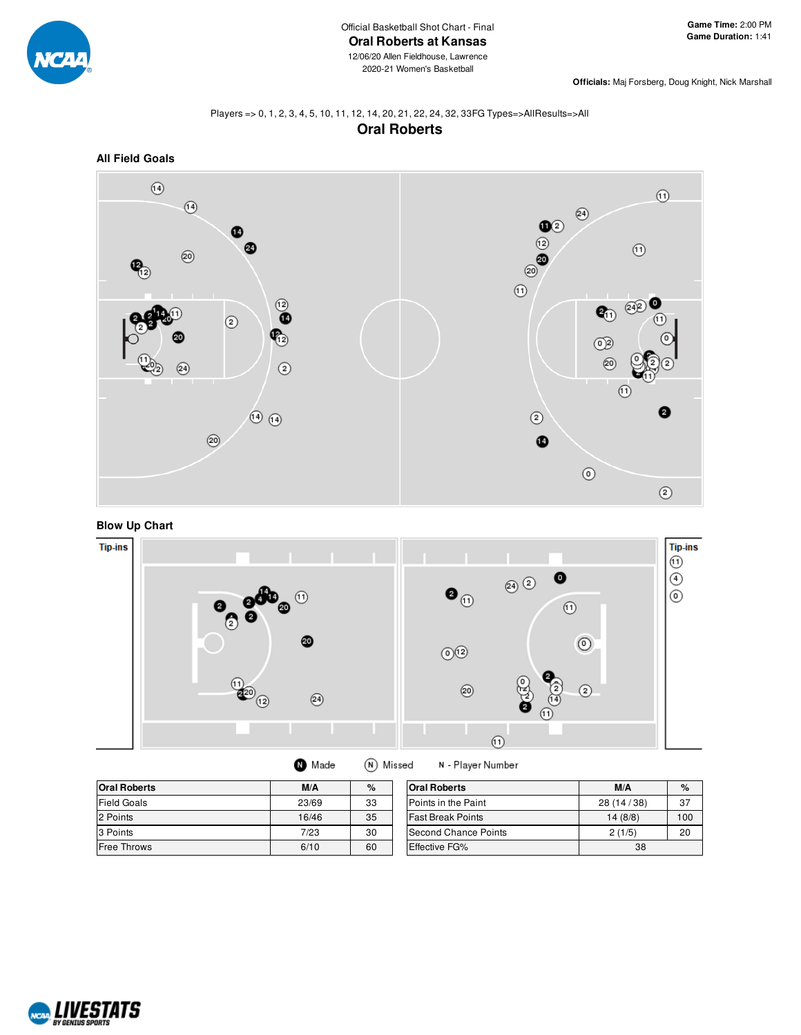

**Officials:** Maj Forsberg, Doug Knight, Nick Marshall

### Players => 0, 1, 2, 3, 4, 5, 10, 11, 12, 14, 20, 21, 22, 24, 32, 33FG Types=>AllResults=>All **Oral Roberts**



# **Blow Up Chart**



| <b>O</b> Made | (N) Missed |
|---------------|------------|
|---------------|------------|

N - Player Number

| <b>Oral Roberts</b> | M/A<br>% |    | <b>Oral Roberts</b>      | M/A          | $\%$ |
|---------------------|----------|----|--------------------------|--------------|------|
| <b>Field Goals</b>  | 23/69    | 33 | Points in the Paint      | 28 (14 / 38) | 37   |
| 2 Points            | 16/46    | 35 | <b>Fast Break Points</b> | 14(8/8)      | 100  |
| 3 Points            | 7/23     | 30 | Second Chance Points     | 2(1/5)       | 20   |
| <b>Free Throws</b>  | 6/10     | 60 | Effective FG%            | 38           |      |

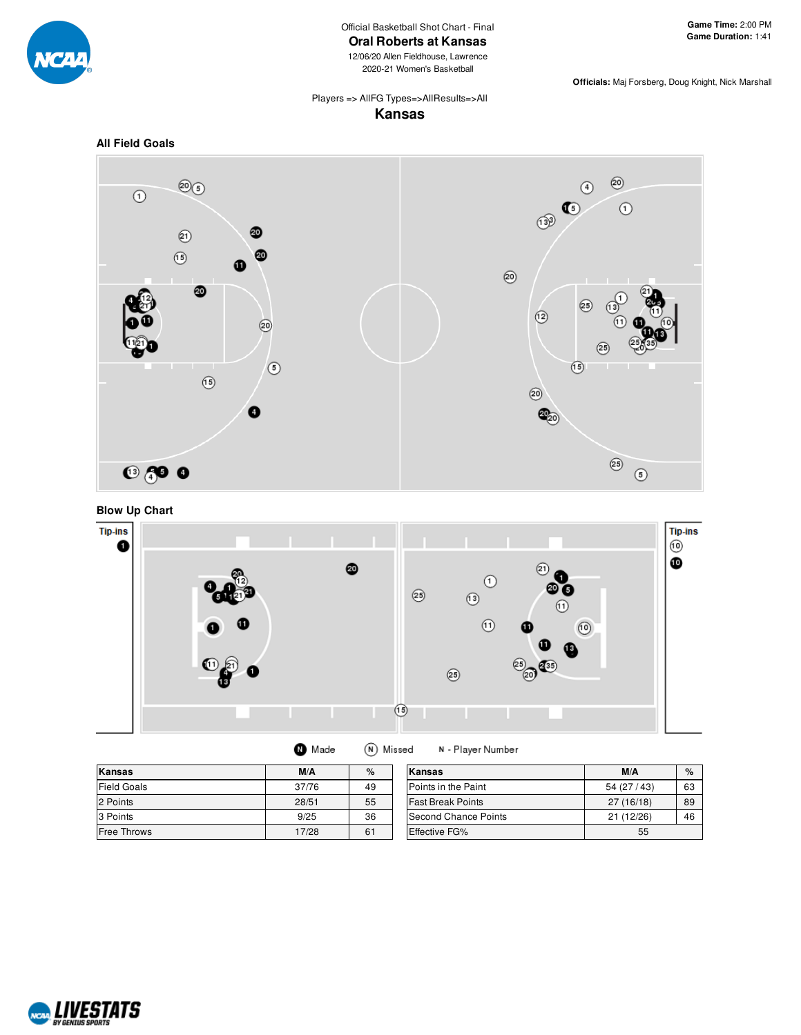

Official Basketball Shot Chart - Final

**Oral Roberts at Kansas**

12/06/20 Allen Fieldhouse, Lawrence 2020-21 Women's Basketball

**Game Time:** 2:00 PM **Game Duration:** 1:41

**Officials:** Maj Forsberg, Doug Knight, Nick Marshall

Players => AllFG Types=>AllResults=>All

# **Kansas**









| Made |  | (N) Missed | N - Player Number |
|------|--|------------|-------------------|
|------|--|------------|-------------------|

| Kansas             | M/A   | $\%$ | Kansas                     | M/A        | $\%$ |
|--------------------|-------|------|----------------------------|------------|------|
| <b>Field Goals</b> | 37/76 | 49   | <b>Points in the Paint</b> | 54(27/43)  | 63   |
| 2 Points           | 28/51 | 55   | <b>Fast Break Points</b>   | 27 (16/18) | 89   |
| 3 Points           | 9/25  | 36   | Second Chance Points       | 21(12/26)  | 46   |
| Free Throws        | 17/28 | 61   | <b>Effective FG%</b>       | 55         |      |

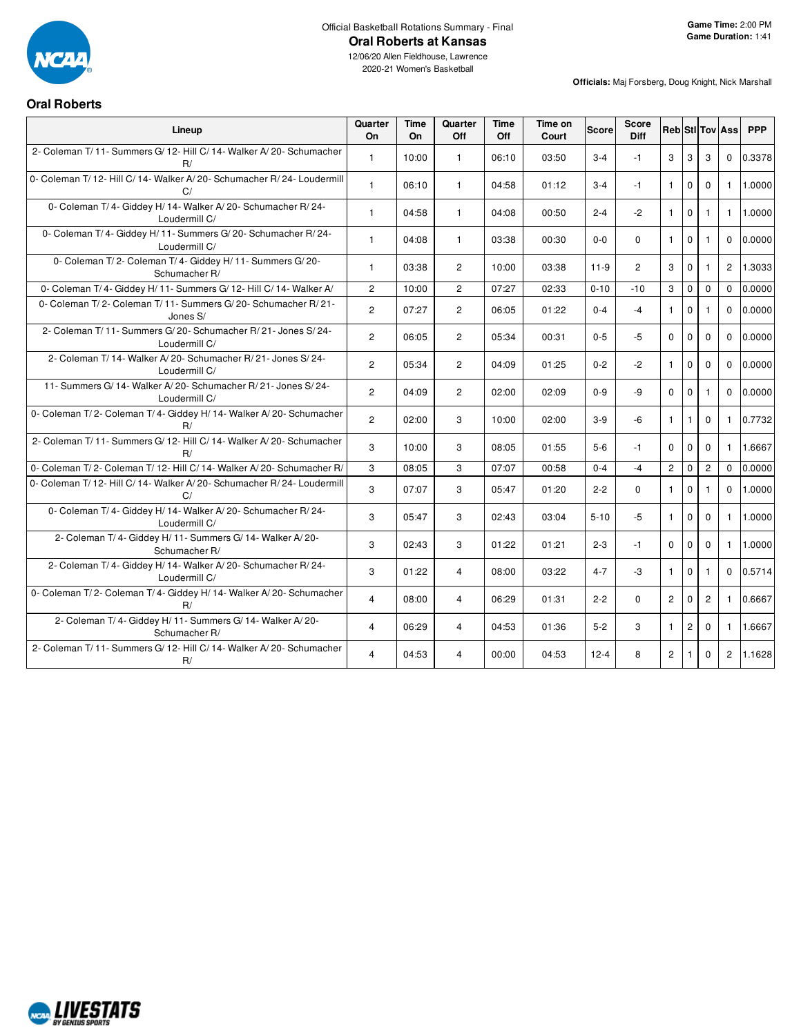

2020-21 Women's Basketball

# **Oral Roberts**

| Lineup                                                                           | Quarter<br>On  | <b>Time</b><br><b>On</b> | Quarter<br>Off | <b>Time</b><br>Off | Time on<br>Court | <b>Score</b> | <b>Score</b><br><b>Diff</b> |                |                |                | <b>Reb StilTov Ass</b> | <b>PPP</b> |
|----------------------------------------------------------------------------------|----------------|--------------------------|----------------|--------------------|------------------|--------------|-----------------------------|----------------|----------------|----------------|------------------------|------------|
| 2- Coleman T/11- Summers G/12- Hill C/14- Walker A/20- Schumacher<br>R/          | $\mathbf{1}$   | 10:00                    | $\mathbf{1}$   | 06:10              | 03:50            | $3 - 4$      | $-1$                        | 3              | 3              | 3              | $\mathbf{0}$           | 0.3378     |
| 0- Coleman T/ 12- Hill C/ 14- Walker A/ 20- Schumacher R/ 24- Loudermill<br>C/   | $\mathbf{1}$   | 06:10                    | $\mathbf{1}$   | 04:58              | 01:12            | $3 - 4$      | $-1$                        | $\mathbf{1}$   | $\mathbf 0$    | $\mathbf 0$    | $\mathbf{1}$           | 1.0000     |
| 0- Coleman T/4- Giddey H/14- Walker A/20- Schumacher R/24-<br>Loudermill C/      | $\mathbf{1}$   | 04:58                    | $\mathbf{1}$   | 04:08              | 00:50            | $2 - 4$      | $-2$                        | $\mathbf{1}$   | $\mathbf 0$    | $\mathbf{1}$   | $\mathbf{1}$           | 1.0000     |
| 0- Coleman T/4- Giddey H/11- Summers G/20- Schumacher R/24-<br>Loudermill C/     | $\mathbf{1}$   | 04:08                    | $\mathbf{1}$   | 03:38              | 00:30            | $0 - 0$      | $\Omega$                    | $\mathbf{1}$   | $\mathbf 0$    | $\mathbf{1}$   | $\Omega$               | 0.0000     |
| 0- Coleman T/2- Coleman T/4- Giddey H/11- Summers G/20-<br>Schumacher R/         | $\mathbf{1}$   | 03:38                    | $\overline{2}$ | 10:00              | 03:38            | $11-9$       | $\overline{2}$              | 3              | $\mathbf 0$    | $\mathbf{1}$   | $\overline{2}$         | 1.3033     |
| 0- Coleman T/4- Giddey H/11- Summers G/12- Hill C/14- Walker A/                  | $\overline{2}$ | 10:00                    | $\overline{2}$ | 07:27              | 02:33            | $0 - 10$     | $-10$                       | 3              | $\mathbf 0$    | $\mathbf 0$    | $\Omega$               | 0.0000     |
| 0- Coleman T/2- Coleman T/11- Summers G/20- Schumacher R/21-<br>Jones S/         | $\overline{2}$ | 07:27                    | $\overline{2}$ | 06:05              | 01:22            | $0 - 4$      | $-4$                        | $\mathbf{1}$   | $\mathbf 0$    | $\mathbf{1}$   | $\Omega$               | 0.0000     |
| 2- Coleman T/ 11- Summers G/ 20- Schumacher R/ 21- Jones S/ 24-<br>Loudermill C/ | $\overline{2}$ | 06:05                    | $\overline{2}$ | 05:34              | 00:31            | $0 - 5$      | $-5$                        | $\Omega$       | $\mathbf 0$    | $\Omega$       | $\Omega$               | 0.0000     |
| 2- Coleman T/ 14- Walker A/ 20- Schumacher R/ 21- Jones S/ 24-<br>Loudermill C/  | $\overline{2}$ | 05:34                    | $\overline{2}$ | 04:09              | 01:25            | $0 - 2$      | $-2$                        | $\mathbf{1}$   | $\mathbf 0$    | $\mathbf 0$    | $\mathbf 0$            | 0.0000     |
| 11- Summers G/ 14- Walker A/ 20- Schumacher R/ 21- Jones S/ 24-<br>Loudermill C/ | $\overline{2}$ | 04:09                    | $\overline{2}$ | 02:00              | 02:09            | $0 - 9$      | -9                          | $\Omega$       | $\mathbf 0$    | $\mathbf{1}$   | $\Omega$               | 0.0000     |
| 0- Coleman T/2- Coleman T/4- Giddey H/14- Walker A/20- Schumacher<br>R/          | $\overline{2}$ | 02:00                    | 3              | 10:00              | 02:00            | $3-9$        | $-6$                        | $\mathbf{1}$   | $\mathbf{1}$   | $\mathbf{0}$   | $\mathbf{1}$           | 0.7732     |
| 2- Coleman T/11- Summers G/12- Hill C/14- Walker A/20- Schumacher<br>R/          | 3              | 10:00                    | 3              | 08:05              | 01:55            | $5-6$        | $-1$                        | $\Omega$       | $\Omega$       | $\Omega$       | $\mathbf{1}$           | 1.6667     |
| 0- Coleman T/2- Coleman T/12- Hill C/14- Walker A/20- Schumacher R/              | 3              | 08:05                    | 3              | 07:07              | 00:58            | $0 - 4$      | $-4$                        | $\overline{2}$ | $\mathbf 0$    | $\overline{c}$ | $\Omega$               | 0.0000     |
| 0- Coleman T/ 12- Hill C/ 14- Walker A/ 20- Schumacher R/ 24- Loudermill<br>C/   | 3              | 07:07                    | 3              | 05:47              | 01:20            | $2 - 2$      | $\Omega$                    | $\mathbf{1}$   | $\Omega$       | $\mathbf{1}$   | $\Omega$               | 1.0000     |
| 0- Coleman T/4- Giddey H/14- Walker A/20- Schumacher R/24-<br>Loudermill C/      | 3              | 05:47                    | 3              | 02:43              | 03:04            | $5 - 10$     | $-5$                        | $\mathbf{1}$   | $\mathbf 0$    | $\mathbf 0$    | $\mathbf{1}$           | 1.0000     |
| 2- Coleman T/4- Giddey H/11- Summers G/14- Walker A/20-<br>Schumacher R/         | 3              | 02:43                    | 3              | 01:22              | 01:21            | $2 - 3$      | $-1$                        | $\mathbf 0$    | $\mathbf 0$    | $\mathbf 0$    | $\mathbf{1}$           | 1.0000     |
| 2- Coleman T/4- Giddey H/14- Walker A/20- Schumacher R/24-<br>Loudermill C/      | 3              | 01:22                    | $\overline{4}$ | 08:00              | 03:22            | $4 - 7$      | -3                          | $\mathbf{1}$   | $\mathbf 0$    | $\mathbf{1}$   | $\Omega$               | 0.5714     |
| 0- Coleman T/2- Coleman T/4- Giddey H/14- Walker A/20- Schumacher<br>R/          | $\overline{4}$ | 08:00                    | $\overline{4}$ | 06:29              | 01:31            | $2 - 2$      | $\Omega$                    | $\overline{2}$ | $\Omega$       | $\overline{2}$ | $\mathbf{1}$           | 0.6667     |
| 2- Coleman T/4- Giddey H/11- Summers G/14- Walker A/20-<br>Schumacher R/         | $\overline{4}$ | 06:29                    | $\overline{4}$ | 04:53              | 01:36            | $5-2$        | 3                           | $\mathbf{1}$   | $\overline{c}$ | $\mathbf 0$    | $\mathbf{1}$           | 1.6667     |
| 2- Coleman T/11- Summers G/12- Hill C/14- Walker A/20- Schumacher<br>R/          | $\overline{4}$ | 04:53                    | 4              | 00:00              | 04:53            | $12 - 4$     | 8                           | $\overline{2}$ | $\mathbf{1}$   | $\mathbf{0}$   | $\overline{2}$         | 1.1628     |

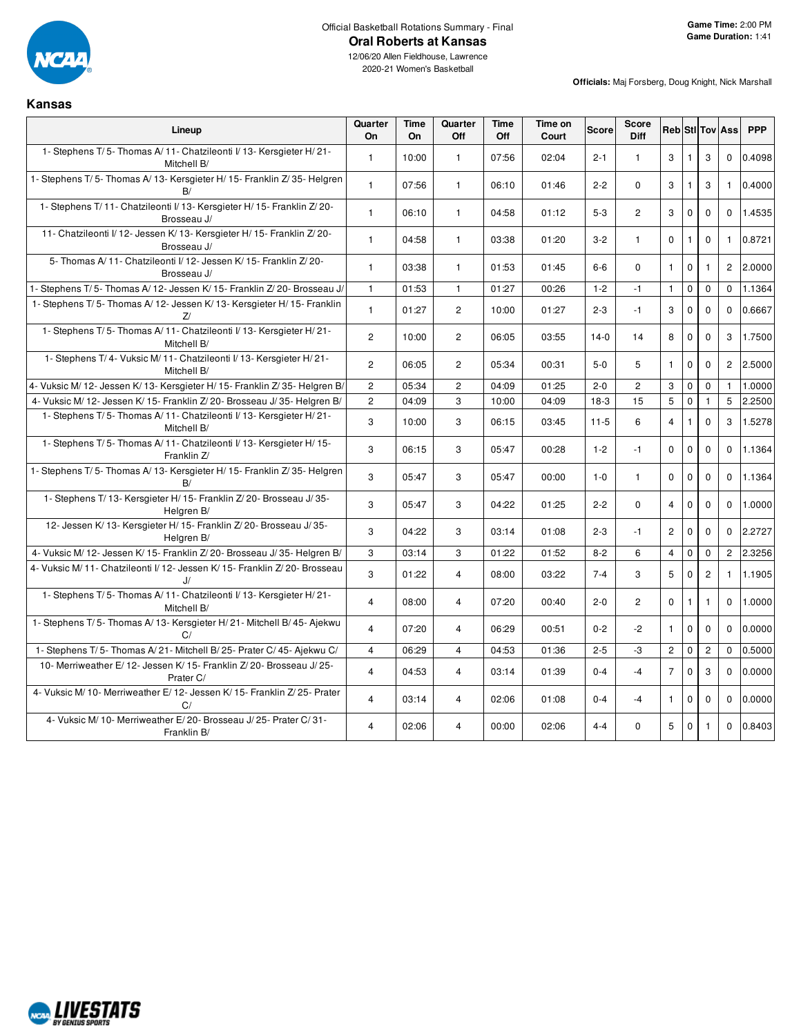

**Kansas**

12/06/20 Allen Fieldhouse, Lawrence 2020-21 Women's Basketball

| Lineup                                                                              | Quarter<br>On  | <b>Time</b><br><b>On</b> | Quarter<br>Off | <b>Time</b><br>Off | Time on<br>Court | <b>Score</b> | <b>Score</b><br><b>Diff</b> |                      |              |                | <b>Reb</b> Sti Tov Ass | <b>PPP</b> |
|-------------------------------------------------------------------------------------|----------------|--------------------------|----------------|--------------------|------------------|--------------|-----------------------------|----------------------|--------------|----------------|------------------------|------------|
| 1- Stephens T/5- Thomas A/11- Chatzileonti I/13- Kersgieter H/21-<br>Mitchell B/    | $\mathbf{1}$   | 10:00                    | $\mathbf{1}$   | 07:56              | 02:04            | $2 - 1$      | $\mathbf{1}$                | 3                    | $\mathbf{1}$ | 3              | $\mathbf{0}$           | 0.4098     |
| 1- Stephens T/5- Thomas A/13- Kersgieter H/15- Franklin Z/35- Helgren<br>B/         | $\mathbf{1}$   | 07:56                    | $\mathbf{1}$   | 06:10              | 01:46            | $2 - 2$      | $\Omega$                    | 3                    | $\mathbf{1}$ | 3              | $\mathbf{1}$           | 0.4000     |
| 1- Stephens T/11- Chatzileonti I/13- Kersgieter H/15- Franklin Z/20-<br>Brosseau J/ | $\mathbf{1}$   | 06:10                    | $\mathbf{1}$   | 04:58              | 01:12            | $5-3$        | $\overline{2}$              | 3                    | $\mathbf 0$  | $\mathbf 0$    | $\mathbf 0$            | 1.4535     |
| 11- Chatzileonti I/12- Jessen K/13- Kersgieter H/15- Franklin Z/20-<br>Brosseau J/  | $\mathbf{1}$   | 04:58                    | $\mathbf{1}$   | 03:38              | 01:20            | $3 - 2$      | $\mathbf{1}$                | $\mathbf 0$          | $\mathbf{1}$ | $\mathbf 0$    | $\mathbf{1}$           | 0.8721     |
| 5- Thomas A/11- Chatzileonti I/12- Jessen K/15- Franklin Z/20-<br>Brosseau J/       | $\mathbf{1}$   | 03:38                    | $\mathbf{1}$   | 01:53              | 01:45            | $6-6$        | $\Omega$                    | $\mathbf{1}$         | $\mathbf 0$  | 1              | $\overline{2}$         | 2.0000     |
| 1- Stephens T/5- Thomas A/12- Jessen K/15- Franklin Z/20- Brosseau J/               | $\overline{1}$ | 01:53                    | $\mathbf{1}$   | 01:27              | 00:26            | $1 - 2$      | $-1$                        | $\mathbf{1}$         | $\mathbf 0$  | $\mathbf 0$    | $\mathbf 0$            | 1.1364     |
| 1- Stephens T/5- Thomas A/12- Jessen K/13- Kersgieter H/15- Franklin<br>Z           | $\mathbf{1}$   | 01:27                    | $\overline{2}$ | 10:00              | 01:27            | $2 - 3$      | $-1$                        | 3                    | $\mathbf{0}$ | $\mathbf 0$    | $\mathbf{0}$           | 0.6667     |
| 1- Stephens T/5- Thomas A/11- Chatzileonti I/13- Kersgieter H/21-<br>Mitchell B/    | $\overline{c}$ | 10:00                    | $\overline{2}$ | 06:05              | 03:55            | $14-0$       | 14                          | 8                    | $\mathbf 0$  | $\Omega$       | 3                      | 1.7500     |
| 1- Stephens T/4- Vuksic M/11- Chatzileonti I/13- Kersgieter H/21-<br>Mitchell B/    | $\overline{2}$ | 06:05                    | $\overline{2}$ | 05:34              | 00:31            | $5-0$        | 5                           | $\mathbf{1}$         | $\mathbf 0$  | $\mathbf 0$    | $\overline{2}$         | 2.5000     |
| 4- Vuksic M/ 12- Jessen K/ 13- Kersgieter H/ 15- Franklin Z/ 35- Helgren B/         | $\overline{2}$ | 05:34                    | $\overline{2}$ | 04:09              | 01:25            | $2 - 0$      | $\overline{c}$              | 3                    | $\mathbf 0$  | $\mathbf 0$    | $\mathbf{1}$           | 1.0000     |
| 4- Vuksic M/ 12- Jessen K/ 15- Franklin Z/ 20- Brosseau J/ 35- Helgren B/           | $\overline{c}$ | 04:09                    | 3              | 10:00              | 04:09            | $18-3$       | 15                          | 5                    | $\mathbf 0$  | $\mathbf{1}$   | 5                      | 2.2500     |
| 1- Stephens T/5- Thomas A/11- Chatzileonti I/13- Kersgieter H/21-<br>Mitchell B/    | 3              | 10:00                    | 3              | 06:15              | 03:45            | $11 - 5$     | 6                           | $\overline{4}$       | $\mathbf{1}$ | $\mathbf 0$    | 3                      | 1.5278     |
| 1- Stephens T/5- Thomas A/11- Chatzileonti I/13- Kersgieter H/15-<br>Franklin Z/    | 3              | 06:15                    | 3              | 05:47              | 00:28            | $1 - 2$      | $-1$                        | $\Omega$             | $\mathbf 0$  | $\mathbf 0$    | $\Omega$               | 1.1364     |
| 1- Stephens T/5- Thomas A/13- Kersgieter H/15- Franklin Z/35- Helgren<br>B/         | 3              | 05:47                    | 3              | 05:47              | 00:00            | $1 - 0$      | $\mathbf{1}$                | $\Omega$             | $\mathbf 0$  | $\mathbf 0$    | $\Omega$               | 1.1364     |
| 1- Stephens T/ 13- Kersgieter H/ 15- Franklin Z/ 20- Brosseau J/ 35-<br>Helgren B/  | 3              | 05:47                    | 3              | 04:22              | 01:25            | $2 - 2$      | $\Omega$                    | $\overline{4}$       | $\mathbf 0$  | 0              | $\Omega$               | 1.0000     |
| 12- Jessen K/ 13- Kersgieter H/ 15- Franklin Z/ 20- Brosseau J/ 35-<br>Helgren B/   | 3              | 04:22                    | 3              | 03:14              | 01:08            | $2 - 3$      | $-1$                        | $\mathbf{2}^{\circ}$ | $\mathbf 0$  | $\mathbf 0$    | $\Omega$               | 2.2727     |
| 4- Vuksic M/ 12- Jessen K/ 15- Franklin Z/ 20- Brosseau J/ 35- Helgren B/           | 3              | 03:14                    | 3              | 01:22              | 01:52            | $8 - 2$      | 6                           | $\overline{4}$       | $\mathbf 0$  | $\mathbf 0$    | $\overline{c}$         | 2.3256     |
| 4- Vuksic M/11- Chatzileonti I/12- Jessen K/15- Franklin Z/20- Brosseau<br>J/       | 3              | 01:22                    | $\overline{4}$ | 08:00              | 03:22            | $7 - 4$      | 3                           | 5                    | $\mathbf 0$  | $\overline{c}$ | $\mathbf{1}$           | 1.1905     |
| 1- Stephens T/5- Thomas A/11- Chatzileonti I/13- Kersgieter H/21-<br>Mitchell B/    | $\overline{4}$ | 08:00                    | $\overline{4}$ | 07:20              | 00:40            | $2 - 0$      | $\overline{2}$              | $\Omega$             | $\mathbf{1}$ | 1              | $\Omega$               | 1.0000     |
| 1- Stephens T/5- Thomas A/13- Kersgieter H/21- Mitchell B/45- Ajekwu<br>C/          | $\overline{4}$ | 07:20                    | $\overline{4}$ | 06:29              | 00:51            | $0 - 2$      | $-2$                        | $\mathbf{1}$         | $\mathbf 0$  | $\mathbf 0$    | $\Omega$               | 0.0000     |
| 1- Stephens T/5- Thomas A/21- Mitchell B/25- Prater C/45- Ajekwu C/                 | $\overline{4}$ | 06:29                    | $\overline{4}$ | 04:53              | 01:36            | $2 - 5$      | $-3$                        | $\overline{c}$       | $\mathbf 0$  | $\mathbf{2}$   | $\mathbf 0$            | 0.5000     |
| 10- Merriweather E/12- Jessen K/15- Franklin Z/20- Brosseau J/25-<br>Prater C/      | $\overline{4}$ | 04:53                    | $\overline{4}$ | 03:14              | 01:39            | $0 - 4$      | $-4$                        | $\overline{7}$       | $\mathbf 0$  | 3              | $\mathbf 0$            | 0.0000     |
| 4- Vuksic M/ 10- Merriweather E/ 12- Jessen K/ 15- Franklin Z/ 25- Prater<br>C/     | $\overline{4}$ | 03:14                    | $\overline{4}$ | 02:06              | 01:08            | $0 - 4$      | $-4$                        | $\mathbf{1}$         | $\mathbf 0$  | $\mathbf 0$    | $\Omega$               | 0.0000     |
| 4- Vuksic M/ 10- Merriweather E/ 20- Brosseau J/ 25- Prater C/ 31-<br>Franklin B/   | 4              | 02:06                    | 4              | 00:00              | 02:06            | $4 - 4$      | $\Omega$                    | 5                    | $\mathbf 0$  | $\mathbf{1}$   | $\mathbf 0$            | 0.8403     |

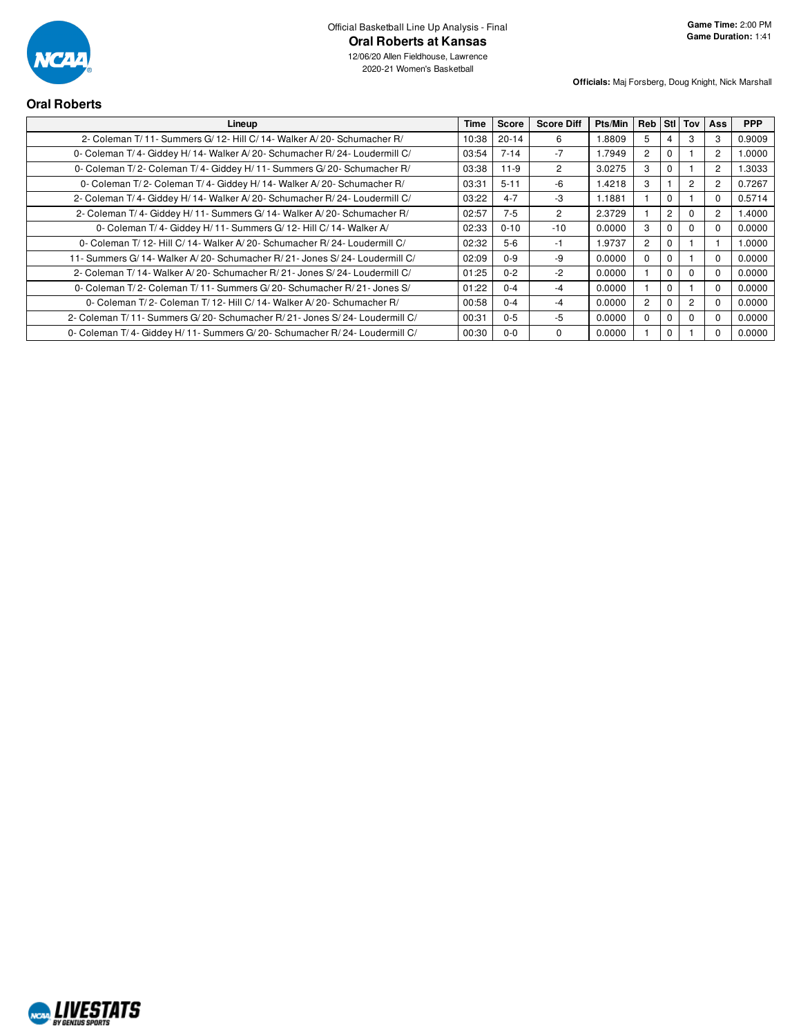

12/06/20 Allen Fieldhouse, Lawrence 2020-21 Women's Basketball

| <b>Oral Roberts</b>                                                          |             |           |                   |         |                |                |                |          |            |
|------------------------------------------------------------------------------|-------------|-----------|-------------------|---------|----------------|----------------|----------------|----------|------------|
| Lineup                                                                       | <b>Time</b> | Score     | <b>Score Diff</b> | Pts/Min |                |                | Reb Stil Toy   | Ass      | <b>PPP</b> |
| 2- Coleman T/ 11- Summers G/ 12- Hill C/ 14- Walker A/ 20- Schumacher R/     | 10:38       | $20 - 14$ | 6                 | 8809.   | 5              | 4              | 3              | 3        | 0.9009     |
| 0- Coleman T/4- Giddey H/14- Walker A/20- Schumacher R/24- Loudermill C/     | 03:54       | $7 - 14$  | $-7$              | 1.7949  | $\overline{2}$ | $\mathbf 0$    |                | 2        | 1.0000     |
| 0- Coleman T/2- Coleman T/4- Giddey H/11- Summers G/20- Schumacher R/        | 03:38       | $11-9$    | $\overline{2}$    | 3.0275  | 3              | $\Omega$       |                | 2        | 1.3033     |
| 0- Coleman T/2- Coleman T/4- Giddey H/14- Walker A/20- Schumacher R/         | 03:31       | $5 - 11$  | -6                | 1.4218  | 3              |                | $\overline{2}$ | 2        | 0.7267     |
| 2- Coleman T/4- Giddey H/14- Walker A/20- Schumacher R/24- Loudermill C/     | 03:22       | $4 - 7$   | -3                | 1.1881  |                | $\mathbf 0$    |                | 0        | 0.5714     |
| 2- Coleman T/4- Giddey H/11- Summers G/14- Walker A/20- Schumacher R/        | 02:57       | $7 - 5$   | $\overline{2}$    | 2.3729  |                | $\overline{2}$ | $\Omega$       | 2        | 1.4000     |
| 0- Coleman T/4- Giddey H/11- Summers G/12- Hill C/14- Walker A/              | 02:33       | $0 - 10$  | $-10$             | 0.0000  | 3              | $\mathbf 0$    | $\Omega$       | $\Omega$ | 0.0000     |
| 0- Coleman T/12- Hill C/14- Walker A/20- Schumacher R/24- Loudermill C/      | 02:32       | $5-6$     | -1                | 1.9737  | $\overline{2}$ | $\Omega$       |                |          | 1.0000     |
| 11- Summers G/14- Walker A/20- Schumacher R/21- Jones S/24- Loudermill C/    | 02:09       | $0 - 9$   | -9                | 0.0000  | $\Omega$       | $\Omega$       |                | $\Omega$ | 0.0000     |
| 2- Coleman T/ 14- Walker A/ 20- Schumacher R/ 21- Jones S/ 24- Loudermill C/ | 01:25       | $0 - 2$   | $-2$              | 0.0000  |                | $\Omega$       | $\Omega$       | $\Omega$ | 0.0000     |
| 0- Coleman T/2- Coleman T/11- Summers G/20- Schumacher R/21- Jones S/        | 01:22       | $0 - 4$   | $-4$              | 0.0000  |                | $\mathbf 0$    |                | $\Omega$ | 0.0000     |
| 0- Coleman T/2- Coleman T/12- Hill C/14- Walker A/20- Schumacher R/          | 00:58       | $0 - 4$   | $-4$              | 0.0000  | $\overline{2}$ | $\mathbf 0$    | $\overline{2}$ | 0        | 0.0000     |
| 2- Coleman T/11- Summers G/20- Schumacher R/21- Jones S/24- Loudermill C/    | 00:31       | $0 - 5$   | $-5$              | 0.0000  | $\Omega$       | $\Omega$       | $\Omega$       | $\Omega$ | 0.0000     |
| 0- Coleman T/4- Giddey H/11- Summers G/20- Schumacher R/24- Loudermill C/    | 00:30       | $0-0$     | 0                 | 0.0000  |                | $\mathbf 0$    |                |          | 0.0000     |